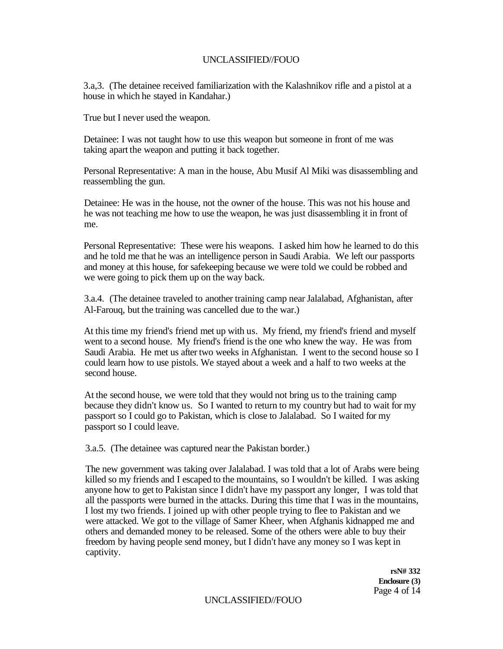3.a,3. (The detainee received familiarization with the Kalashnikov rifle and a pistol at a house in which he stayed in Kandahar.)

True but I never used the weapon.

Detainee: I was not taught how to use this weapon but someone in front of me was taking apart the weapon and putting it back together.

Personal Representative: A man in the house, Abu Musif Al Miki was disassembling and reassembling the gun.

Detainee: He was in the house, not the owner of the house. This was not his house and he was not teaching me how to use the weapon, he was just disassembling it in front of me.

Personal Representative: These were his weapons. I asked him how he learned to do this and he told me that he was an intelligence person in Saudi Arabia. We left our passports and money at this house, for safekeeping because we were told we could be robbed and we were going to pick them up on the way back.

3.a.4. (The detainee traveled to another training camp near Jalalabad, Afghanistan, after Al-Farouq, but the training was cancelled due to the war.)

At this time my friend's friend met up with us. My friend, my friend's friend and myself went to a second house. My friend's friend is the one who knew the way. He was from Saudi Arabia. He met us after two weeks in Afghanistan. I went to the second house so I could learn how to use pistols. We stayed about a week and a half to two weeks at the second house.

At the second house, we were told that they would not bring us to the training camp because they didn't know us. So I wanted to return to my country but had to wait for my passport so I could go to Pakistan, which is close to Jalalabad. So I waited for my passport so I could leave.

3.a.5. (The detainee was captured near the Pakistan border.)

The new government was taking over Jalalabad. I was told that a lot of Arabs were being killed so my friends and I escaped to the mountains, so I wouldn't be killed. I was asking anyone how to get to Pakistan since I didn't have my passport any longer, I was told that all the passports were burned in the attacks. During this time that I was in the mountains, I lost my two friends. I joined up with other people trying to flee to Pakistan and we were attacked. We got to the village of Samer Kheer, when Afghanis kidnapped me and others and demanded money to be released. Some of the others were able to buy their freedom by having people send money, but I didn't have any money so I was kept in captivity.

> **rsN# 332 Enclosure (3)**  Page 4 of 14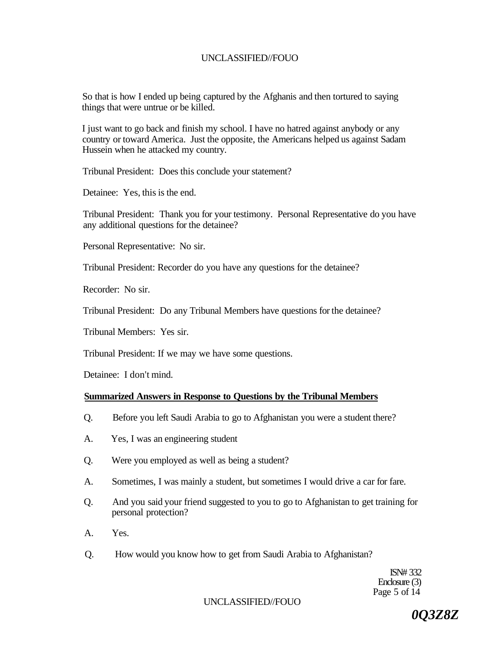So that is how I ended up being captured by the Afghanis and then tortured to saying things that were untrue or be killed.

I just want to go back and finish my school. I have no hatred against anybody or any country or toward America. Just the opposite, the Americans helped us against Sadam Hussein when he attacked my country.

Tribunal President: Does this conclude your statement?

Detainee: Yes, this is the end.

Tribunal President: Thank you for your testimony. Personal Representative do you have any additional questions for the detainee?

Personal Representative: No sir.

Tribunal President: Recorder do you have any questions for the detainee?

Recorder: No sir.

Tribunal President: Do any Tribunal Members have questions for the detainee?

Tribunal Members: Yes sir.

Tribunal President: If we may we have some questions.

Detainee: I don't mind.

#### **Summarized Answers in Response to Questions by the Tribunal Members**

- Q. Before you left Saudi Arabia to go to Afghanistan you were a student there?
- A. Yes, I was an engineering student
- Q. Were you employed as well as being a student?
- A. Sometimes, I was mainly a student, but sometimes I would drive a car for fare.
- Q. And you said your friend suggested to you to go to Afghanistan to get training for personal protection?
- A. Yes.
- Q. How would you know how to get from Saudi Arabia to Afghanistan?

ISN# 332 Enclosure (3) Page 5 of 14

UNCLASSIFIED//FOUO

*0Q3Z8Z*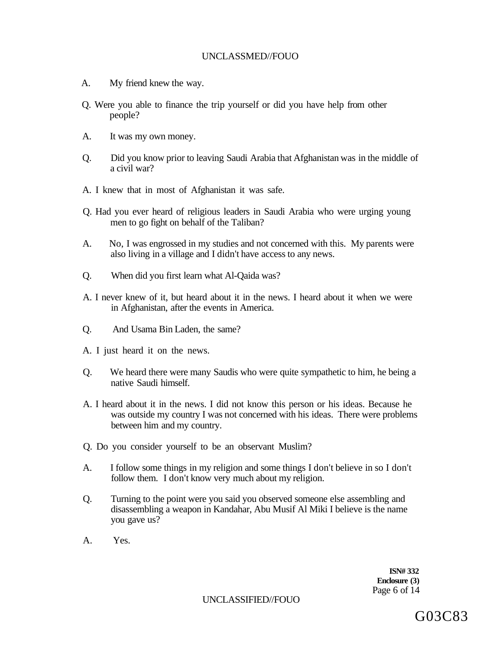# UNCLASSMED//FOUO

- A. My friend knew the way.
- Q. Were you able to finance the trip yourself or did you have help from other people?
- A. It was my own money.
- Q. Did you know prior to leaving Saudi Arabia that Afghanistan was in the middle of a civil war?
- A. I knew that in most of Afghanistan it was safe.
- Q. Had you ever heard of religious leaders in Saudi Arabia who were urging young men to go fight on behalf of the Taliban?
- A. No, I was engrossed in my studies and not concerned with this. My parents were also living in a village and I didn't have access to any news.
- Q. When did you first learn what Al-Qaida was?
- A. I never knew of it, but heard about it in the news. I heard about it when we were in Afghanistan, after the events in America.
- Q. And Usama Bin Laden, the same?
- A. I just heard it on the news.
- Q. We heard there were many Saudis who were quite sympathetic to him, he being a native Saudi himself.
- A. I heard about it in the news. I did not know this person or his ideas. Because he was outside my country I was not concerned with his ideas. There were problems between him and my country.
- Q. Do you consider yourself to be an observant Muslim?
- A. I follow some things in my religion and some things I don't believe in so I don't follow them. I don't know very much about my religion.
- Q. Turning to the point were you said you observed someone else assembling and disassembling a weapon in Kandahar, Abu Musif Al Miki I believe is the name you gave us?
- A. Yes.

**ISN# 332 Enclosure (3)**  Page 6 of 14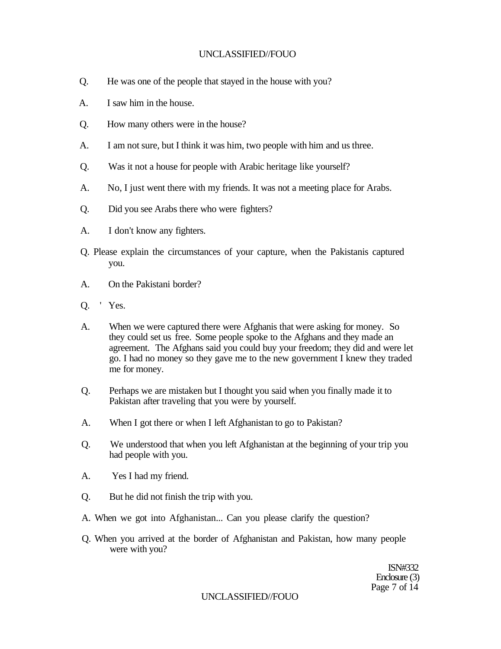- Q. He was one of the people that stayed in the house with you?
- A. I saw him in the house.
- Q. How many others were in the house?
- A. I am not sure, but I think it was him, two people with him and us three.
- Q. Was it not a house for people with Arabic heritage like yourself?
- A. No, I just went there with my friends. It was not a meeting place for Arabs.
- Q. Did you see Arabs there who were fighters?
- A. I don't know any fighters.
- Q. Please explain the circumstances of your capture, when the Pakistanis captured you.
- A. On the Pakistani border?
- Q. ' Yes.
- A. When we were captured there were Afghanis that were asking for money. So they could set us free. Some people spoke to the Afghans and they made an agreement. The Afghans said you could buy your freedom; they did and were let go. I had no money so they gave me to the new government I knew they traded me for money.
- Q. Perhaps we are mistaken but I thought you said when you finally made it to Pakistan after traveling that you were by yourself.
- A. When I got there or when I left Afghanistan to go to Pakistan?
- Q. We understood that when you left Afghanistan at the beginning of your trip you had people with you.
- A. Yes I had my friend.
- Q. But he did not finish the trip with you.
- A. When we got into Afghanistan... Can you please clarify the question?
- Q. When you arrived at the border of Afghanistan and Pakistan, how many people were with you?

ISN#332 Enclosure (3) Page 7 of 14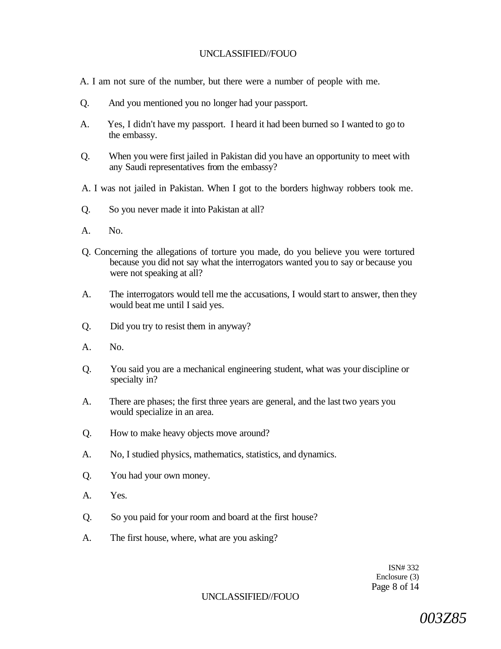- A. I am not sure of the number, but there were a number of people with me.
- Q. And you mentioned you no longer had your passport.
- A. Yes, I didn't have my passport. I heard it had been burned so I wanted to go to the embassy.
- Q. When you were first jailed in Pakistan did you have an opportunity to meet with any Saudi representatives from the embassy?
- A. I was not jailed in Pakistan. When I got to the borders highway robbers took me.
- Q. So you never made it into Pakistan at all?
- A. No.
- Q. Concerning the allegations of torture you made, do you believe you were tortured because you did not say what the interrogators wanted you to say or because you were not speaking at all?
- A. The interrogators would tell me the accusations, I would start to answer, then they would beat me until I said yes.
- Q. Did you try to resist them in anyway?
- A. No.
- Q. You said you are a mechanical engineering student, what was your discipline or specialty in?
- A. There are phases; the first three years are general, and the last two years you would specialize in an area.
- Q. How to make heavy objects move around?
- A. No, I studied physics, mathematics, statistics, and dynamics.
- Q. You had your own money.
- A. Yes.
- Q. So you paid for your room and board at the first house?
- A. The first house, where, what are you asking?

ISN# 332 Enclosure (3) Page 8 of 14

#### UNCLASSIFIED//FOUO

*003Z85*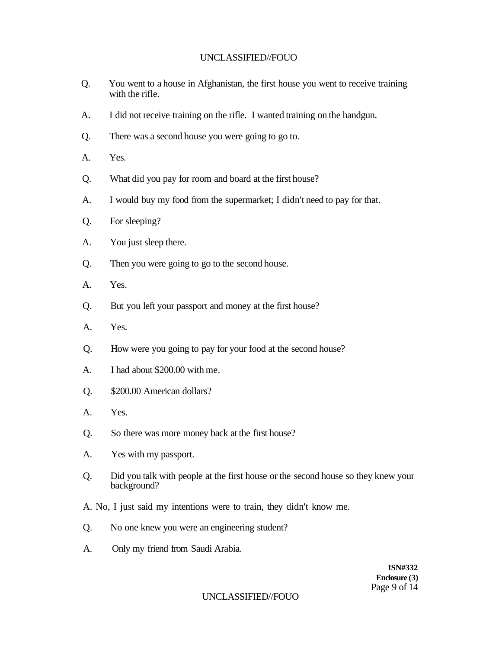- Q. You went to a house in Afghanistan, the first house you went to receive training with the rifle.
- A. I did not receive training on the rifle. I wanted training on the handgun.
- Q. There was a second house you were going to go to.
- A. Yes.
- Q. What did you pay for room and board at the first house?
- A. I would buy my food from the supermarket; I didn't need to pay for that.
- Q. For sleeping?
- A. You just sleep there.
- Q. Then you were going to go to the second house.
- A. Yes.
- Q. But you left your passport and money at the first house?
- A. Yes.
- Q. How were you going to pay for your food at the second house?
- A. I had about \$200.00 with me.
- Q. \$200.00 American dollars?
- A. Yes.
- Q. So there was more money back at the first house?
- A. Yes with my passport.
- Q. Did you talk with people at the first house or the second house so they knew your background?
- A. No, I just said my intentions were to train, they didn't know me.
- Q. No one knew you were an engineering student?
- A. Only my friend from Saudi Arabia.

**ISN#332 Enclosure (3)**  Page 9 of 14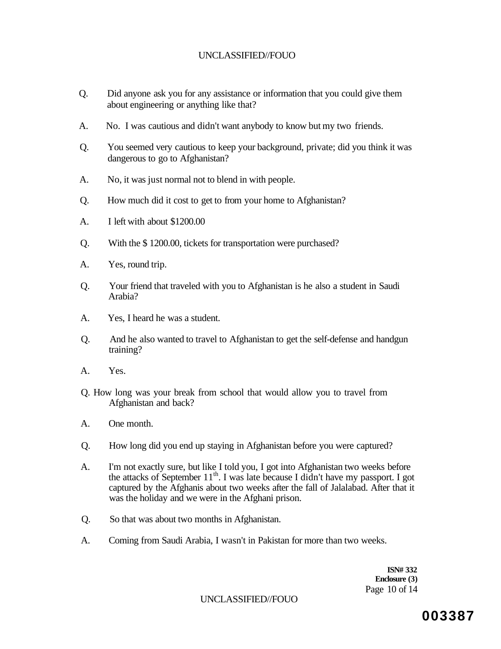- Q. Did anyone ask you for any assistance or information that you could give them about engineering or anything like that?
- A. No. I was cautious and didn't want anybody to know but my two friends.
- Q. You seemed very cautious to keep your background, private; did you think it was dangerous to go to Afghanistan?
- A. No, it was just normal not to blend in with people.
- Q. How much did it cost to get to from your home to Afghanistan?
- A. I left with about \$1200.00
- Q. With the \$ 1200.00, tickets for transportation were purchased?
- A. Yes, round trip.
- Q. Your friend that traveled with you to Afghanistan is he also a student in Saudi Arabia?
- A. Yes, I heard he was a student.
- Q. And he also wanted to travel to Afghanistan to get the self-defense and handgun training?
- A. Yes.
- Q. How long was your break from school that would allow you to travel from Afghanistan and back?
- A. One month.
- Q. How long did you end up staying in Afghanistan before you were captured?
- A. I'm not exactly sure, but like I told you, I got into Afghanistan two weeks before the attacks of September 11<sup>th</sup>. I was late because I didn't have my passport. I got captured by the Afghanis about two weeks after the fall of Jalalabad. After that it was the holiday and we were in the Afghani prison.
- Q. So that was about two months in Afghanistan.
- A. Coming from Saudi Arabia, I wasn't in Pakistan for more than two weeks.

**ISN# 332 Enclosure (3)**  Page 10 of 14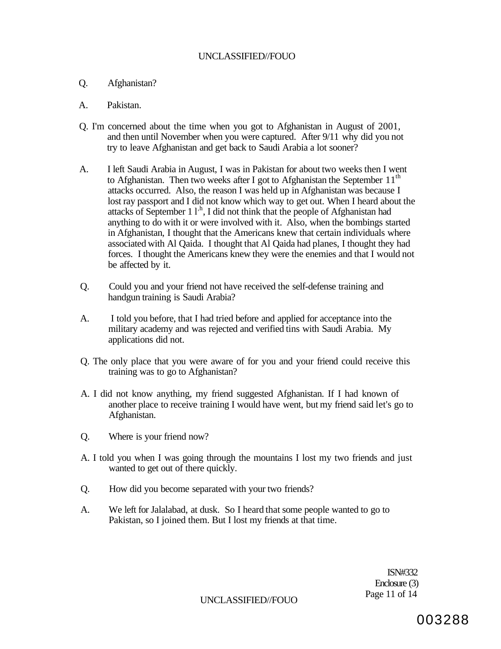# Q. Afghanistan?

# A. Pakistan.

- Q. I'm concerned about the time when you got to Afghanistan in August of 2001, and then until November when you were captured. After 9/11 why did you not try to leave Afghanistan and get back to Saudi Arabia a lot sooner?
- A. I left Saudi Arabia in August, I was in Pakistan for about two weeks then I went to Afghanistan. Then two weeks after I got to Afghanistan the September  $11<sup>th</sup>$ attacks occurred. Also, the reason I was held up in Afghanistan was because I lost ray passport and I did not know which way to get out. When I heard about the attacks of September 1  $1<sup>h</sup>$ , I did not think that the people of Afghanistan had anything to do with it or were involved with it. Also, when the bombings started in Afghanistan, I thought that the Americans knew that certain individuals where associated with Al Qaida. I thought that Al Qaida had planes, I thought they had forces. I thought the Americans knew they were the enemies and that I would not be affected by it.
- Q. Could you and your friend not have received the self-defense training and handgun training is Saudi Arabia?
- A. I told you before, that I had tried before and applied for acceptance into the military academy and was rejected and verified tins with Saudi Arabia. My applications did not.
- Q. The only place that you were aware of for you and your friend could receive this training was to go to Afghanistan?
- A. I did not know anything, my friend suggested Afghanistan. If I had known of another place to receive training I would have went, but my friend said let's go to Afghanistan.
- Q. Where is your friend now?
- A. I told you when I was going through the mountains I lost my two friends and just wanted to get out of there quickly.
- Q. How did you become separated with your two friends?
- A. We left for Jalalabad, at dusk. So I heard that some people wanted to go to Pakistan, so I joined them. But I lost my friends at that time.

ISN#332 Enclosure (3)

Page 11 of 14 UNCLASSIFIED//FOUO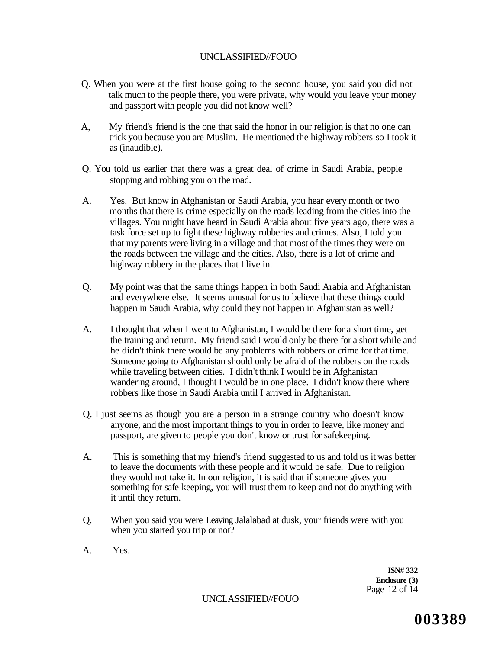- Q. When you were at the first house going to the second house, you said you did not talk much to the people there, you were private, why would you leave your money and passport with people you did not know well?
- A, My friend's friend is the one that said the honor in our religion is that no one can trick you because you are Muslim. He mentioned the highway robbers so I took it as (inaudible).
- Q. You told us earlier that there was a great deal of crime in Saudi Arabia, people stopping and robbing you on the road.
- A. Yes. But know in Afghanistan or Saudi Arabia, you hear every month or two months that there is crime especially on the roads leading from the cities into the villages. You might have heard in Saudi Arabia about five years ago, there was a task force set up to fight these highway robberies and crimes. Also, I told you that my parents were living in a village and that most of the times they were on the roads between the village and the cities. Also, there is a lot of crime and highway robbery in the places that I live in.
- Q. My point was that the same things happen in both Saudi Arabia and Afghanistan and everywhere else. It seems unusual for us to believe that these things could happen in Saudi Arabia, why could they not happen in Afghanistan as well?
- A. I thought that when I went to Afghanistan, I would be there for a short time, get the training and return. My friend said I would only be there for a short while and he didn't think there would be any problems with robbers or crime for that time. Someone going to Afghanistan should only be afraid of the robbers on the roads while traveling between cities. I didn't think I would be in Afghanistan wandering around, I thought I would be in one place. I didn't know there where robbers like those in Saudi Arabia until I arrived in Afghanistan.
- Q. I just seems as though you are a person in a strange country who doesn't know anyone, and the most important things to you in order to leave, like money and passport, are given to people you don't know or trust for safekeeping.
- A. This is something that my friend's friend suggested to us and told us it was better to leave the documents with these people and it would be safe. Due to religion they would not take it. In our religion, it is said that if someone gives you something for safe keeping, you will trust them to keep and not do anything with it until they return.
- Q. When you said you were Leaving Jalalabad at dusk, your friends were with you when you started you trip or not?
- A. Yes.

**ISN# 332 Enclosure (3)**  Page 12 of 14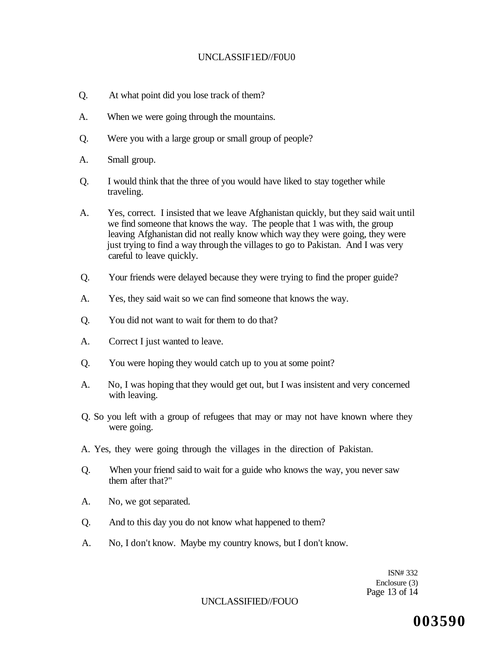# UNCLASSIF1ED//F0U0

- Q. At what point did you lose track of them?
- A. When we were going through the mountains.
- Q. Were you with a large group or small group of people?
- A. Small group.
- Q. I would think that the three of you would have liked to stay together while traveling.
- A. Yes, correct. I insisted that we leave Afghanistan quickly, but they said wait until we find someone that knows the way. The people that 1 was with, the group leaving Afghanistan did not really know which way they were going, they were just trying to find a way through the villages to go to Pakistan. And I was very careful to leave quickly.
- Q. Your friends were delayed because they were trying to find the proper guide?
- A. Yes, they said wait so we can find someone that knows the way.
- Q. You did not want to wait for them to do that?
- A. Correct I just wanted to leave.
- Q. You were hoping they would catch up to you at some point?
- A. No, I was hoping that they would get out, but I was insistent and very concerned with leaving.
- Q. So you left with a group of refugees that may or may not have known where they were going.
- A. Yes, they were going through the villages in the direction of Pakistan.
- Q. When your friend said to wait for a guide who knows the way, you never saw them after that?"
- A. No, we got separated.
- Q. And to this day you do not know what happened to them?
- A. No, I don't know. Maybe my country knows, but I don't know.

ISN# 332 Enclosure (3) Page 13 of 14

UNCLASSIFIED//FOUO

**003590**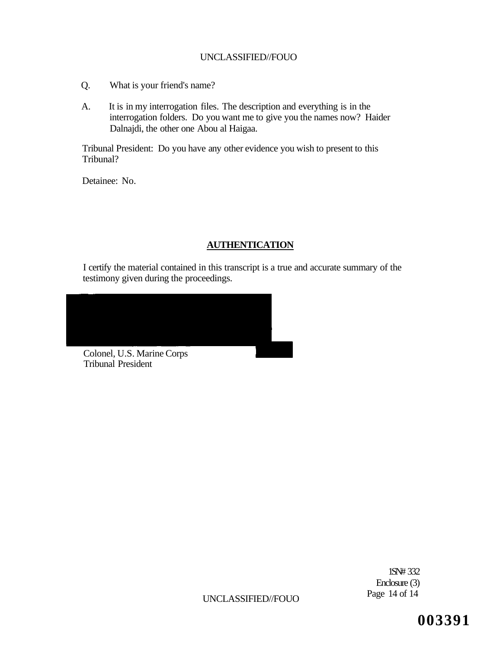- Q. What is your friend's name?
- A. It is in my interrogation files. The description and everything is in the interrogation folders. Do you want me to give you the names now? Haider Dalnajdi, the other one Abou al Haigaa.

Tribunal President: Do you have any other evidence you wish to present to this Tribunal?

Detainee: No.

# **AUTHENTICATION**

I certify the material contained in this transcript is a true and accurate summary of the testimony given during the proceedings.

Colonel, U.S. Marine Corps Tribunal President

1SN# 332 Enclosure (3) Page 14 of 14

UNCLASSIFIED//FOUO

**003391**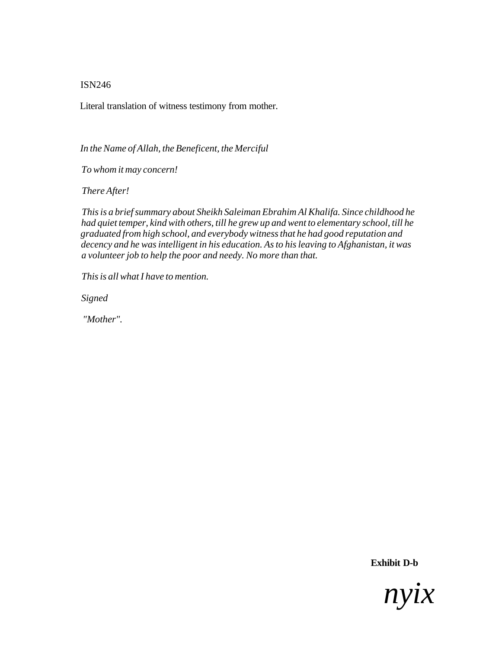ISN246

Literal translation of witness testimony from mother.

*In the Name of Allah, the Beneficent, the Merciful* 

*To whom it may concern!* 

*There After!* 

*This is a brief summary about Sheikh Saleiman Ebrahim Al Khalifa. Since childhood he had quiet temper, kind with others, till he grew up and went to elementary school, till he graduated from high school, and everybody witness that he had good reputation and decency and he was intelligent in his education. As to his leaving to Afghanistan, it was a volunteer job to help the poor and needy. No more than that.* 

*This is all what I have to mention.* 

*Signed* 

*"Mother".* 

**Exhibit D-b** 

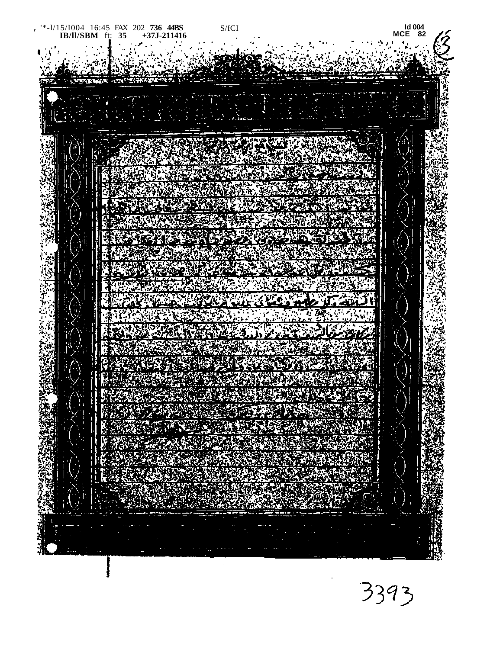

3393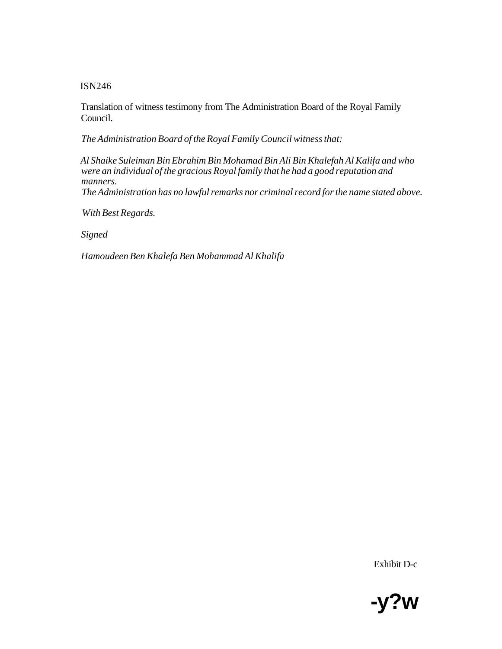ISN246

Translation of witness testimony from The Administration Board of the Royal Family Council.

*The Administration Board of the Royal Family Council witness that:* 

*Al Shaike Suleiman Bin Ebrahim Bin Mohamad Bin Ali Bin Khalefah Al Kalifa and who were an individual of the gracious Royal family that he had a good reputation and manners.* 

*The Administration has no lawful remarks nor criminal record for the name stated above.* 

*With Best Regards.* 

*Signed* 

*Hamoudeen Ben Khalefa Ben Mohammad Al Khalifa* 

Exhibit D-c

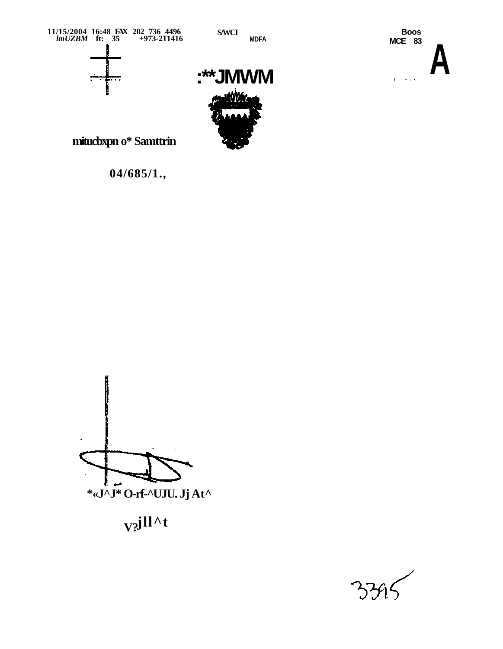**11/15/2004 16:48 FAX 202 736 4496**  *lmUZBM* **ft: 35 +973-211416** 

**S/WCI MDFA** 





I

**mitucbxpn o\* Samttrin** 

**04/685/1.,** 



**\*«J^J\* O-rf-^UJU. Jj At^** 

 $v_3$ **j**ll^t

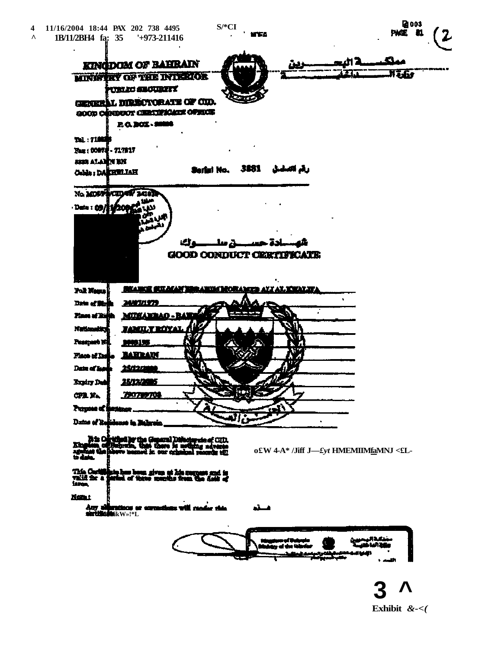

**3 ^ Exhibit** *&-<(*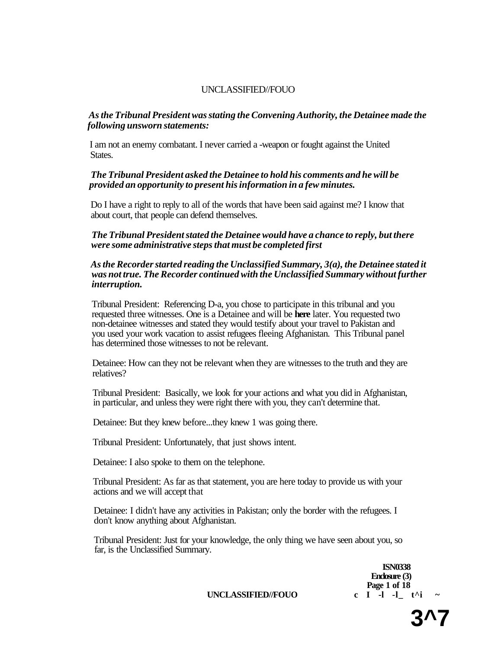# *As the Tribunal President was stating the Convening Authority, the Detainee made the following unsworn statements:*

I am not an enemy combatant. I never carried a -weapon or fought against the United States.

# *The Tribunal President asked the Detainee to hold his comments and he will be provided an opportunity to present his information in a few minutes.*

Do I have a right to reply to all of the words that have been said against me? I know that about court, that people can defend themselves.

*The Tribunal President stated the Detainee would have a chance to reply, but there were some administrative steps that must be completed first* 

#### *As the Recorder started reading the Unclassified Summary, 3(a), the Detainee stated it was not true. The Recorder continued with the Unclassified Summary without further interruption.*

Tribunal President: Referencing D-a, you chose to participate in this tribunal and you requested three witnesses. One is a Detainee and will be **here** later. You requested two non-detainee witnesses and stated they would testify about your travel to Pakistan and you used your work vacation to assist refugees fleeing Afghanistan. This Tribunal panel has determined those witnesses to not be relevant.

Detainee: How can they not be relevant when they are witnesses to the truth and they are relatives?

Tribunal President: Basically, we look for your actions and what you did in Afghanistan, in particular, and unless they were right there with you, they can't determine that.

Detainee: But they knew before...they knew 1 was going there.

Tribunal President: Unfortunately, that just shows intent.

Detainee: I also spoke to them on the telephone.

Tribunal President: As far as that statement, you are here today to provide us with your actions and we will accept that

Detainee: I didn't have any activities in Pakistan; only the border with the refugees. I don't know anything about Afghanistan.

Tribunal President: Just for your knowledge, the only thing we have seen about you, so far, is the Unclassified Summary.

> **ISN0338 Enclosure (3) Page 1 of 18**

> > **3^7**

UNCLASSIFIED//FOUO c I -l -l t^i ~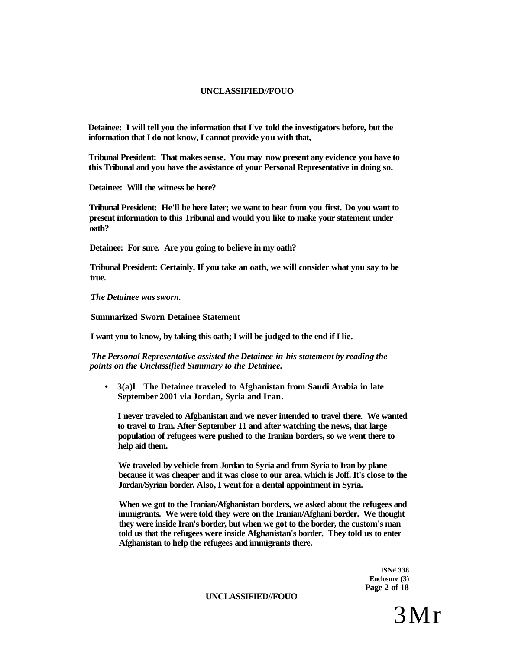**Detainee: I will tell you the information that I've told the investigators before, but the information that I do not know, I cannot provide you with that,** 

**Tribunal President: That makes sense. You may now present any evidence you have to this Tribunal and you have the assistance of your Personal Representative in doing so.** 

**Detainee: Will the witness be here?** 

**Tribunal President: He'll be here later; we want to hear from you first. Do you want to present information to this Tribunal and would you like to make your statement under oath?** 

**Detainee: For sure. Are you going to believe in my oath?** 

**Tribunal President: Certainly. If you take an oath, we will consider what you say to be true.** 

*The Detainee was sworn.* 

#### **Summarized Sworn Detainee Statement**

**I want you to know, by taking this oath; I will be judged to the end if I lie.** 

*The Personal Representative assisted the Detainee in his statement by reading the points on the Unclassified Summary to the Detainee.* 

**• 3(a)l The Detainee traveled to Afghanistan from Saudi Arabia in late September 2001 via Jordan, Syria and Iran.** 

**I never traveled to Afghanistan and we never intended to travel there. We wanted to travel to Iran. After September 11 and after watching the news, that large population of refugees were pushed to the Iranian borders, so we went there to help aid them.** 

**We traveled by vehicle from Jordan to Syria and from Syria to Iran by plane because it was cheaper and it was close to our area, which is Joff. It's close to the Jordan/Syrian border. Also, I went for a dental appointment in Syria.** 

**When we got to the Iranian/Afghanistan borders, we asked about the refugees and immigrants. We were told they were on the Iranian/Afghani border. We thought they were inside Iran's border, but when we got to the border, the custom's man told us that the refugees were inside Afghanistan's border. They told us to enter Afghanistan to help the refugees and immigrants there.** 

> **ISN# 338 Enclosure (3) Page 2 of 18**

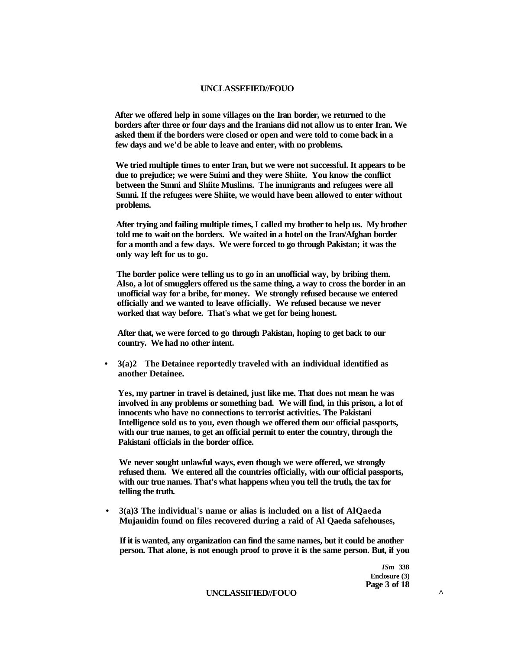**After we offered help in some villages on the Iran border, we returned to the borders after three or four days and the Iranians did not allow us to enter Iran. We asked them if the borders were closed or open and were told to come back in a few days and we'd be able to leave and enter, with no problems.** 

**We tried multiple times to enter Iran, but we were not successful. It appears to be due to prejudice; we were Suimi and they were Shiite. You know the conflict between the Sunni and Shiite Muslims. The immigrants and refugees were all Sunni. If the refugees were Shiite, we would have been allowed to enter without problems.** 

**After trying and failing multiple times, I called my brother to help us. My brother told me to wait on the borders. We waited in a hotel on the Iran/Afghan border for a month and a few days. We were forced to go through Pakistan; it was the only way left for us to go.** 

**The border police were telling us to go in an unofficial way, by bribing them. Also, a lot of smugglers offered us the same thing, a way to cross the border in an unofficial way for a bribe, for money. We strongly refused because we entered officially and we wanted to leave officially. We refused because we never worked that way before. That's what we get for being honest.** 

**After that, we were forced to go through Pakistan, hoping to get back to our country. We had no other intent.** 

**• 3(a)2 The Detainee reportedly traveled with an individual identified as another Detainee.** 

**Yes, my partner in travel is detained, just like me. That does not mean he was involved in any problems or something bad. We will find, in this prison, a lot of innocents who have no connections to terrorist activities. The Pakistani Intelligence sold us to you, even though we offered them our official passports,**  with our true names, to get an official permit to enter the country, through the **Pakistani officials in the border office.** 

**We never sought unlawful ways, even though we were offered, we strongly refused them. We entered all the countries officially, with our official passports, with our true names. That's what happens when you tell the truth, the tax for telling the truth.** 

**• 3(a)3 The individual's name or alias is included on a list of AlQaeda Mujauidin found on files recovered during a raid of Al Qaeda safehouses,** 

**If it is wanted, any organization can find the same names, but it could be another person. That alone, is not enough proof to prove it is the same person. But, if you** 

> *ISm* **338 Enclosure (3) Page 3 of 18**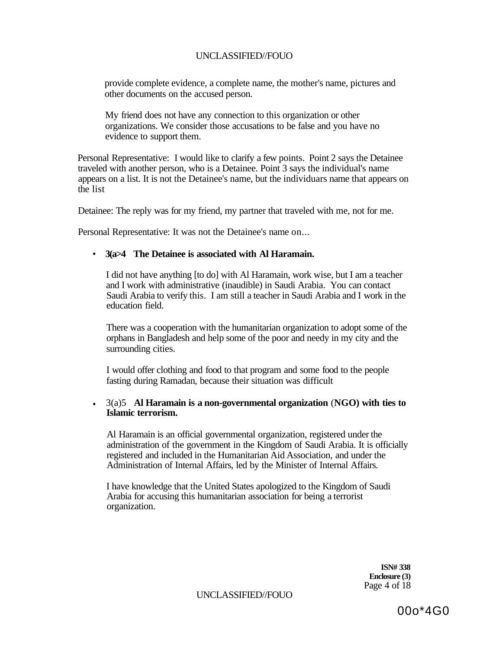provide complete evidence, a complete name, the mother's name, pictures and other documents on the accused person.

My friend does not have any connection to this organization or other organizations. We consider those accusations to be false and you have no evidence to support them.

Personal Representative: I would like to clarify a few points. Point 2 says the Detainee traveled with another person, who is a Detainee. Point 3 says the individual's name appears on a list. It is not the Detainee's name, but the individuars name that appears on the list

Detainee: The reply was for my friend, my partner that traveled with me, not for me.

Personal Representative: It was not the Detainee's name on...

# • 3(a>4 The Detainee is associated with Al Haramain.

I did not have anything [to do] with Al Haramain, work wise, but I am a teacher and I work with administrative (inaudible) in Saudi Arabia. You can contact Saudi Arabia to verify this. I am still a teacher in Saudi Arabia and I work in the education field.

There was a cooperation with the humanitarian organization to adopt some of the orphans in Bangladesh and help some of the poor and needy in my city and the surrounding cities.

I would offer clothing and food to that program and some food to the people fasting during Ramadan, because their situation was difficult

# **•** 3(a)5 **Al Haramain is a non-governmental organization** (**NGO) with ties to Islamic terrorism.**

Al Haramain is an official governmental organization, registered under the administration of the government in the Kingdom of Saudi Arabia. It is officially registered and included in the Humanitarian Aid Association, and under the Administration of Internal Affairs, led by the Minister of Internal Affairs.

I have knowledge that the United States apologized to the Kingdom of Saudi Arabia for accusing this humanitarian association for being a terrorist organization.

> **ISN# 338 Enclosure (3)**  Page 4 of 18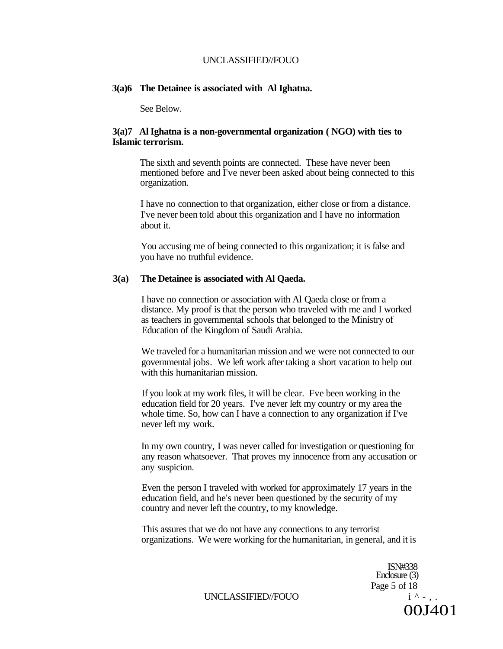#### **3(a)6 The Detainee is associated with Al Ighatna.**

See Below.

# **3(a)7 Al Ighatna is a non-governmental organization ( NGO) with ties to Islamic terrorism.**

The sixth and seventh points are connected. These have never been mentioned before and I've never been asked about being connected to this organization.

I have no connection to that organization, either close or from a distance. I've never been told about this organization and I have no information about it.

You accusing me of being connected to this organization; it is false and you have no truthful evidence.

#### **3(a) The Detainee is associated with Al Qaeda.**

I have no connection or association with Al Qaeda close or from a distance. My proof is that the person who traveled with me and I worked as teachers in governmental schools that belonged to the Ministry of Education of the Kingdom of Saudi Arabia.

We traveled for a humanitarian mission and we were not connected to our governmental jobs. We left work after taking a short vacation to help out with this humanitarian mission.

If you look at my work files, it will be clear. Fve been working in the education field for 20 years. I've never left my country or my area the whole time. So, how can I have a connection to any organization if I've never left my work.

In my own country, I was never called for investigation or questioning for any reason whatsoever. That proves my innocence from any accusation or any suspicion.

Even the person I traveled with worked for approximately 17 years in the education field, and he's never been questioned by the security of my country and never left the country, to my knowledge.

This assures that we do not have any connections to any terrorist organizations. We were working for the humanitarian, in general, and it is

> ISN#338 Enclosure (3) Page 5 of 18 00J401

UNCLASSIFIED//FOUO  $i^{\wedge}$ -, .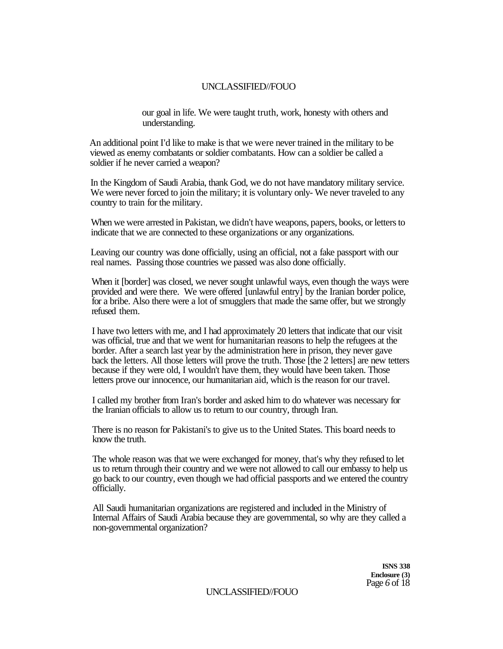our goal in life. We were taught truth, work, honesty with others and understanding.

An additional point I'd like to make is that we were never trained in the military to be viewed as enemy combatants or soldier combatants. How can a soldier be called a soldier if he never carried a weapon?

In the Kingdom of Saudi Arabia, thank God, we do not have mandatory military service. We were never forced to join the military; it is voluntary only- We never traveled to any country to train for the military.

When we were arrested in Pakistan, we didn't have weapons, papers, books, or letters to indicate that we are connected to these organizations or any organizations.

Leaving our country was done officially, using an official, not a fake passport with our real names. Passing those countries we passed was also done officially.

When it [border] was closed, we never sought unlawful ways, even though the ways were provided and were there. We were offered [unlawful entry] by the Iranian border police, for a bribe. Also there were a lot of smugglers that made the same offer, but we strongly refused them.

I have two letters with me, and I had approximately 20 letters that indicate that our visit was official, true and that we went for humanitarian reasons to help the refugees at the border. After a search last year by the administration here in prison, they never gave back the letters. All those letters will prove the truth. Those [the 2 letters] are new tetters because if they were old, I wouldn't have them, they would have been taken. Those letters prove our innocence, our humanitarian aid, which is the reason for our travel.

I called my brother from Iran's border and asked him to do whatever was necessary for the Iranian officials to allow us to return to our country, through Iran.

There is no reason for Pakistani's to give us to the United States. This board needs to know the truth.

The whole reason was that we were exchanged for money, that's why they refused to let us to return through their country and we were not allowed to call our embassy to help us go back to our country, even though we had official passports and we entered the country officially.

All Saudi humanitarian organizations are registered and included in the Ministry of Internal Affairs of Saudi Arabia because they are governmental, so why are they called a non-governmental organization?

> **ISNS 338 Enclosure (3)**  Page *6* of 18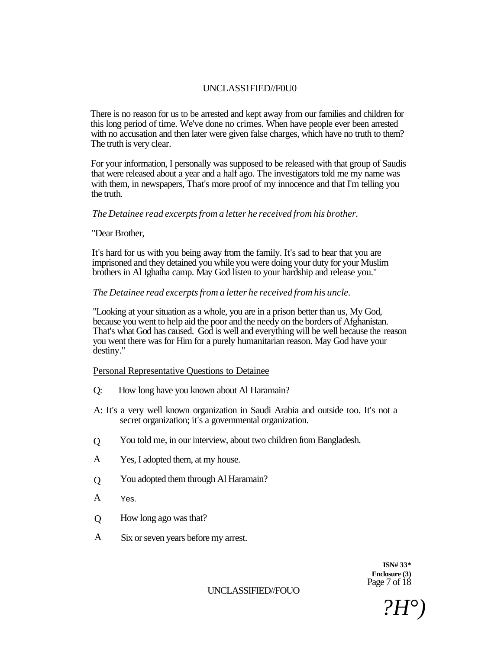# UNCLASS1FIED//F0U0

There is no reason for us to be arrested and kept away from our families and children for this long period of time. We've done no crimes. When have people ever been arrested with no accusation and then later were given false charges, which have no truth to them? The truth is very clear.

For your information, I personally was supposed to be released with that group of Saudis that were released about a year and a half ago. The investigators told me my name was with them, in newspapers, That's more proof of my innocence and that I'm telling you the truth.

# *The Detainee read excerpts from a letter he received from his brother.*

#### "Dear Brother,

It's hard for us with you being away from the family. It's sad to hear that you are imprisoned and they detained you while you were doing your duty for your Muslim brothers in Al Ighatha camp. May God listen to your hardship and release you."

# *The Detainee read excerpts from a letter he received from his uncle.*

"Looking at your situation as a whole, you are in a prison better than us, My God, because you went to help aid the poor and the needy on the borders of Afghanistan. That's what God has caused. God is well and everything will be well because the reason you went there was for Him for a purely humanitarian reason. May God have your destiny."

# Personal Representative Questions to Detainee

- Q: How long have you known about Al Haramain?
- A: It's a very well known organization in Saudi Arabia and outside too. It's not a secret organization; it's a governmental organization.
- $\overline{O}$ You told me, in our interview, about two children from Bangladesh.
- A Yes, I adopted them, at my house.
- Q You adopted them through Al Haramain?
- A Yes.
- Q How long ago was that?
- A Six or seven years before my arrest.

**ISN# 33\* Enclosure (3)**  Page 7 of 18

UNCLASSIFIED//FOUO

*?H°)*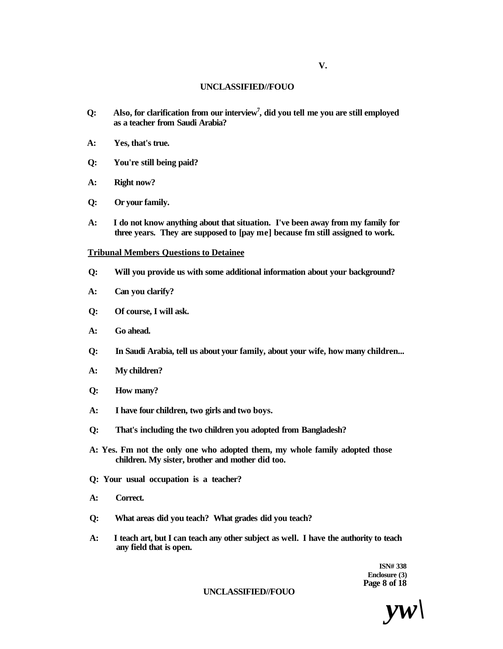**V.** 

#### **UNCLASSIFIED//FOUO**

- **Q: Also, for clarification from our interview<sup>7</sup> , did you tell me you are still employed as a teacher from Saudi Arabia?**
- **A: Yes, that's true.**
- **Q: You're still being paid?**
- **A: Right now?**
- **Q: Or your family.**
- **A: I do not know anything about that situation. I've been away from my family for three years. They are supposed to [pay me] because fm still assigned to work.**

#### **Tribunal Members Questions to Detainee**

- **Q: Will you provide us with some additional information about your background?**
- **A: Can you clarify?**
- **Q: Of course, I will ask.**
- **A: Go ahead.**
- **Q: In Saudi Arabia, tell us about your family, about your wife, how many children...**
- **A: My children?**
- **Q: How many?**
- **A: I have four children, two girls and two boys.**
- **Q: That's including the two children you adopted from Bangladesh?**
- **A: Yes. Fm not the only one who adopted them, my whole family adopted those children. My sister, brother and mother did too.**
- **Q: Your usual occupation is a teacher?**
- **A: Correct.**
- **Q: What areas did you teach? What grades did you teach?**
- **A: I teach art, but I can teach any other subject as well. I have the authority to teach any field that is open.**

**ISN# 338 Enclosure (3) Page 8 of 18**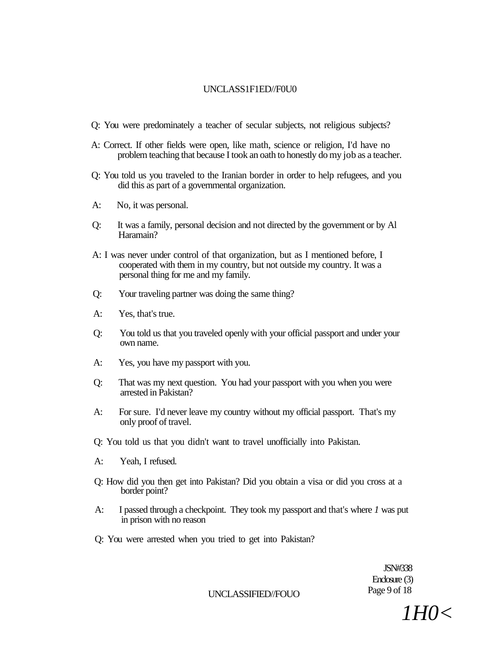# UNCLASS1F1ED//F0U0

- Q: You were predominately a teacher of secular subjects, not religious subjects?
- A: Correct. If other fields were open, like math, science or religion, I'd have no problem teaching that because I took an oath to honestly do my job as a teacher.
- Q: You told us you traveled to the Iranian border in order to help refugees, and you did this as part of a governmental organization.
- A: No, it was personal.
- Q: It was a family, personal decision and not directed by the government or by Al Haramain?
- A: I was never under control of that organization, but as I mentioned before, I cooperated with them in my country, but not outside my country. It was a personal thing for me and my family.
- Q: Your traveling partner was doing the same thing?
- A: Yes, that's true.
- Q: You told us that you traveled openly with your official passport and under your own name.
- A: Yes, you have my passport with you.
- Q: That was my next question. You had your passport with you when you were arrested in Pakistan?
- A: For sure. I'd never leave my country without my official passport. That's my only proof of travel.
- Q: You told us that you didn't want to travel unofficially into Pakistan.
- A: Yeah, I refused.
- Q: How did you then get into Pakistan? Did you obtain a visa or did you cross at a border point?
- A: I passed through a checkpoint. They took my passport and that's where *1* was put in prison with no reason
- Q: You were arrested when you tried to get into Pakistan?

JSN#338 Enclosure (3)

Page 9 of 18 UNCLASSIFIED//FOUO

*1H0<*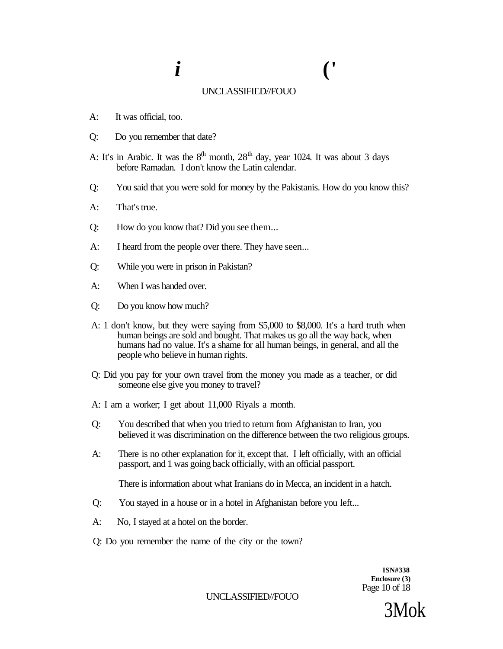# *i* **('**  UNCLASSIFIED//FOUO

- A: It was official, too.
- Q: Do you remember that date?
- A: It's in Arabic. It was the  $8^{th}$  month,  $28^{th}$  day, year 1024. It was about 3 days before Ramadan. I don't know the Latin calendar.
- Q: You said that you were sold for money by the Pakistanis. How do you know this?
- A: That's true.
- Q: How do you know that? Did you see them...
- A: I heard from the people over there. They have seen...
- Q: While you were in prison in Pakistan?
- A: When I was handed over.
- Q: Do you know how much?
- A: 1 don't know, but they were saying from \$5,000 to \$8,000. It's a hard truth when human beings are sold and bought. That makes us go all the way back, when humans had no value. It's a shame for all human beings, in general, and all the people who believe in human rights.
- Q: Did you pay for your own travel from the money you made as a teacher, or did someone else give you money to travel?
- A: I am a worker; I get about 11,000 Riyals a month.
- Q: You described that when you tried to return from Afghanistan to Iran, you believed it was discrimination on the difference between the two religious groups.
- A: There is no other explanation for it, except that. I left officially, with an official passport, and 1 was going back officially, with an official passport.

There is information about what Iranians do in Mecca, an incident in a hatch.

- Q: You stayed in a house or in a hotel in Afghanistan before you left...
- A: No, I stayed at a hotel on the border.
- Q: Do you remember the name of the city or the town?

**ISN#338 Enclosure (3)**  Page 10 of 18

3Mok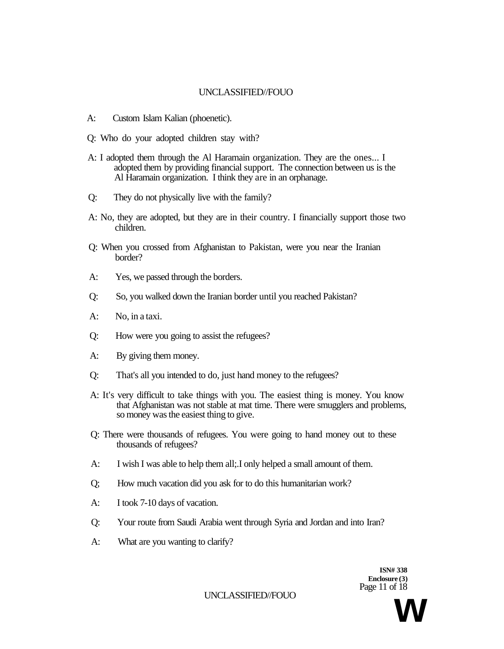- A: Custom Islam Kalian (phoenetic).
- Q: Who do your adopted children stay with?
- A: I adopted them through the Al Haramain organization. They are the ones... I adopted them by providing financial support. The connection between us is the Al Haramain organization. I think they are in an orphanage.
- Q: They do not physically live with the family?
- A: No, they are adopted, but they are in their country. I financially support those two children.
- Q: When you crossed from Afghanistan to Pakistan, were you near the Iranian border?
- A: Yes, we passed through the borders.
- Q: So, you walked down the Iranian border until you reached Pakistan?
- A: No, in a taxi.
- Q: How were you going to assist the refugees?
- A: By giving them money.
- Q: That's all you intended to do, just hand money to the refugees?
- A: It's very difficult to take things with you. The easiest thing is money. You know that Afghanistan was not stable at mat time. There were smugglers and problems, so money was the easiest thing to give.
- Q: There were thousands of refugees. You were going to hand money out to these thousands of refugees?
- A: I wish I was able to help them all;.I only helped a small amount of them.
- Q; How much vacation did you ask for to do this humanitarian work?
- A: I took 7-10 days of vacation.
- Q: Your route from Saudi Arabia went through Syria and Jordan and into Iran?
- A: What are you wanting to clarify?

**ISN# 338 Enclosure (3)**  Page 11 of 18



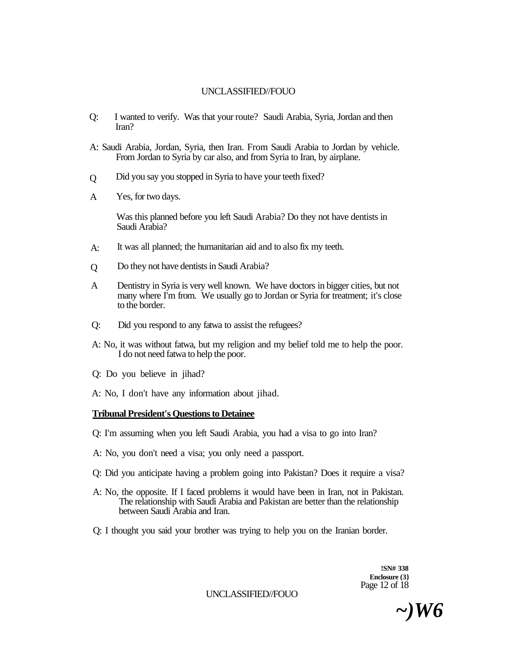- Q: I wanted to verify. Was that your route? Saudi Arabia, Syria, Jordan and then Iran?
- A: Saudi Arabia, Jordan, Syria, then Iran. From Saudi Arabia to Jordan by vehicle. From Jordan to Syria by car also, and from Syria to Iran, by airplane.
- $\overline{O}$ Did you say you stopped in Syria to have your teeth fixed?
- A Yes, for two days.

Was this planned before you left Saudi Arabia? Do they not have dentists in Saudi Arabia?

- $A$ : It was all planned; the humanitarian aid and to also fix my teeth.
- $\overline{O}$ Do they not have dentists in Saudi Arabia?
- A Dentistry in Syria is very well known. We have doctors in bigger cities, but not many where I'm from. We usually go to Jordan or Syria for treatment; it's close to the border.
- Q: Did you respond to any fatwa to assist the refugees?
- A: No, it was without fatwa, but my religion and my belief told me to help the poor. I do not need fatwa to help the poor.
- Q: Do you believe in jihad?
- A: No, I don't have any information about jihad.

# **Tribunal President's Questions to Detainee**

- Q: I'm assuming when you left Saudi Arabia, you had a visa to go into Iran?
- A: No, you don't need a visa; you only need a passport.
- Q: Did you anticipate having a problem going into Pakistan? Does it require a visa?
- A: No, the opposite. If I faced problems it would have been in Iran, not in Pakistan. The relationship with Saudi Arabia and Pakistan are better than the relationship between Saudi Arabia and Iran.
- Q: I thought you said your brother was trying to help you on the Iranian border.

**!SN# 338 Enclosure (3}**  Page 12 of 18

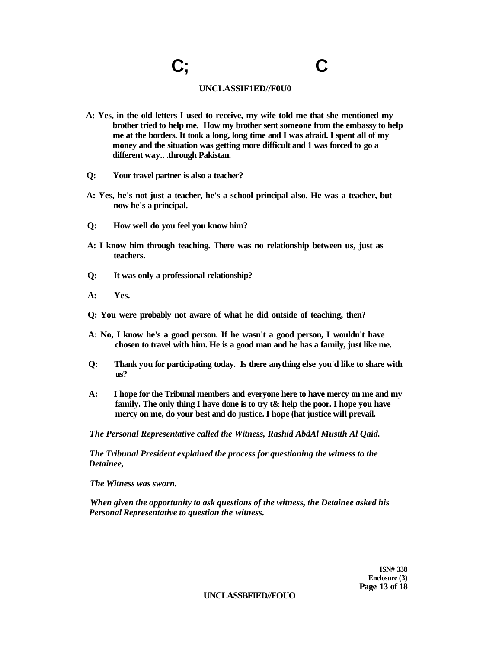# **C; C**

#### **UNCLASSIF1ED//F0U0**

- **A: Yes, in the old letters I used to receive, my wife told me that she mentioned my brother tried to help me. How my brother sent someone from the embassy to help me at the borders. It took a long, long time and I was afraid. I spent all of my money and the situation was getting more difficult and 1 was forced to go a different way.. .through Pakistan.**
- **Q: Your travel partner is also a teacher?**
- **A: Yes, he's not just a teacher, he's a school principal also. He was a teacher, but now he's a principal.**
- **Q: How well do you feel you know him?**
- **A: I know him through teaching. There was no relationship between us, just as teachers.**
- **Q: It was only a professional relationship?**
- **A: Yes.**
- **Q: You were probably not aware of what he did outside of teaching, then?**
- **A: No, I know he's a good person. If he wasn't a good person, I wouldn't have chosen to travel with him. He is a good man and he has a family, just like me.**
- **Q: Thank you for participating today. Is there anything else you'd like to share with us?**
- **A: I hope for the Tribunal members and everyone here to have mercy on me and my family. The only thing I have done is to try t& help the poor. I hope you have mercy on me, do your best and do justice. I hope (hat justice will prevail.**

*The Personal Representative called the Witness, Rashid AbdAl Mustth Al Qaid.* 

*The Tribunal President explained the process for questioning the witness to the Detainee,* 

*The Witness was sworn.* 

*When given the opportunity to ask questions of the witness, the Detainee asked his Personal Representative to question the witness.* 

> **ISN# 338 Enclosure (3) Page 13 of 18**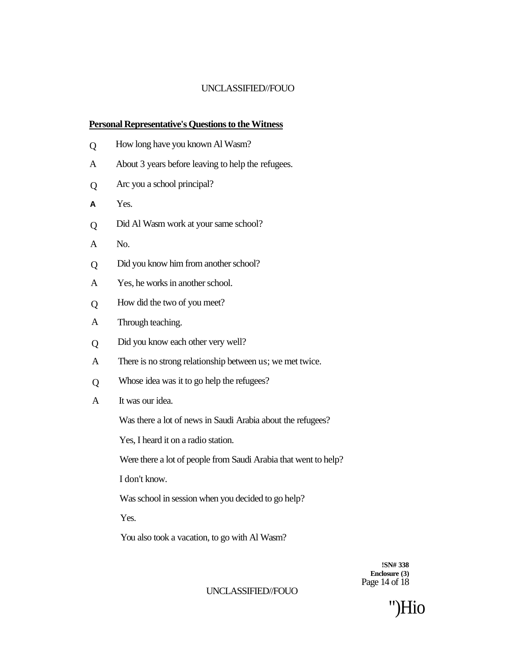# **Personal Representative's Questions to the Witness**

- Q How long have you known Al Wasm?
- A About 3 years before leaving to help the refugees.
- $\overline{O}$ Arc you a school principal?
- **A**  Yes.
- Q Did Al Wasm work at your same school?
- A No.
- $\overline{O}$ Did you know him from another school?
- A Yes, he works in another school.
- Q How did the two of you meet?
- A Through teaching.
- Q Did you know each other very well?
- A There is no strong relationship between us; we met twice.
- Q Whose idea was it to go help the refugees?
- A It was our idea.

Was there a lot of news in Saudi Arabia about the refugees?

Yes, I heard it on a radio station.

Were there a lot of people from Saudi Arabia that went to help?

I don't know.

Was school in session when you decided to go help?

Yes.

You also took a vacation, to go with Al Wasm?

**!SN# 338 Enclosure (3)**  Page 14 of 18

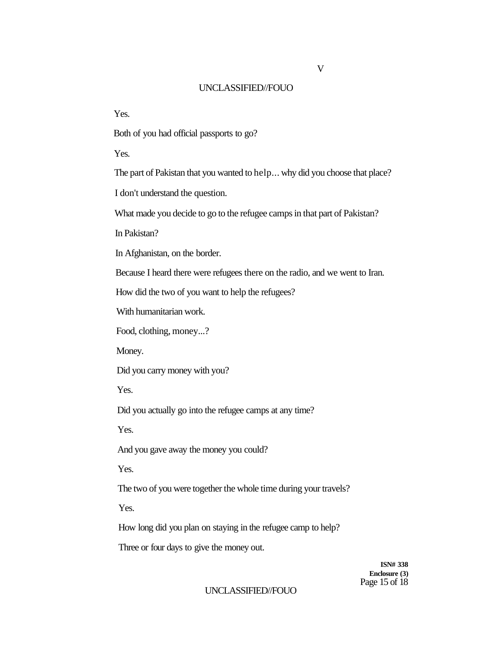Yes.

Both of you had official passports to go?

Yes.

The part of Pakistan that you wanted to help... why did you choose that place?

I don't understand the question.

What made you decide to go to the refugee camps in that part of Pakistan?

In Pakistan?

In Afghanistan, on the border.

Because I heard there were refugees there on the radio, and we went to Iran.

How did the two of you want to help the refugees?

With humanitarian work.

Food, clothing, money...?

Money.

Did you carry money with you?

Yes.

Did you actually go into the refugee camps at any time?

Yes.

And you gave away the money you could?

Yes.

The two of you were together the whole time during your travels?

Yes.

How long did you plan on staying in the refugee camp to help?

Three or four days to give the money out.

**ISN# 338 Enclosure (3)**  Page 15 of 18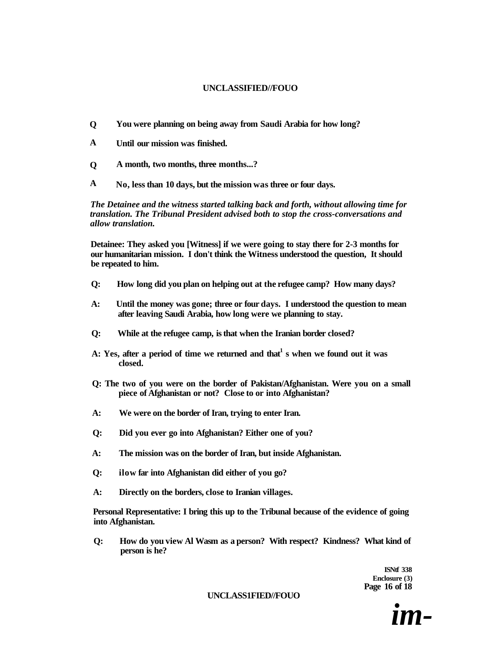- **Q You were planning on being away from Saudi Arabia for how long?**
- **A Until our mission was finished.**
- **Q A month, two months, three months...?**
- **A No, less than 10 days, but the mission was three or four days.**

*The Detainee and the witness started talking back and forth, without allowing time for translation. The Tribunal President advised both to stop the cross-conversations and allow translation.* 

**Detainee: They asked you [Witness] if we were going to stay there for 2-3 months for our humanitarian mission. I don't think the Witness understood the question, It should be repeated to him.** 

- **Q: How long did you plan on helping out at the refugee camp? How many days?**
- **A: Until the money was gone; three or four days. I understood the question to mean after leaving Saudi Arabia, how long were we planning to stay.**
- **Q: While at the refugee camp, is that when the Iranian border closed?**
- **A: Yes, after a period of time we returned and that<sup>1</sup> s when we found out it was closed.**
- **Q: The two of you were on the border of Pakistan/Afghanistan. Were you on a small piece of Afghanistan or not? Close to or into Afghanistan?**
- **A: We were on the border of Iran, trying to enter Iran.**
- **Q: Did you ever go into Afghanistan? Either one of you?**
- **A: The mission was on the border of Iran, but inside Afghanistan.**
- **Q: ilow far into Afghanistan did either of you go?**
- **A: Directly on the borders, close to Iranian villages.**

**Personal Representative: I bring this up to the Tribunal because of the evidence of going into Afghanistan.** 

**Q: How do you view Al Wasm as a person? With respect? Kindness? What kind of person is he?** 

> **ISNtf 338 Enclosure (3) Page 16 of 18**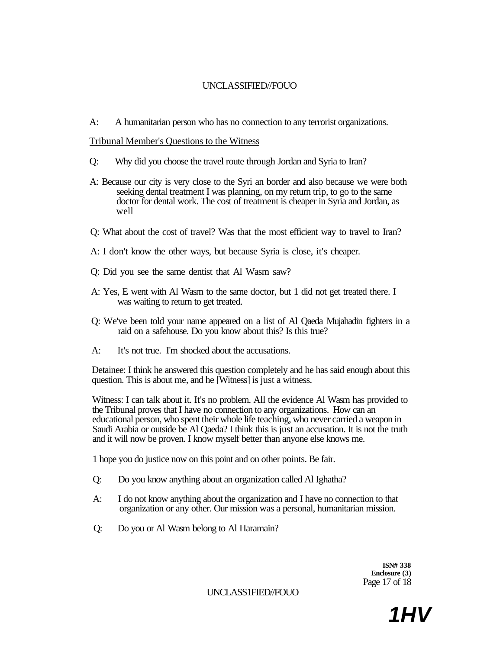A: A humanitarian person who has no connection to any terrorist organizations.

# Tribunal Member's Questions to the Witness

- Q: Why did you choose the travel route through Jordan and Syria to Iran?
- A: Because our city is very close to the Syri an border and also because we were both seeking dental treatment I was planning, on my return trip, to go to the same doctor for dental work. The cost of treatment is cheaper in Syria and Jordan, as well
- Q: What about the cost of travel? Was that the most efficient way to travel to Iran?
- A: I don't know the other ways, but because Syria is close, it's cheaper.
- Q: Did you see the same dentist that Al Wasm saw?
- A: Yes, E went with Al Wasm to the same doctor, but 1 did not get treated there. I was waiting to return to get treated.
- Q: We've been told your name appeared on a list of Al Qaeda Mujahadin fighters in a raid on a safehouse. Do you know about this? Is this true?
- A: It's not true. I'm shocked about the accusations.

Detainee: I think he answered this question completely and he has said enough about this question. This is about me, and he [Witness] is just a witness.

Witness: I can talk about it. It's no problem. All the evidence Al Wasm has provided to the Tribunal proves that I have no connection to any organizations. How can an educational person, who spent their whole life teaching, who never carried a weapon in Saudi Arabia or outside be Al Qaeda? I think this is just an accusation. It is not the truth and it will now be proven. I know myself better than anyone else knows me.

1 hope you do justice now on this point and on other points. Be fair.

- Q: Do you know anything about an organization called Al Ighatha?
- A: I do not know anything about the organization and I have no connection to that organization or any other. Our mission was a personal, humanitarian mission.
- Q: Do you or Al Wasm belong to Al Haramain?

**ISN# 338 Enclosure (3)**  Page 17 of 18

UNCLASS1FIED//FOUO

**1HV**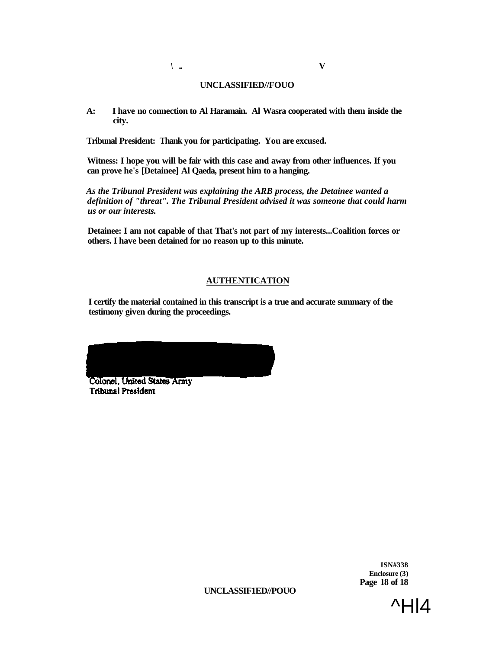$\vert$  **.**  $\vert$ 

#### **UNCLASSIFIED//FOUO**

**A: I have no connection to Al Haramain. Al Wasra cooperated with them inside the city.** 

**Tribunal President: Thank you for participating. You are excused.** 

**Witness: I hope you will be fair with this case and away from other influences. If you can prove he's [Detainee] Al Qaeda, present him to a hanging.** 

*As the Tribunal President was explaining the ARB process, the Detainee wanted a definition of "threat". The Tribunal President advised it was someone that could harm us or our interests.* 

**Detainee: I am not capable of that That's not part of my interests...Coalition forces or others. I have been detained for no reason up to this minute.** 

#### **AUTHENTICATION**

**I certify the material contained in this transcript is a true and accurate summary of the testimony given during the proceedings.** 

Colonel, United States Army **Tribunal President** 

**ISN#338 Enclosure (3) Page 18 of 18** 

**UNCLASSIF1ED//POUO** 

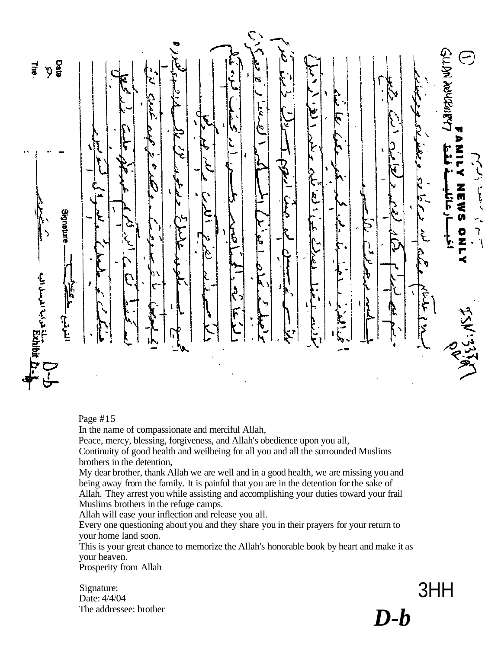

# Page #15

In the name of compassionate and merciful Allah,

Peace, mercy, blessing, forgiveness, and Allah's obedience upon you all,

Continuity of good health and weilbeing for all you and all the surrounded Muslims brothers in the detention,

My dear brother, thank Allah we are well and in a good health, we are missing you and being away from the family. It is painful that you are in the detention for the sake of Allah. They arrest you while assisting and accomplishing your duties toward your frail Muslims brothers in the refuge camps.

Allah will ease your inflection and release you all.

Every one questioning about you and they share you in their prayers for your return to your home land soon.

This is your great chance to memorize the Allah's honorable book by heart and make it as your heaven.

Prosperity from Allah

Signature: Date: 4/4/04 The addressee: brother

3HH *D-b*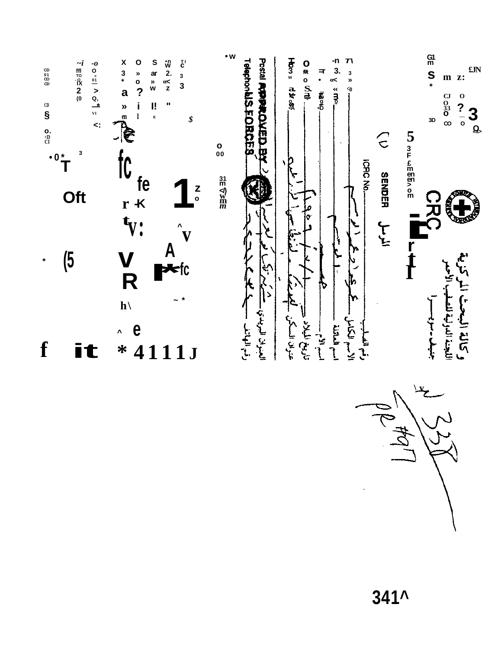

 $\mathbf{v}$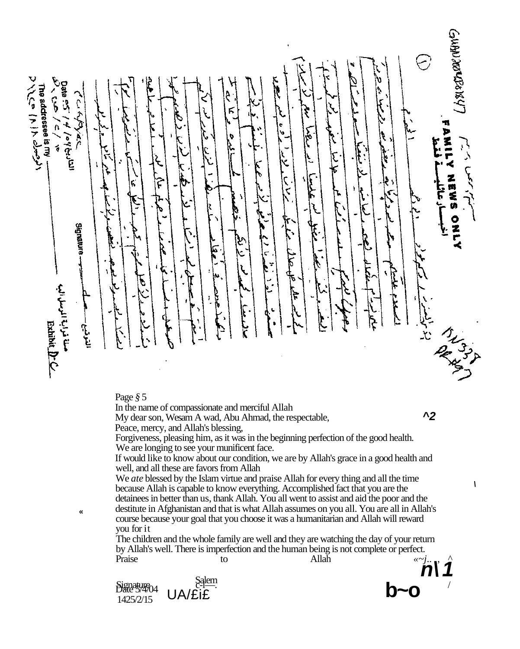CASISZONOR (NGME)  $P$  (Le  $|h|h$  d)  $dp$ The addresses is my<br>The addresses الثاريخ لإه/ Þ **ARSE** ٢ Ē OZE Signatureķ  $\widetilde{\delta}$ <u>المملك</u>ة<br>المراجعة Ğ صنة توابئة المزسل الب<br>مسئة توابئة المزسل الب p<br>F È C. Music Exhibit D-C التوقيع سم<br>مار

## Page *§* 5

**«** 

In the name of compassionate and merciful Allah

My dear son, Wesam A wad, Abu Ahmad, the respectable,

**^2** 

**\** 

Peace, mercy, and Allah's blessing,

Forgiveness, pleasing him, as it was in the beginning perfection of the good health. We are longing to see your munificent face.

If would like to know about our condition, we are by Allah's grace in a good health and well, and all these are favors from Allah

We *ate* blessed by the Islam virtue and praise Allah for every thing and all the time because Allah is capable to know everything. Accomplished fact that you are the detainees in better than us, thank Allah. You all went to assist and aid the poor and the destitute in Afghanistan and that is what Allah assumes on you all. You are all in Allah's course because your goal that you choose it was a humanitarian and Allah will reward you for it

The children and the whole family are well and they are watching the day of your return by Allah's well. There is imperfection and the human being is not complete or perfect.<br>Praise to Allah  $\frac{1}{2}$ Praise to Allah  $\alpha \sim j..$  and  $\alpha$  **n**  $\alpha$ 



 $\mathcal{S}$ ignature $\gamma$  .  $\mathcal{S}$ <sup>34</sup> Salem  $\frac{Signature}{D}$  UA/£i£ **b~o b**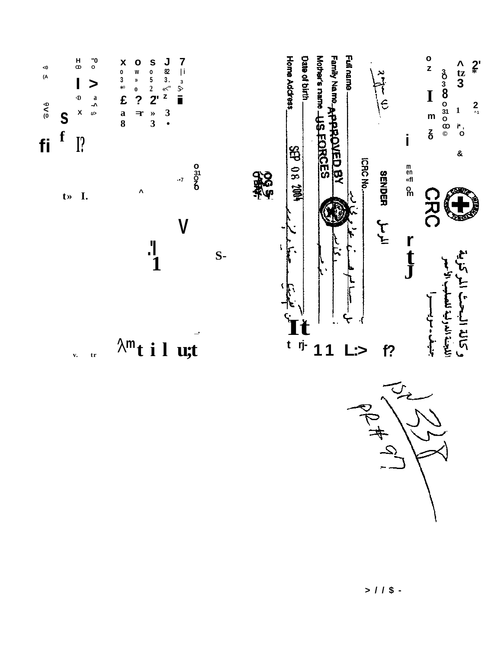

 $>11$  \$ -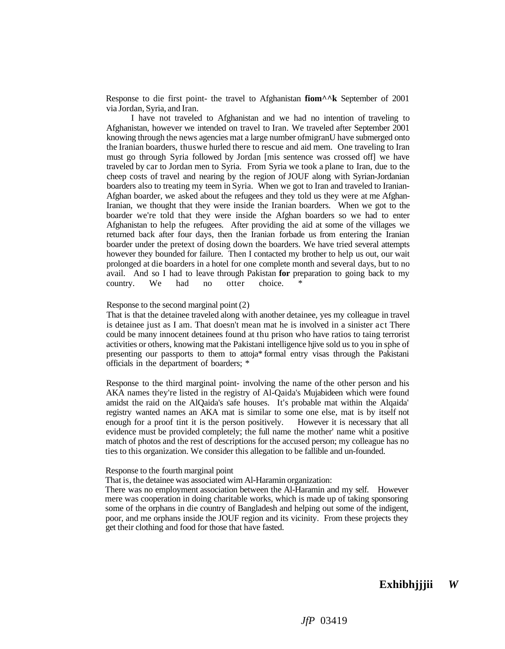Response to die first point- the travel to Afghanistan **fiom^^k** September of 2001 via Jordan, Syria, and Iran.

I have not traveled to Afghanistan and we had no intention of traveling to Afghanistan, however we intended on travel to Iran. We traveled after September 2001 knowing through the news agencies mat a large number ofmigranU have submerged onto the Iranian boarders, thuswe hurled there to rescue and aid mem. One traveling to Iran must go through Syria followed by Jordan [mis sentence was crossed off] we have traveled by car to Jordan men to Syria. From Syria we took a plane to Iran, due to the cheep costs of travel and nearing by the region of JOUF along with Syrian-Jordanian boarders also to treating my teem in Syria. When we got to Iran and traveled to Iranian-Afghan boarder, we asked about the refugees and they told us they were at me Afghan-Iranian, we thought that they were inside the Iranian boarders. When we got to the boarder we're told that they were inside the Afghan boarders so we had to enter Afghanistan to help the refugees. After providing the aid at some of the villages we returned back after four days, then the Iranian forbade us from entering the Iranian boarder under the pretext of dosing down the boarders. We have tried several attempts however they bounded for failure. Then I contacted my brother to help us out, our wait prolonged at die boarders in a hotel for one complete month and several days, but to no avail. And so I had to leave through Pakistan **for** preparation to going back to my country. We had no otter choice.

#### Response to the second marginal point (2)

That is that the detainee traveled along with another detainee, yes my colleague in travel is detainee just as I am. That doesn't mean mat he is involved in a sinister act There could be many innocent detainees found at thu prison who have ratios to taing terrorist activities or others, knowing mat the Pakistani intelligence hjive sold us to you in sphe of presenting our passports to them to attoja\* formal entry visas through the Pakistani officials in the department of boarders; \*

Response to the third marginal point- involving the name of the other person and his AKA names they're listed in the registry of Al-Qaida's Mujabideen which were found amidst the raid on the AlQaida's safe houses. It's probable mat within the Alqaida' registry wanted names an AKA mat is similar to some one else, mat is by itself not enough for a proof tint it is the person positively. However it is necessary that all evidence must be provided completely; the full name the mother' name whit a positive match of photos and the rest of descriptions for the accused person; my colleague has no ties to this organization. We consider this allegation to be fallible and un-founded.

#### Response to the fourth marginal point

That is, the detainee was associated wim Al-Haramin organization:

There was no employment association between the Al-Haramin and my self. However mere was cooperation in doing charitable works, which is made up of taking sponsoring some of the orphans in die country of Bangladesh and helping out some of the indigent, poor, and me orphans inside the JOUF region and its vicinity. From these projects they get their clothing and food for those that have fasted.

## **Exhibhjjjii** *W*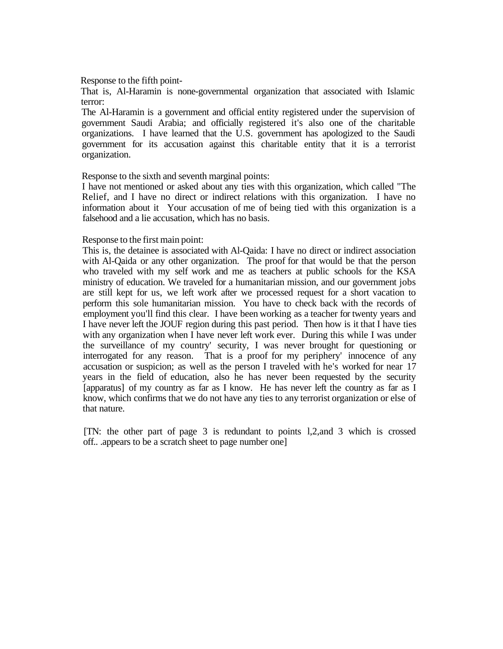Response to the fifth point-

That is, Al-Haramin is none-governmental organization that associated with Islamic terror:

The Al-Haramin is a government and official entity registered under the supervision of government Saudi Arabia; and officially registered it's also one of the charitable organizations. I have learned that the U.S. government has apologized to the Saudi government for its accusation against this charitable entity that it is a terrorist organization.

Response to the sixth and seventh marginal points:

I have not mentioned or asked about any ties with this organization, which called "The Relief, and I have no direct or indirect relations with this organization. I have no information about it Your accusation of me of being tied with this organization is a falsehood and a lie accusation, which has no basis.

#### Response to the first main point:

This is, the detainee is associated with Al-Qaida: I have no direct or indirect association with Al-Qaida or any other organization. The proof for that would be that the person who traveled with my self work and me as teachers at public schools for the KSA ministry of education. We traveled for a humanitarian mission, and our government jobs are still kept for us, we left work after we processed request for a short vacation to perform this sole humanitarian mission. You have to check back with the records of employment you'll find this clear. I have been working as a teacher for twenty years and I have never left the JOUF region during this past period. Then how is it that I have ties with any organization when I have never left work ever. During this while I was under the surveillance of my country' security, I was never brought for questioning or interrogated for any reason. That is a proof for my periphery' innocence of any accusation or suspicion; as well as the person I traveled with he's worked for near 17 years in the field of education, also he has never been requested by the security [apparatus] of my country as far as I know. He has never left the country as far as I know, which confirms that we do not have any ties to any terrorist organization or else of that nature.

[TN: the other part of page 3 is redundant to points l,2,and 3 which is crossed off.. .appears to be a scratch sheet to page number one]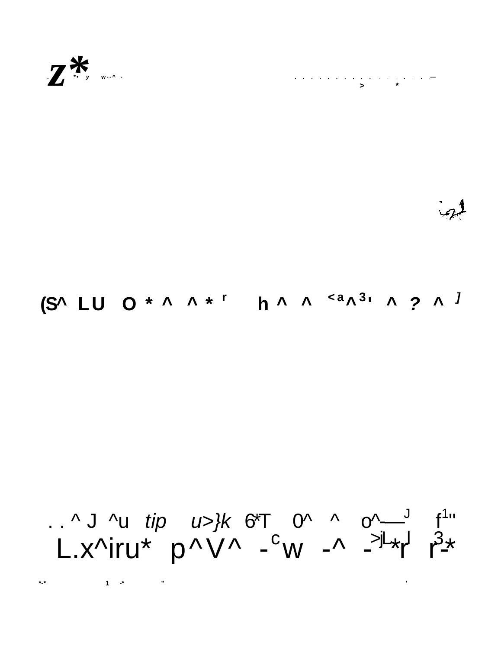

 $\mathbf{A}=\mathbf{A}^T\mathbf{A}^T\mathbf{A}^T\mathbf{A}^T\mathbf{A}^T\mathbf{A}^T\mathbf{A}^T\mathbf{A}^T\mathbf{A}^T\mathbf{A}^T\mathbf{A}^T\mathbf{A}^T\mathbf{A}^T\mathbf{A}^T\mathbf{A}^T\mathbf{A}^T\mathbf{A}^T\mathbf{A}^T\mathbf{A}^T\mathbf{A}^T\mathbf{A}^T\mathbf{A}^T\mathbf{A}^T\mathbf{A}^T\mathbf{A}^T\mathbf{A}^T\mathbf{A}$ 

 $\star\_\star$ 

 $(S^{\wedge} LU O^* A A^* P A A^* C^* A^3 P A ? A ]$ 

..^J^u tip u>}k 6\*T 0^ ^ o^\_\_<sup>J</sup> f<sup>1</sup>"<br>L.x^iru\* p^V^ -<sup>c</sup>w -^ -<sup>>jL</sup>\*r<sup>J</sup> p<sup>3</sup>\*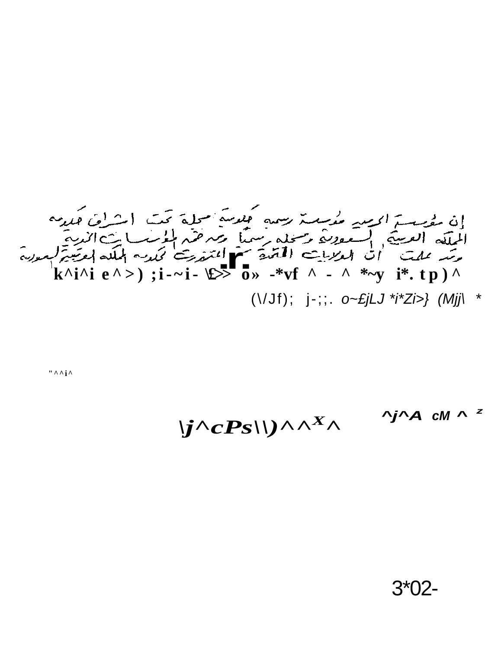إِنْ مُؤسسة الرسيه مُدسة رسمه كَبَيتَه سُمِلَة تَمَتَ اسْلُنْ كَبَيتِهِمْ مِنْ الْمَسْتَ الْمَسْتَ الْمَسْتَ و<br>المَيْلَةُ الْعَسِيَّةُ , الْمَعْدِهُ رَسِمْنَا وَمَدْهَمْ الْمُرْسَبِ إِنَّ الْأَرْبَةِ مَنْ الْمَدَّارِ وَرَ  $(\setminus Jf)$ ; i-;;. o~£jLJ \*i\*Zi>} (Mij\ \*

 $" \wedge \wedge i \wedge$ 

 $\lambda j \wedge A$  cM  $\wedge$  <sup>z</sup>  $(j^{\wedge}cPs\vert\vert)^{\wedge\wedge^{X}\wedge}$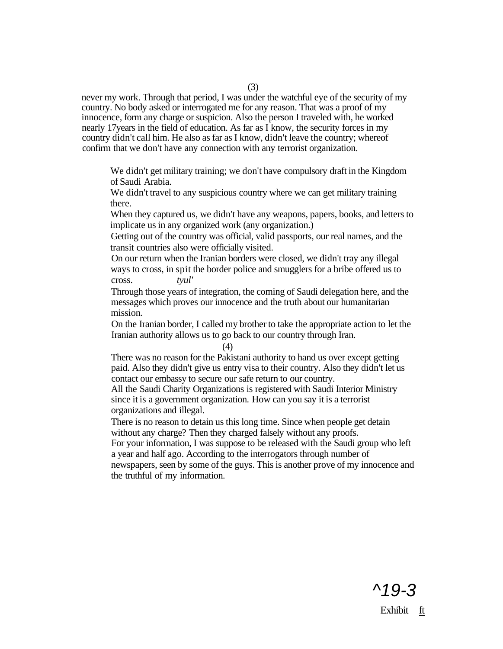never my work. Through that period, I was under the watchful eye of the security of my country. No body asked or interrogated me for any reason. That was a proof of my innocence, form any charge or suspicion. Also the person I traveled with, he worked nearly 17years in the field of education. As far as I know, the security forces in my country didn't call him. He also as far as I know, didn't leave the country; whereof confirm that we don't have any connection with any terrorist organization.

We didn't get military training; we don't have compulsory draft in the Kingdom of Saudi Arabia.

We didn't travel to any suspicious country where we can get military training there.

When they captured us, we didn't have any weapons, papers, books, and letters to implicate us in any organized work (any organization.)

Getting out of the country was official, valid passports, our real names, and the transit countries also were officially visited.

On our return when the Iranian borders were closed, we didn't tray any illegal ways to cross, in spit the border police and smugglers for a bribe offered us to cross. *tyul'* 

Through those years of integration, the coming of Saudi delegation here, and the messages which proves our innocence and the truth about our humanitarian mission.

On the Iranian border, I called my brother to take the appropriate action to let the Iranian authority allows us to go back to our country through Iran.

(4)

There was no reason for the Pakistani authority to hand us over except getting paid. Also they didn't give us entry visa to their country. Also they didn't let us contact our embassy to secure our safe return to our country.

All the Saudi Charity Organizations is registered with Saudi Interior Ministry since it is a government organization. How can you say it is a terrorist organizations and illegal.

There is no reason to detain us this long time. Since when people get detain without any charge? Then they charged falsely without any proofs.

For your information, I was suppose to be released with the Saudi group who left a year and half ago. According to the interrogators through number of newspapers, seen by some of the guys. This is another prove of my innocence and the truthful of my information.

^19-3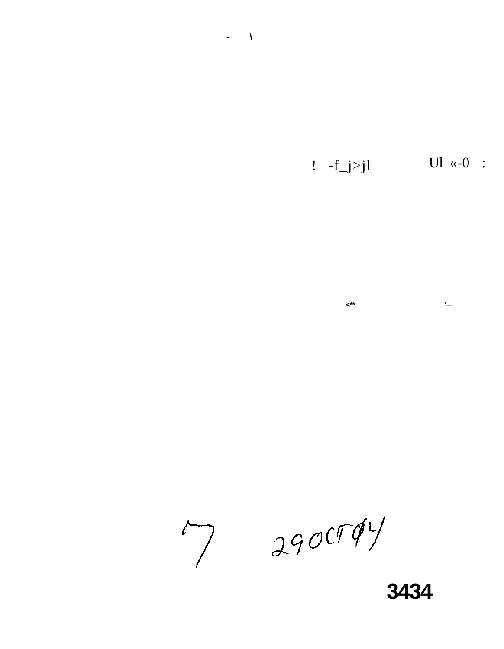Ul «-0  $:$  $! -f_j > j1$  $\prec^{**}$  $\overline{\phantom{a}}$ 

 $72900794$ 

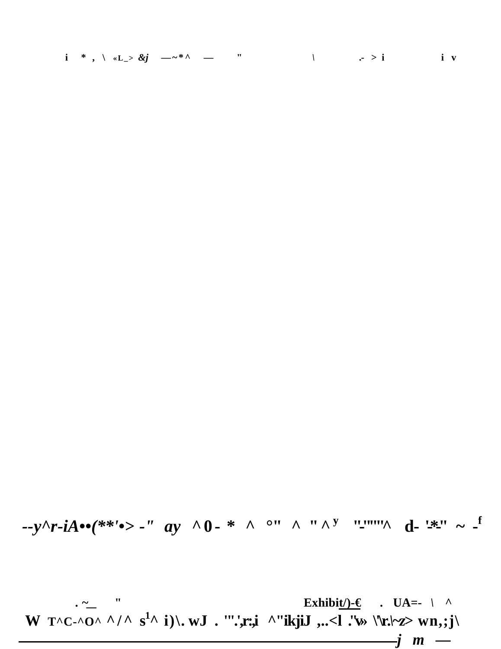$\begin{array}{cccc}\n\ddots & & & \text{Exhibit/)-}\text{\large $\in$} & . & \text{UA}=\;\; |\;\; ^\wedge\\ \text{W} & T^\wedge C^{-^\wedge} \text{O}^\wedge & ^{\wedge}/^\wedge & S^{1^\wedge} & i) \backslash . & \text{WJ} & . & \text{``'.}r; \text{J} & \text{``'ikjiJ }, \dots <\text{I} & \text{```w }\;\text{``[r]} \text{''z> wn,:j}\n\end{array}$  $\rightarrow$  m  $-$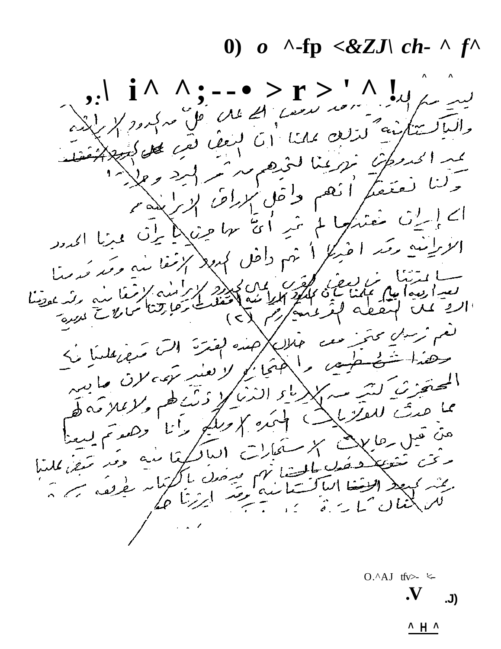0)  $o \sim$ -fp <&ZJ\  $ch$ - $\land$   $f \land$ 

والتآلية بأنه كذلك علمنا أن البعث فقي لهج لمجهز فقفة عيد الحدوث بهزعنا لتحييم مدكر البرد وجلاءا ولنا نفتقكم أنكم ولقل ليمراض لإرابكهم المحاسيات خفنكرا لم شير أنقاسها ويتكلآ يتن مينا المدرر الارلينية رقد اخيركم أثنه داخل كهرج لإثقا بنه مقدمك سا میرسان<br>عیرا ربیعاً میل عملیاً عملی کارلوکرد کارلوکرد میری از میکی مید کند عقیضاً لملت لتتقطه لتقريبهم أسيستعمل المتعلمة تمايحناكم لقم ترسل محتجب معنه جنلابهم جنسه لهقت التن ترج علماً من سخنته شنجسطيف ما باشكا كولانعشر تهميمل ما يسم المحقوش كشير سيهلانا النذنا كارذني كهرملائه فكالح عا هنَّ للفَّرْيِكُ المِنْدِمِ لا يَسْتَمَرْ أَنَا وَهِذَا يَسْتَعَلَّمَ لِسَنَّا لَهُ وَهُذَا يَسْت هنّ قيل حايلاً \* \* سَقِيلَ اللّهِ لَكِنَا سُهِ مِعْدَ تَتَّقِينَ عَلَيْهَا مرثت تشعيل وغدن فليسانهم ميرض باكل المحروف بريد.<br>ميشر كيع الشغا اللات أمدة معقد ايرزنا حكم للمقدم بريد.<br>المريد المنظور المريدة المريد ايرزنا حكم

O.^AJ tfv>  $\leftarrow$  $\mathbf{N}$ .J)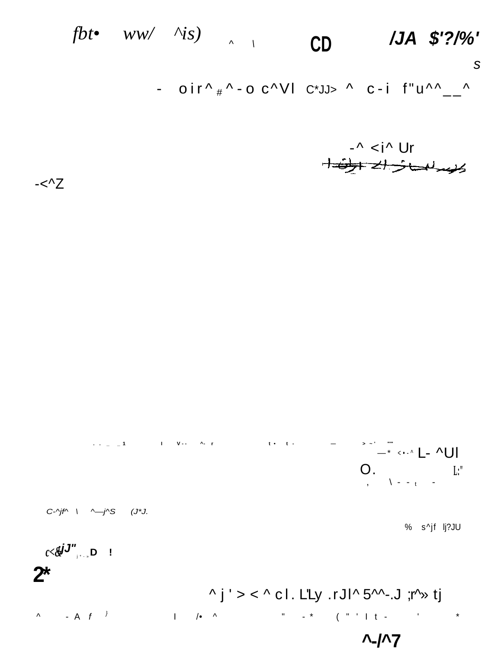$^{\sim}$ /^7

 $\wedge$  j ' > <  $\wedge$  cl. L'Ly .rJI $\wedge$  5 $\wedge$ -.J ; $\wedge$  ij  $\wedge$  - A  $f$   $\rightarrow$ 

 $c<sup>2</sup>$   $\left(\frac{1}{2}\right)^n$  , ..., D !  $2^{\star}$ 

 $-\langle 2 \rangle$ 

% s^jf lj?JU

 $C-\gamma jf \wedge \qquad \wedge \qquad j \wedge S$  (J\*J.

- > -' -" < - ^ |\_- ^U|  $\begin{array}{ccc} \mathbf{O}, & & \mathbf{L}^{\mathsf{u}} \\ \mathbf{O}, & \mathbf{V} \leftarrow \mathbf{H} & \mathbf{H} \end{array}$ 

 $fbt$  ww/  $\lambda is$   $\lambda$ 

۸ <i^ Ur<br>کمیسلسن<del>ر ایم ایرفت ا</del>

-  $Oir^{\Lambda}$   $*^{\Lambda}$  -  $O C^{\Lambda}VI$   $C^*JJ > \Lambda$   $C$ -i  $f''U^{\Lambda}$  $A^{\Lambda}$ 

 $CD$ 

 $\mathcal{S}$ 

/JA \$'?/%'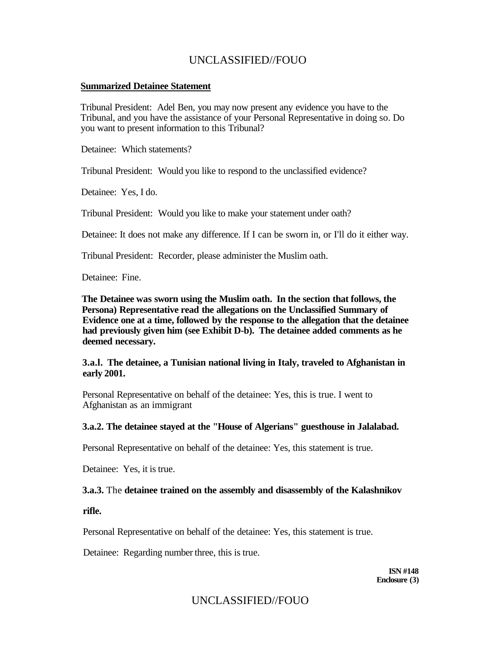## **Summarized Detainee Statement**

Tribunal President: Adel Ben, you may now present any evidence you have to the Tribunal, and you have the assistance of your Personal Representative in doing so. Do you want to present information to this Tribunal?

Detainee: Which statements?

Tribunal President: Would you like to respond to the unclassified evidence?

Detainee: Yes, I do.

Tribunal President: Would you like to make your statement under oath?

Detainee: It does not make any difference. If I can be sworn in, or I'll do it either way.

Tribunal President: Recorder, please administer the Muslim oath.

Detainee: Fine.

**The Detainee was sworn using the Muslim oath. In the section that follows, the Persona) Representative read the allegations on the Unclassified Summary of Evidence one at a time, followed by the response to the allegation that the detainee had previously given him (see Exhibit D-b). The detainee added comments as he deemed necessary.** 

**3.a.l. The detainee, a Tunisian national living in Italy, traveled to Afghanistan in early 2001.** 

Personal Representative on behalf of the detainee: Yes, this is true. I went to Afghanistan as an immigrant

## **3.a.2. The detainee stayed at the "House of Algerians" guesthouse in Jalalabad.**

Personal Representative on behalf of the detainee: Yes, this statement is true.

Detainee: Yes, it is true.

## **3.a.3.** The **detainee trained on the assembly and disassembly of the Kalashnikov**

**rifle.** 

Personal Representative on behalf of the detainee: Yes, this statement is true.

Detainee: Regarding number three, this is true.

**ISN #148 Enclosure (3)** 

# UNCLASSIFIED//FOUO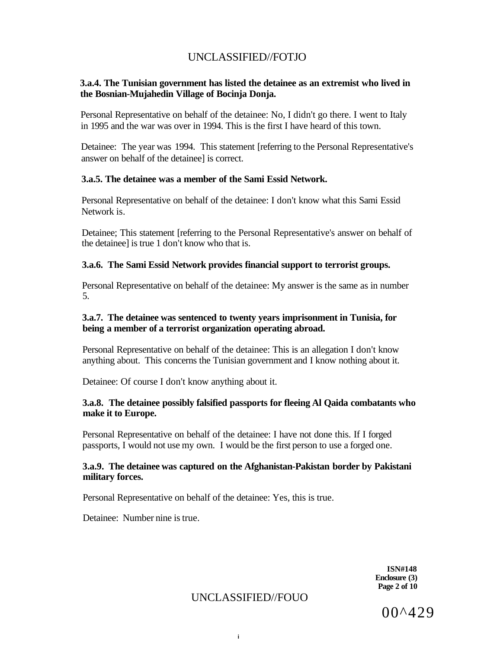## **3.a.4. The Tunisian government has listed the detainee as an extremist who lived in the Bosnian-Mujahedin Village of Bocinja Donja.**

Personal Representative on behalf of the detainee: No, I didn't go there. I went to Italy in 1995 and the war was over in 1994. This is the first I have heard of this town.

Detainee: The year was 1994. This statement [referring to the Personal Representative's answer on behalf of the detainee] is correct.

#### **3.a.5. The detainee was a member of the Sami Essid Network.**

Personal Representative on behalf of the detainee: I don't know what this Sami Essid Network is.

Detainee; This statement [referring to the Personal Representative's answer on behalf of the detainee] is true 1 don't know who that is.

## **3.a.6. The Sami Essid Network provides financial support to terrorist groups.**

Personal Representative on behalf of the detainee: My answer is the same as in number 5.

## **3.a.7. The detainee was sentenced to twenty years imprisonment in Tunisia, for being a member of a terrorist organization operating abroad.**

Personal Representative on behalf of the detainee: This is an allegation I don't know anything about. This concerns the Tunisian government and I know nothing about it.

Detainee: Of course I don't know anything about it.

## **3.a.8. The detainee possibly falsified passports for fleeing Al Qaida combatants who make it to Europe.**

Personal Representative on behalf of the detainee: I have not done this. If I forged passports, I would not use my own. I would be the first person to use a forged one.

## **3.a.9. The detainee was captured on the Afghanistan-Pakistan border by Pakistani military forces.**

Personal Representative on behalf of the detainee: Yes, this is true.

Detainee: Number nine is true.

**ISN#148 Enclosure (3) Page 2 of 10** 

# UNCLASSIFIED//FOUO

00^429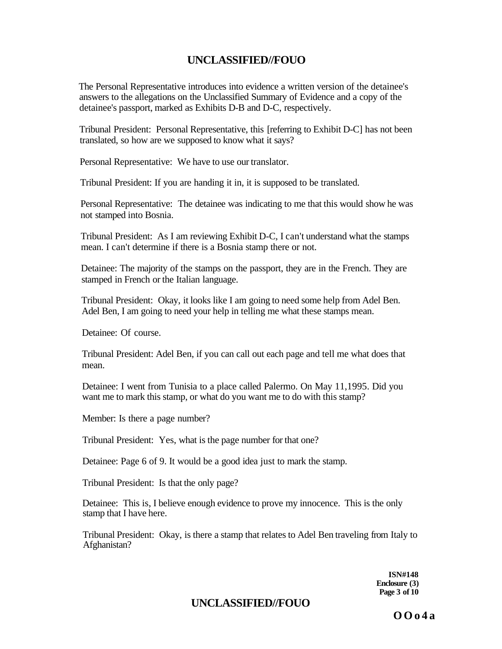The Personal Representative introduces into evidence a written version of the detainee's answers to the allegations on the Unclassified Summary of Evidence and a copy of the detainee's passport, marked as Exhibits D-B and D-C, respectively.

Tribunal President: Personal Representative, this [referring to Exhibit D-C] has not been translated, so how are we supposed to know what it says?

Personal Representative: We have to use our translator.

Tribunal President: If you are handing it in, it is supposed to be translated.

Personal Representative: The detainee was indicating to me that this would show he was not stamped into Bosnia.

Tribunal President: As I am reviewing Exhibit D-C, I can't understand what the stamps mean. I can't determine if there is a Bosnia stamp there or not.

Detainee: The majority of the stamps on the passport, they are in the French. They are stamped in French or the Italian language.

Tribunal President: Okay, it looks like I am going to need some help from Adel Ben. Adel Ben, I am going to need your help in telling me what these stamps mean.

Detainee: Of course.

Tribunal President: Adel Ben, if you can call out each page and tell me what does that mean.

Detainee: I went from Tunisia to a place called Palermo. On May 11,1995. Did you want me to mark this stamp, or what do you want me to do with this stamp?

Member: Is there a page number?

Tribunal President: Yes, what is the page number for that one?

Detainee: Page 6 of 9. It would be a good idea just to mark the stamp.

Tribunal President: Is that the only page?

Detainee: This is, I believe enough evidence to prove my innocence. This is the only stamp that I have here.

Tribunal President: Okay, is there a stamp that relates to Adel Ben traveling from Italy to Afghanistan?

> **ISN#148 Enclosure (3) Page 3 of 10**

# **UNCLASSIFIED//FOUO**

**OOo4 a**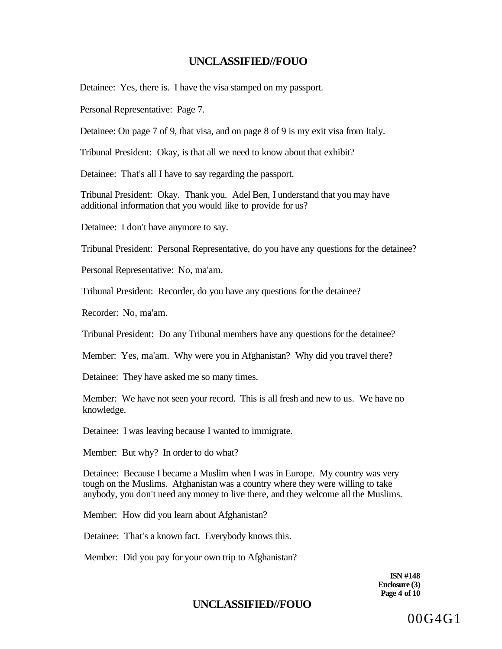Detainee: Yes, there is. I have the visa stamped on my passport.

Personal Representative: Page 7.

Detainee: On page 7 of 9, that visa, and on page 8 of 9 is my exit visa from Italy.

Tribunal President: Okay, is that all we need to know about that exhibit?

Detainee: That's all I have to say regarding the passport.

Tribunal President: Okay. Thank you. Adel Ben, I understand that you may have additional information that you would like to provide for us?

Detainee: I don't have anymore to say.

Tribunal President: Personal Representative, do you have any questions for the detainee?

Personal Representative: No, ma'am.

Tribunal President: Recorder, do you have any questions for the detainee?

Recorder: No, ma'am.

Tribunal President: Do any Tribunal members have any questions for the detainee?

Member: Yes, ma'am. Why were you in Afghanistan? Why did you travel there?

Detainee: They have asked me so many times.

Member: We have not seen your record. This is all fresh and new to us. We have no knowledge.

Detainee: I was leaving because I wanted to immigrate.

Member: But why? In order to do what?

Detainee: Because I became a Muslim when I was in Europe. My country was very tough on the Muslims. Afghanistan was a country where they were willing to take anybody, you don't need any money to live there, and they welcome all the Muslims.

Member: How did you learn about Afghanistan?

Detainee: That's a known fact. Everybody knows this.

Member: Did you pay for your own trip to Afghanistan?

**ISN #148 Enclosure (3) Page 4 of 10** 

## **UNCLASSIFIED//FOUO**

00G4G1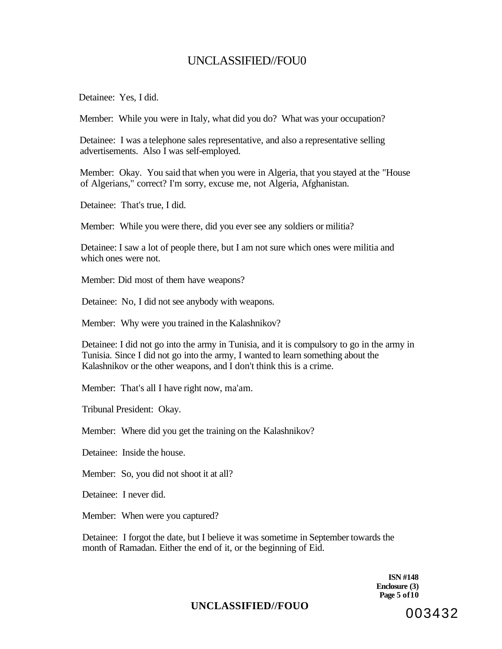Detainee: Yes, I did.

Member: While you were in Italy, what did you do? What was your occupation?

Detainee: I was a telephone sales representative, and also a representative selling advertisements. Also I was self-employed.

Member: Okay. You said that when you were in Algeria, that you stayed at the "House of Algerians," correct? I'm sorry, excuse me, not Algeria, Afghanistan.

Detainee: That's true, I did.

Member: While you were there, did you ever see any soldiers or militia?

Detainee: I saw a lot of people there, but I am not sure which ones were militia and which ones were not.

Member: Did most of them have weapons?

Detainee: No, I did not see anybody with weapons.

Member: Why were you trained in the Kalashnikov?

Detainee: I did not go into the army in Tunisia, and it is compulsory to go in the army in Tunisia. Since I did not go into the army, I wanted to learn something about the Kalashnikov or the other weapons, and I don't think this is a crime.

Member: That's all I have right now, ma'am.

Tribunal President: Okay.

Member: Where did you get the training on the Kalashnikov?

Detainee: Inside the house.

Member: So, you did not shoot it at all?

Detainee: I never did.

Member: When were you captured?

Detainee: I forgot the date, but I believe it was sometime in September towards the month of Ramadan. Either the end of it, or the beginning of Eid.

> **ISN #148 Enclosure (3) Page 5 of10**

# **UNCLASSIFIED//FOUO** 003432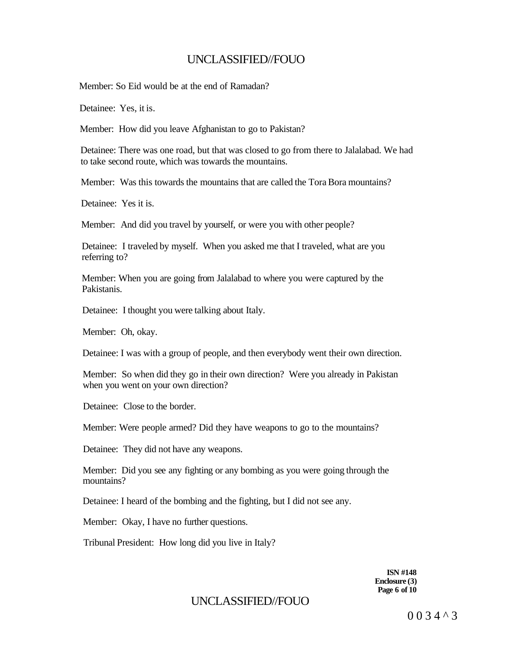Member: So Eid would be at the end of Ramadan?

Detainee: Yes, it is.

Member: How did you leave Afghanistan to go to Pakistan?

Detainee: There was one road, but that was closed to go from there to Jalalabad. We had to take second route, which was towards the mountains.

Member: Was this towards the mountains that are called the Tora Bora mountains?

Detainee: Yes it is.

Member: And did you travel by yourself, or were you with other people?

Detainee: I traveled by myself. When you asked me that I traveled, what are you referring to?

Member: When you are going from Jalalabad to where you were captured by the Pakistanis.

Detainee: I thought you were talking about Italy.

Member: Oh, okay.

Detainee: I was with a group of people, and then everybody went their own direction.

Member: So when did they go in their own direction? Were you already in Pakistan when you went on your own direction?

Detainee: Close to the border.

Member: Were people armed? Did they have weapons to go to the mountains?

Detainee: They did not have any weapons.

Member: Did you see any fighting or any bombing as you were going through the mountains?

Detainee: I heard of the bombing and the fighting, but I did not see any.

Member: Okay, I have no further questions.

Tribunal President: How long did you live in Italy?

**ISN #148 Enclosure (3) Page 6 of 10** 

# UNCLASSIFIED//FOUO

 $0034$  ^ 3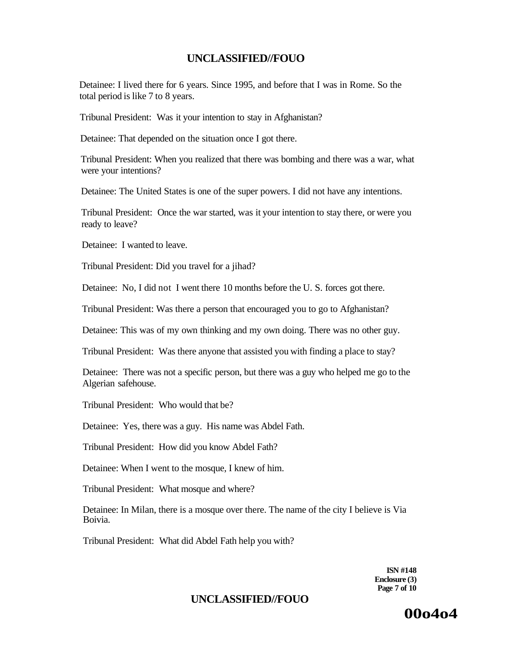Detainee: I lived there for 6 years. Since 1995, and before that I was in Rome. So the total period is like 7 to 8 years.

Tribunal President: Was it your intention to stay in Afghanistan?

Detainee: That depended on the situation once I got there.

Tribunal President: When you realized that there was bombing and there was a war, what were your intentions?

Detainee: The United States is one of the super powers. I did not have any intentions.

Tribunal President: Once the war started, was it your intention to stay there, or were you ready to leave?

Detainee: I wanted to leave.

Tribunal President: Did you travel for a jihad?

Detainee: No, I did not I went there 10 months before the U. S. forces got there.

Tribunal President: Was there a person that encouraged you to go to Afghanistan?

Detainee: This was of my own thinking and my own doing. There was no other guy.

Tribunal President: Was there anyone that assisted you with finding a place to stay?

Detainee: There was not a specific person, but there was a guy who helped me go to the Algerian safehouse.

Tribunal President: Who would that be?

Detainee: Yes, there was a guy. His name was Abdel Fath.

Tribunal President: How did you know Abdel Fath?

Detainee: When I went to the mosque, I knew of him.

Tribunal President: What mosque and where?

Detainee: In Milan, there is a mosque over there. The name of the city I believe is Via Boivia.

Tribunal President: What did Abdel Fath help you with?

**ISN #148 Enclosure (3) Page 7 of 10** 

## **UNCLASSIFIED//FOUO**

**00o4o4**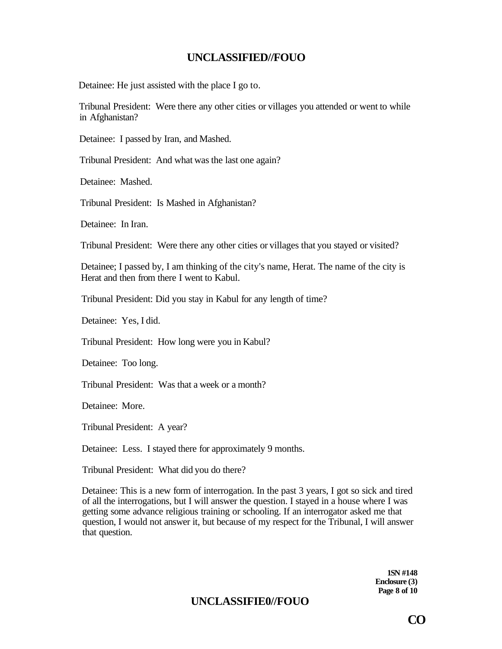Detainee: He just assisted with the place I go to.

Tribunal President: Were there any other cities or villages you attended or went to while in Afghanistan?

Detainee: I passed by Iran, and Mashed.

Tribunal President: And what was the last one again?

Detainee: Mashed.

Tribunal President: Is Mashed in Afghanistan?

Detainee: In Iran.

Tribunal President: Were there any other cities or villages that you stayed or visited?

Detainee; I passed by, I am thinking of the city's name, Herat. The name of the city is Herat and then from there I went to Kabul.

Tribunal President: Did you stay in Kabul for any length of time?

Detainee: Yes, I did.

Tribunal President: How long were you in Kabul?

Detainee: Too long.

Tribunal President: Was that a week or a month?

Detainee: More.

Tribunal President: A year?

Detainee: Less. I stayed there for approximately 9 months.

Tribunal President: What did you do there?

Detainee: This is a new form of interrogation. In the past 3 years, I got so sick and tired of all the interrogations, but I will answer the question. I stayed in a house where I was getting some advance religious training or schooling. If an interrogator asked me that question, I would not answer it, but because of my respect for the Tribunal, I will answer that question.

> **1SN #148 Enclosure (3) Page 8 of 10**

# **UNCLASSIFIE0//FOUO**

**CO**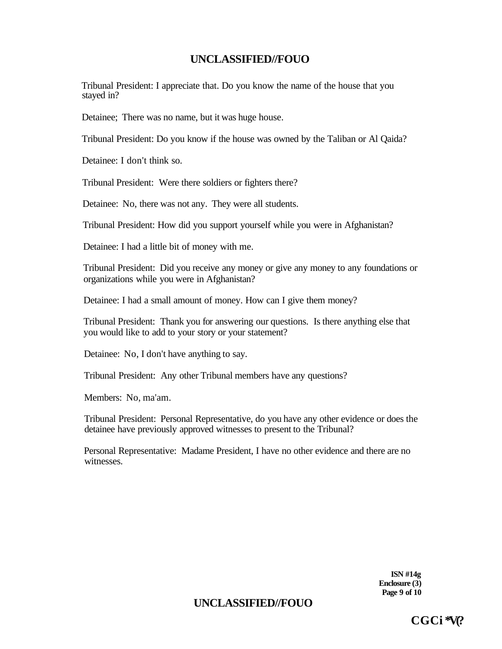Tribunal President: I appreciate that. Do you know the name of the house that you stayed in?

Detainee; There was no name, but it was huge house.

Tribunal President: Do you know if the house was owned by the Taliban or Al Qaida?

Detainee: I don't think so.

Tribunal President: Were there soldiers or fighters there?

Detainee: No, there was not any. They were all students.

Tribunal President: How did you support yourself while you were in Afghanistan?

Detainee: I had a little bit of money with me.

Tribunal President: Did you receive any money or give any money to any foundations or organizations while you were in Afghanistan?

Detainee: I had a small amount of money. How can I give them money?

Tribunal President: Thank you for answering our questions. Is there anything else that you would like to add to your story or your statement?

Detainee: No, I don't have anything to say.

Tribunal President: Any other Tribunal members have any questions?

Members: No, ma'am.

Tribunal President: Personal Representative, do you have any other evidence or does the detainee have previously approved witnesses to present to the Tribunal?

Personal Representative: Madame President, I have no other evidence and there are no witnesses.

> **ISN #14g Enclosure (3) Page 9 of 10**

**UNCLASSIFIED//FOUO** 

**CGCi \*V(?**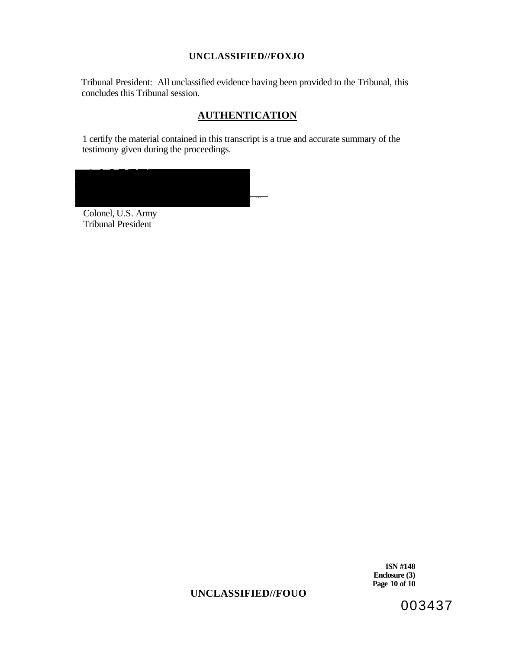Tribunal President: All unclassified evidence having been provided to the Tribunal, this concludes this Tribunal session.

# **AUTHENTICATION**

1 certify the material contained in this transcript is a true and accurate summary of the testimony given during the proceedings.



Colonel, U.S. Army Tribunal President

> **ISN #148 Enclosure (3) Page 10 of 10**

# **UNCLASSIFIED//FOUO**

003437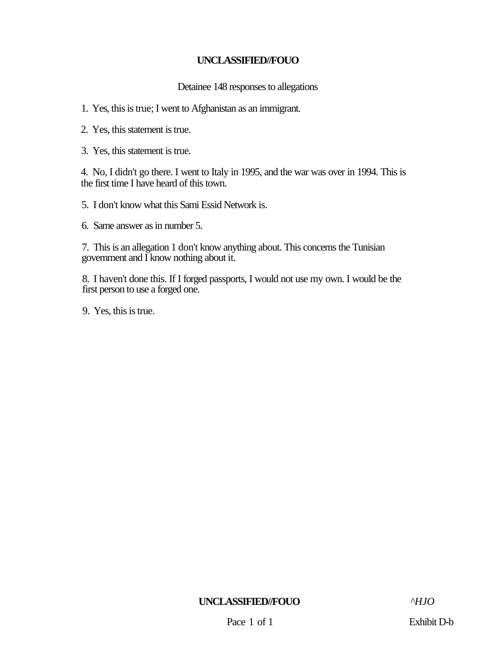Detainee 148 responses to allegations

1. Yes, this is true; I went to Afghanistan as an immigrant.

2. Yes, this statement is true.

3. Yes, this statement is true.

4. No, I didn't go there. I went to Italy in 1995, and the war was over in 1994. This is the first time I have heard of this town.

5. I don't know what this Sami Essid Network is.

6. Same answer as in number 5.

7. This is an allegation 1 don't know anything about. This concerns the Tunisian government and I know nothing about it.

8. I haven't done this. If I forged passports, I would not use my own. I would be the first person to use a forged one.

9. Yes, this is true.

**UNCLASSIFIED//FOUO** *^HJO*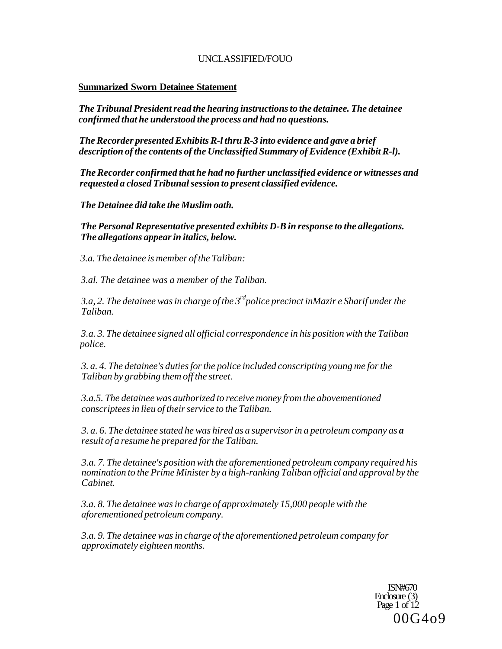## **Summarized Sworn Detainee Statement**

*The Tribunal President read the hearing instructions to the detainee. The detainee confirmed that he understood the process and had no questions.* 

*The Recorder presented Exhibits R-l thru R-3 into evidence and gave a brief description of the contents of the Unclassified Summary of Evidence (Exhibit R-l).* 

*The Recorder confirmed that he had no further unclassified evidence or witnesses and requested a closed Tribunal session to present classified evidence.* 

*The Detainee did take the Muslim oath.* 

*The Personal Representative presented exhibits D-B in response to the allegations. The allegations appear in italics, below.* 

*3.a. The detainee is member of the Taliban:* 

*3.al. The detainee was a member of the Taliban.* 

*3.a, 2. The detainee was in charge of the 3rdpolice precinct inMazir e Sharif under the Taliban.* 

*3.a. 3. The detainee signed all official correspondence in his position with the Taliban police.* 

*3. a. 4. The detainee's duties for the police included conscripting young me for the Taliban by grabbing them off the street.* 

*3.a.5. The detainee was authorized to receive money from the abovementioned conscriptees in lieu of their service to the Taliban.* 

*3. a. 6. The detainee stated he was hired as a supervisor in a petroleum company as a result of a resume he prepared for the Taliban.* 

*3.a. 7. The detainee's position with the aforementioned petroleum company required his nomination to the Prime Minister by a high-ranking Taliban official and approval by the Cabinet.* 

*3.a. 8. The detainee was in charge of approximately 15,000 people with the aforementioned petroleum company.* 

*3.a. 9. The detainee was in charge of the aforementioned petroleum company for approximately eighteen months.* 

> ISN#670 Enclosure (3) Page 1 of 12 00G4o9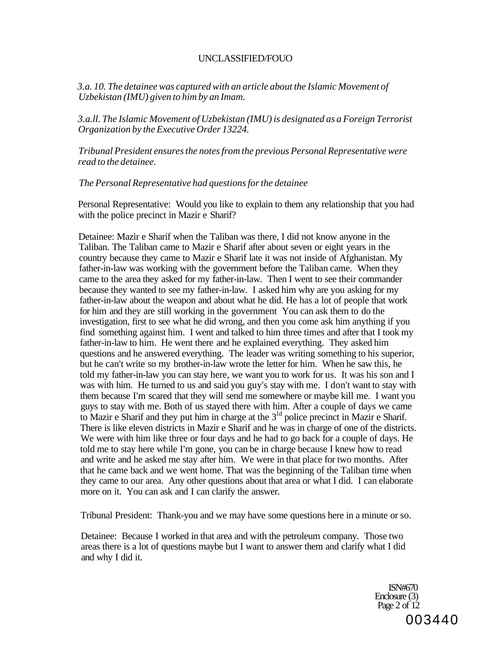*3.a. 10. The detainee was captured with an article about the Islamic Movement of Uzbekistan (IMU) given to him by an Imam.* 

*3.a.ll. The Islamic Movement of Uzbekistan (IMU) is designated as a Foreign Terrorist Organization by the Executive Order 13224.* 

*Tribunal President ensures the notes from the previous Personal Representative were read to the detainee.* 

#### *The Personal Representative had questions for the detainee*

Personal Representative: Would you like to explain to them any relationship that you had with the police precinct in Mazir e Sharif?

Detainee: Mazir e Sharif when the Taliban was there, I did not know anyone in the Taliban. The Taliban came to Mazir e Sharif after about seven or eight years in the country because they came to Mazir e Sharif late it was not inside of Afghanistan. My father-in-law was working with the government before the Taliban came. When they came to the area they asked for my father-in-law. Then I went to see their commander because they wanted to see my father-in-law. I asked him why are you asking for my father-in-law about the weapon and about what he did. He has a lot of people that work for him and they are still working in the government You can ask them to do the investigation, first to see what he did wrong, and then you come ask him anything if you find something against him. I went and talked to him three times and after that I took my father-in-law to him. He went there and he explained everything. They asked him questions and he answered everything. The leader was writing something to his superior, but he can't write so my brother-in-law wrote the letter for him. When he saw this, he told my father-in-law you can stay here, we want you to work for us. It was his son and I was with him. He turned to us and said you guy's stay with me. I don't want to stay with them because I'm scared that they will send me somewhere or maybe kill me. I want you guys to stay with me. Both of us stayed there with him. After a couple of days we came to Mazir e Sharif and they put him in charge at the  $3<sup>ld</sup>$  police precinct in Mazir e Sharif. There is like eleven districts in Mazir e Sharif and he was in charge of one of the districts. We were with him like three or four days and he had to go back for a couple of days. He told me to stay here while I'm gone, you can be in charge because I knew how to read and write and he asked me stay after him. We were in that place for two months. After that he came back and we went home. That was the beginning of the Taliban time when they came to our area. Any other questions about that area or what I did. I can elaborate more on it. You can ask and I can clarify the answer.

Tribunal President: Thank-you and we may have some questions here in a minute or so.

Detainee: Because I worked in that area and with the petroleum company. Those two areas there is a lot of questions maybe but I want to answer them and clarify what I did and why I did it.

> ISN#670 Enclosure (3) Page 2 of 12 003440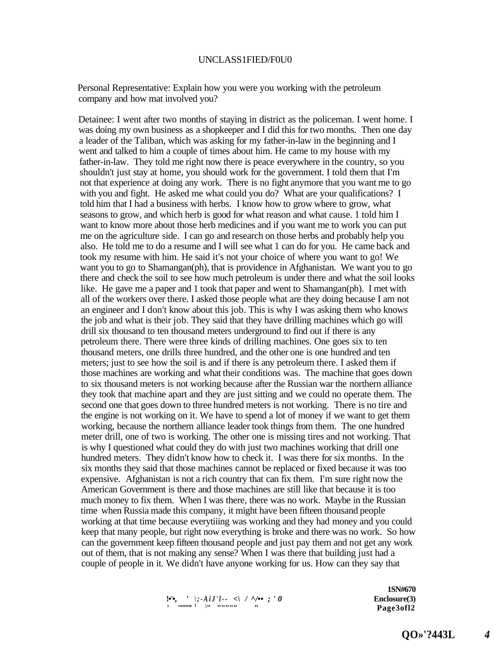#### UNCLASS1FIED/F0U0

Personal Representative: Explain how you were you working with the petroleum company and how mat involved you?

Detainee: I went after two months of staying in district as the policeman. I went home. I was doing my own business as a shopkeeper and I did this for two months. Then one day a leader of the Taliban, which was asking for my father-in-law in the beginning and I went and talked to him a couple of times about him. He came to my house with my father-in-law. They told me right now there is peace everywhere in the country, so you shouldn't just stay at home, you should work for the government. I told them that I'm not that experience at doing any work. There is no fight anymore that you want me to go with you and fight. He asked me what could you do? What are your qualifications? I told him that I had a business with herbs. I know how to grow where to grow, what seasons to grow, and which herb is good for what reason and what cause. 1 told him I want to know more about those herb medicines and if you want me to work you can put me on the agriculture side. I can go and research on those herbs and probably help you also. He told me to do a resume and I will see what 1 can do for you. He came back and took my resume with him. He said it's not your choice of where you want to go! We want you to go to Shamangan(ph), that is providence in Afghanistan. We want you to go there and check the soil to see how much petroleum is under there and what the soil looks like. He gave me a paper and 1 took that paper and went to Shamangan(ph). I met with all of the workers over there. I asked those people what are they doing because I am not an engineer and I don't know about this job. This is why I was asking them who knows the job and what is their job. They said that they have drilling machines which go will drill six thousand to ten thousand meters underground to find out if there is any petroleum there. There were three kinds of drilling machines. One goes six to ten thousand meters, one drills three hundred, and the other one is one hundred and ten meters; just to see how the soil is and if there is any petroleum there. I asked them if those machines are working and what their conditions was. The machine that goes down to six thousand meters is not working because after the Russian war the northern alliance they took that machine apart and they are just sitting and we could no operate them. The second one that goes down to three hundred meters is not working. There is no tire and the engine is not working on it. We have to spend a lot of money if we want to get them working, because the northern alliance leader took things from them. The one hundred meter drill, one of two is working. The other one is missing tires and not working. That is why I questioned what could they do with just two machines working that drill one hundred meters. They didn't know how to check it. I was there for six months. In the six months they said that those machines cannot be replaced or fixed because it was too expensive. Afghanistan is not a rich country that can fix them. I'm sure right now the American Government is there and those machines are still like that because it is too much money to fix them. When I was there, there was no work. Maybe in the Russian time when Russia made this company, it might have been fifteen thousand people working at that time because everytiiing was working and they had money and you could keep that many people, but right now everything is broke and there was no work. So how can the government keep fifteen thousand people and just pay them and not get any work out of them, that is not making any sense? When I was there that building just had a couple of people in it. We didn't have anyone working for us. How can they say that

**1SN#670**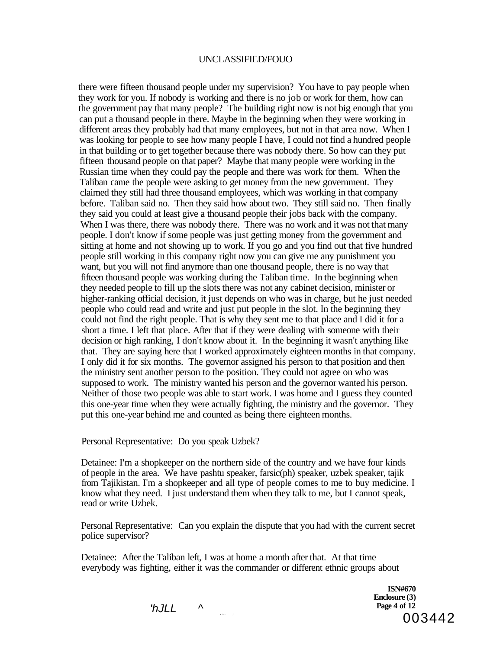there were fifteen thousand people under my supervision? You have to pay people when they work for you. If nobody is working and there is no job or work for them, how can the government pay that many people? The building right now is not big enough that you can put a thousand people in there. Maybe in the beginning when they were working in different areas they probably had that many employees, but not in that area now. When I was looking for people to see how many people I have, I could not find a hundred people in that building or to get together because there was nobody there. So how can they put fifteen thousand people on that paper? Maybe that many people were working in the Russian time when they could pay the people and there was work for them. When the Taliban came the people were asking to get money from the new government. They claimed they still had three thousand employees, which was working in that company before. Taliban said no. Then they said how about two. They still said no. Then finally they said you could at least give a thousand people their jobs back with the company. When I was there, there was nobody there. There was no work and it was not that many people. I don't know if some people was just getting money from the government and sitting at home and not showing up to work. If you go and you find out that five hundred people still working in this company right now you can give me any punishment you want, but you will not find anymore than one thousand people, there is no way that fifteen thousand people was working during the Taliban time. In the beginning when they needed people to fill up the slots there was not any cabinet decision, minister or higher-ranking official decision, it just depends on who was in charge, but he just needed people who could read and write and just put people in the slot. In the beginning they could not find the right people. That is why they sent me to that place and I did it for a short a time. I left that place. After that if they were dealing with someone with their decision or high ranking, I don't know about it. In the beginning it wasn't anything like that. They are saying here that I worked approximately eighteen months in that company. I only did it for six months. The governor assigned his person to that position and then the ministry sent another person to the position. They could not agree on who was supposed to work. The ministry wanted his person and the governor wanted his person. Neither of those two people was able to start work. I was home and I guess they counted this one-year time when they were actually fighting, the ministry and the governor. They put this one-year behind me and counted as being there eighteen months.

Personal Representative: Do you speak Uzbek?

Detainee: I'm a shopkeeper on the northern side of the country and we have four kinds of people in the area. We have pashtu speaker, farsic(ph) speaker, uzbek speaker, tajik from Tajikistan. I'm a shopkeeper and all type of people comes to me to buy medicine. I know what they need. I just understand them when they talk to me, but I cannot speak, read or write Uzbek.

Personal Representative: Can you explain the dispute that you had with the current secret police supervisor?

Detainee: After the Taliban left, I was at home a month after that. At that time everybody was fighting, either it was the commander or different ethnic groups about

> **ISN#670 Enclosure (3) Page 4 of 12**  003442

 $'$ hJLL ^  $\qquad \qquad$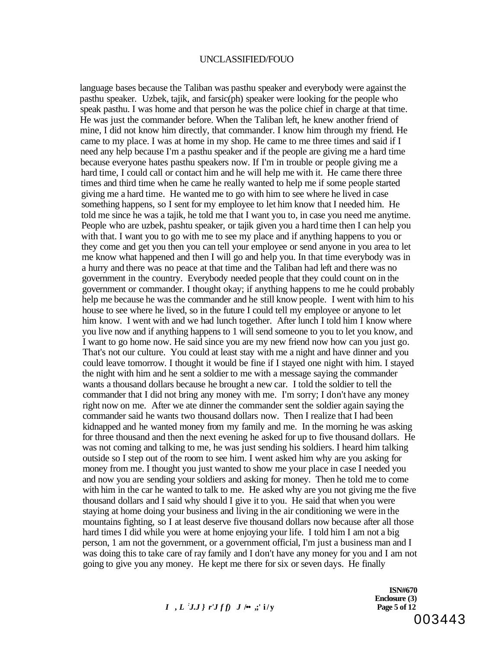language bases because the Taliban was pasthu speaker and everybody were against the pasthu speaker. Uzbek, tajik, and farsic(ph) speaker were looking for the people who speak pasthu. I was home and that person he was the police chief in charge at that time. He was just the commander before. When the Taliban left, he knew another friend of mine, I did not know him directly, that commander. I know him through my friend. He came to my place. I was at home in my shop. He came to me three times and said if I need any help because I'm a pasthu speaker and if the people are giving me a hard time because everyone hates pasthu speakers now. If I'm in trouble or people giving me a hard time, I could call or contact him and he will help me with it. He came there three times and third time when he came he really wanted to help me if some people started giving me a hard time. He wanted me to go with him to see where he lived in case something happens, so I sent for my employee to let him know that I needed him. He told me since he was a tajik, he told me that I want you to, in case you need me anytime. People who are uzbek, pashtu speaker, or tajik given you a hard time then I can help you with that. I want you to go with me to see my place and if anything happens to you or they come and get you then you can tell your employee or send anyone in you area to let me know what happened and then I will go and help you. In that time everybody was in a hurry and there was no peace at that time and the Taliban had left and there was no government in the country. Everybody needed people that they could count on in the government or commander. I thought okay; if anything happens to me he could probably help me because he was the commander and he still know people. I went with him to his house to see where he lived, so in the future I could tell my employee or anyone to let him know. I went with and we had lunch together. After lunch I told him I know where you live now and if anything happens to 1 will send someone to you to let you know, and I want to go home now. He said since you are my new friend now how can you just go. That's not our culture. You could at least stay with me a night and have dinner and you could leave tomorrow. I thought it would be fine if I stayed one night with him. I stayed the night with him and he sent a soldier to me with a message saying the commander wants a thousand dollars because he brought a new car. I told the soldier to tell the commander that I did not bring any money with me. I'm sorry; I don't have any money right now on me. After we ate dinner the commander sent the soldier again saying the commander said he wants two thousand dollars now. Then I realize that I had been kidnapped and he wanted money from my family and me. In the morning he was asking for three thousand and then the next evening he asked for up to five thousand dollars. He was not coming and talking to me, he was just sending his soldiers. I heard him talking outside so I step out of the room to see him. I went asked him why are you asking for money from me. I thought you just wanted to show me your place in case I needed you and now you are sending your soldiers and asking for money. Then he told me to come with him in the car he wanted to talk to me. He asked why are you not giving me the five thousand dollars and I said why should I give it to you. He said that when you were staying at home doing your business and living in the air conditioning we were in the mountains fighting, so I at least deserve five thousand dollars now because after all those hard times I did while you were at home enjoying your life. I told him I am not a big person, 1 am not the government, or a government official, I'm just a business man and I was doing this to take care of ray family and I don't have any money for you and I am not going to give you any money. He kept me there for six or seven days. He finally

*I* , *L i*, *J*, *J I* **••** ,;' i/y **Page 5 of 12** 

**ISN#670 Enclosure (3)**  003443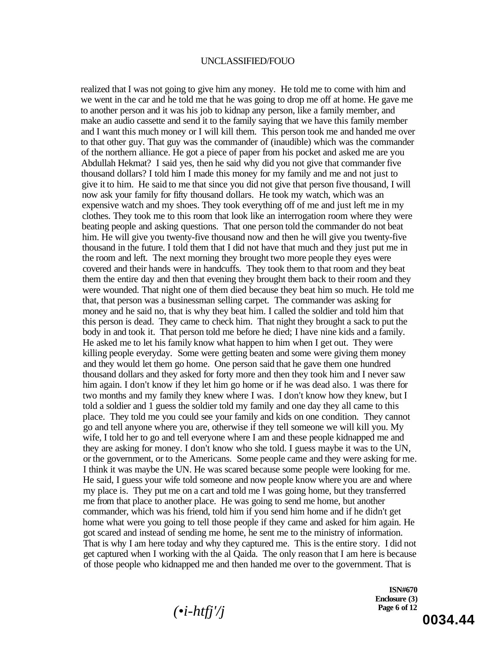realized that I was not going to give him any money. He told me to come with him and we went in the car and he told me that he was going to drop me off at home. He gave me to another person and it was his job to kidnap any person, like a family member, and make an audio cassette and send it to the family saying that we have this family member and I want this much money or I will kill them. This person took me and handed me over to that other guy. That guy was the commander of (inaudible) which was the commander of the northern alliance. He got a piece of paper from his pocket and asked me are you Abdullah Hekmat? I said yes, then he said why did you not give that commander five thousand dollars? I told him I made this money for my family and me and not just to give it to him. He said to me that since you did not give that person five thousand, I will now ask your family for fifty thousand dollars. He took my watch, which was an expensive watch and my shoes. They took everything off of me and just left me in my clothes. They took me to this room that look like an interrogation room where they were beating people and asking questions. That one person told the commander do not beat him. He will give you twenty-five thousand now and then he will give you twenty-five thousand in the future. I told them that I did not have that much and they just put me in the room and left. The next morning they brought two more people they eyes were covered and their hands were in handcuffs. They took them to that room and they beat them the entire day and then that evening they brought them back to their room and they were wounded. That night one of them died because they beat him so much. He told me that, that person was a businessman selling carpet. The commander was asking for money and he said no, that is why they beat him. I called the soldier and told him that this person is dead. They came to check him. That night they brought a sack to put the body in and took it. That person told me before he died; I have nine kids and a family. He asked me to let his family know what happen to him when I get out. They were killing people everyday. Some were getting beaten and some were giving them money and they would let them go home. One person said that he gave them one hundred thousand dollars and they asked for forty more and then they took him and I never saw him again. I don't know if they let him go home or if he was dead also. 1 was there for two months and my family they knew where I was. I don't know how they knew, but I told a soldier and 1 guess the soldier told my family and one day they all came to this place. They told me you could see your family and kids on one condition. They cannot go and tell anyone where you are, otherwise if they tell someone we will kill you. My wife, I told her to go and tell everyone where I am and these people kidnapped me and they are asking for money. I don't know who she told. I guess maybe it was to the UN, or the government, or to the Americans. Some people came and they were asking for me. I think it was maybe the UN. He was scared because some people were looking for me. He said, I guess your wife told someone and now people know where you are and where my place is. They put me on a cart and told me I was going home, but they transferred me from that place to another place. He was going to send me home, but another commander, which was his friend, told him if you send him home and if he didn't get home what were you going to tell those people if they came and asked for him again. He got scared and instead of sending me home, he sent me to the ministry of information. That is why I am here today and why they captured me. This is the entire story. I did not get captured when I working with the al Qaida. The only reason that I am here is because of those people who kidnapped me and then handed me over to the government. That is

> **ISN#670 Enclosure (3) Page 6 of 12**

 $(•i-htfj'j$  **Page 6 of 12 0034.44**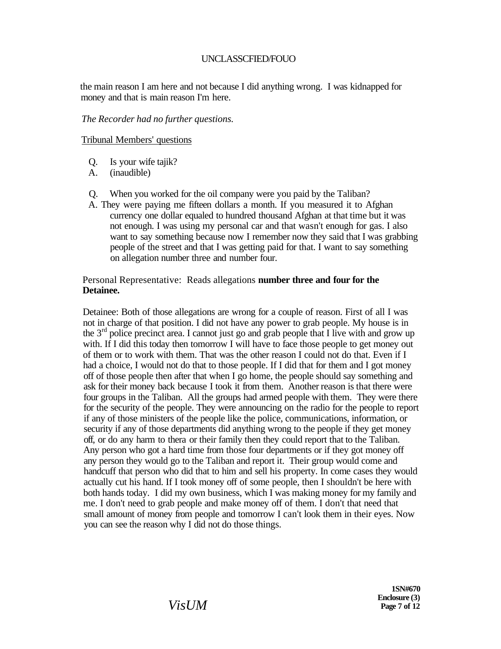the main reason I am here and not because I did anything wrong. I was kidnapped for money and that is main reason I'm here.

#### *The Recorder had no further questions.*

Tribunal Members' questions

- Q. Is your wife tajik?
- A. (inaudible)
- Q. When you worked for the oil company were you paid by the Taliban?
- A. They were paying me fifteen dollars a month. If you measured it to Afghan currency one dollar equaled to hundred thousand Afghan at that time but it was not enough. I was using my personal car and that wasn't enough for gas. I also want to say something because now I remember now they said that I was grabbing people of the street and that I was getting paid for that. I want to say something on allegation number three and number four.

### Personal Representative: Reads allegations **number three and four for the Detainee.**

Detainee: Both of those allegations are wrong for a couple of reason. First of all I was not in charge of that position. I did not have any power to grab people. My house is in the 3<sup>rd</sup> police precinct area. I cannot just go and grab people that I live with and grow up with. If I did this today then tomorrow I will have to face those people to get money out of them or to work with them. That was the other reason I could not do that. Even if I had a choice, I would not do that to those people. If I did that for them and I got money off of those people then after that when I go home, the people should say something and ask for their money back because I took it from them. Another reason is that there were four groups in the Taliban. All the groups had armed people with them. They were there for the security of the people. They were announcing on the radio for the people to report if any of those ministers of the people like the police, communications, information, or security if any of those departments did anything wrong to the people if they get money off, or do any harm to thera or their family then they could report that to the Taliban. Any person who got a hard time from those four departments or if they got money off any person they would go to the Taliban and report it. Their group would come and handcuff that person who did that to him and sell his property. In come cases they would actually cut his hand. If I took money off of some people, then I shouldn't be here with both hands today. I did my own business, which I was making money for my family and me. I don't need to grab people and make money off of them. I don't that need that small amount of money from people and tomorrow I can't look them in their eyes. Now you can see the reason why I did not do those things.

> **1SN#670 Enclosure (3) Page 7 of 12**

*VisUM*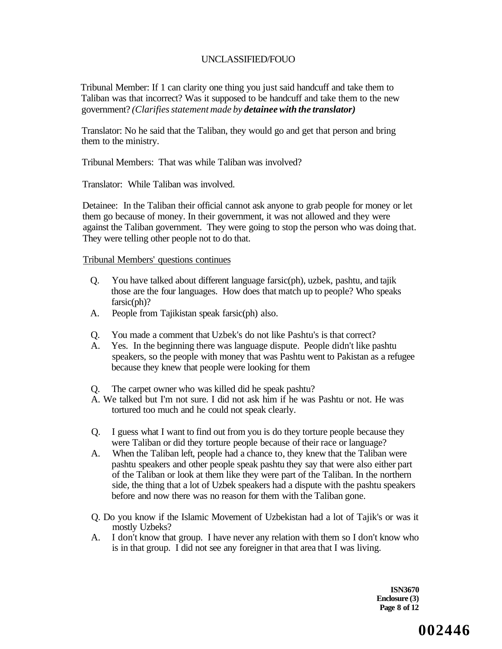Tribunal Member: If 1 can clarity one thing you just said handcuff and take them to Taliban was that incorrect? Was it supposed to be handcuff and take them to the new government? *(Clarifies statement made by detainee with the translator)* 

Translator: No he said that the Taliban, they would go and get that person and bring them to the ministry.

Tribunal Members: That was while Taliban was involved?

Translator: While Taliban was involved.

Detainee: In the Taliban their official cannot ask anyone to grab people for money or let them go because of money. In their government, it was not allowed and they were against the Taliban government. They were going to stop the person who was doing that. They were telling other people not to do that.

Tribunal Members' questions continues

- Q. You have talked about different language farsic(ph), uzbek, pashtu, and tajik those are the four languages. How does that match up to people? Who speaks farsic(ph)?
- A. People from Tajikistan speak farsic(ph) also.
- Q. You made a comment that Uzbek's do not like Pashtu's is that correct?
- A. Yes. In the beginning there was language dispute. People didn't like pashtu speakers, so the people with money that was Pashtu went to Pakistan as a refugee because they knew that people were looking for them
- Q. The carpet owner who was killed did he speak pashtu?
- A. We talked but I'm not sure. I did not ask him if he was Pashtu or not. He was tortured too much and he could not speak clearly.
- Q. I guess what I want to find out from you is do they torture people because they were Taliban or did they torture people because of their race or language?
- A. When the Taliban left, people had a chance to, they knew that the Taliban were pashtu speakers and other people speak pashtu they say that were also either part of the Taliban or look at them like they were part of the Taliban. In the northern side, the thing that a lot of Uzbek speakers had a dispute with the pashtu speakers before and now there was no reason for them with the Taliban gone.
- Q. Do you know if the Islamic Movement of Uzbekistan had a lot of Tajik's or was it mostly Uzbeks?
- A. I don't know that group. I have never any relation with them so I don't know who is in that group. I did not see any foreigner in that area that I was living.

**ISN3670 Enclosure (3) Page 8 of 12**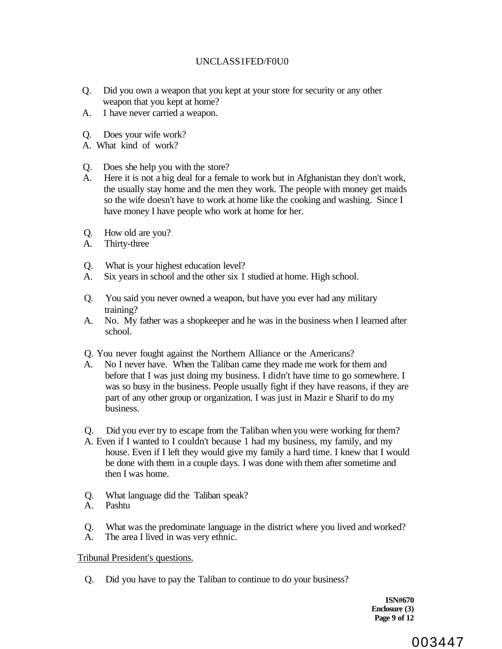## UNCLASS1FED/F0U0

- Q. Did you own a weapon that you kept at your store for security or any other weapon that you kept at home?
- A. 1 have never carried a weapon.
- Q. Does your wife work?
- A. What kind of work?
- Q. Does she help you with the store?
- A. Here it is not a big deal for a female to work but in Afghanistan they don't work, the usually stay home and the men they work. The people with money get maids so the wife doesn't have to work at home like the cooking and washing. Since I have money I have people who work at home for her.
- Q. How old are you?
- A. Thirty-three
- Q. What is your highest education level?
- A. Six years in school and the other six 1 studied at home. High school.
- Q. You said you never owned a weapon, but have you ever had any military training?
- A. No. My father was a shopkeeper and he was in the business when I learned after school.

Q. You never fought against the Northern Alliance or the Americans?

- A. No I never have. When the Taliban came they made me work for them and before that I was just doing my business. I didn't have time to go somewhere. I was so busy in the business. People usually fight if they have reasons, if they are part of any other group or organization. I was just in Mazir e Sharif to do my business.
- Q. Did you ever try to escape from the Taliban when you were working for them?
- A. Even if I wanted to I couldn't because 1 had my business, my family, and my house. Even if I left they would give my family a hard time. I knew that I would be done with them in a couple days. I was done with them after sometime and then I was home.
- Q. What language did the Taliban speak?
- Pashtu
- Q. What was the predominate language in the district where you lived and worked? A. The area I lived in was very ethnic.

# Tribunal President's questions.

Q. Did you have to pay the Taliban to continue to do your business?

**ISN#670 Enclosure (3) Page 9 of 12**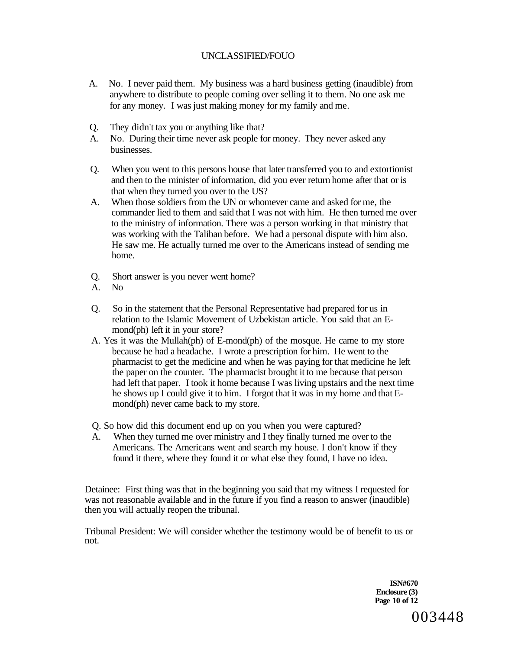- A. No. I never paid them. My business was a hard business getting (inaudible) from anywhere to distribute to people coming over selling it to them. No one ask me for any money. I was just making money for my family and me.
- Q. They didn't tax you or anything like that?
- A. No. During their time never ask people for money. They never asked any businesses.
- Q. When you went to this persons house that later transferred you to and extortionist and then to the minister of information, did you ever return home after that or is that when they turned you over to the US?
- A. When those soldiers from the UN or whomever came and asked for me, the commander lied to them and said that I was not with him. He then turned me over to the ministry of information. There was a person working in that ministry that was working with the Taliban before. We had a personal dispute with him also. He saw me. He actually turned me over to the Americans instead of sending me home.
- Q. Short answer is you never went home?
- A. No
- Q. So in the statement that the Personal Representative had prepared for us in relation to the Islamic Movement of Uzbekistan article. You said that an Emond(ph) left it in your store?
- A. Yes it was the Mullah(ph) of E-mond(ph) of the mosque. He came to my store because he had a headache. I wrote a prescription for him. He went to the pharmacist to get the medicine and when he was paying for that medicine he left the paper on the counter. The pharmacist brought it to me because that person had left that paper. I took it home because I was living upstairs and the next time he shows up I could give it to him. I forgot that it was in my home and that Emond(ph) never came back to my store.
- Q. So how did this document end up on you when you were captured?
- A. When they turned me over ministry and I they finally turned me over to the Americans. The Americans went and search my house. I don't know if they found it there, where they found it or what else they found, I have no idea.

Detainee: First thing was that in the beginning you said that my witness I requested for was not reasonable available and in the future if you find a reason to answer (inaudible) then you will actually reopen the tribunal.

Tribunal President: We will consider whether the testimony would be of benefit to us or not.

> **ISN#670 Enclosure (3) Page 10 of 12**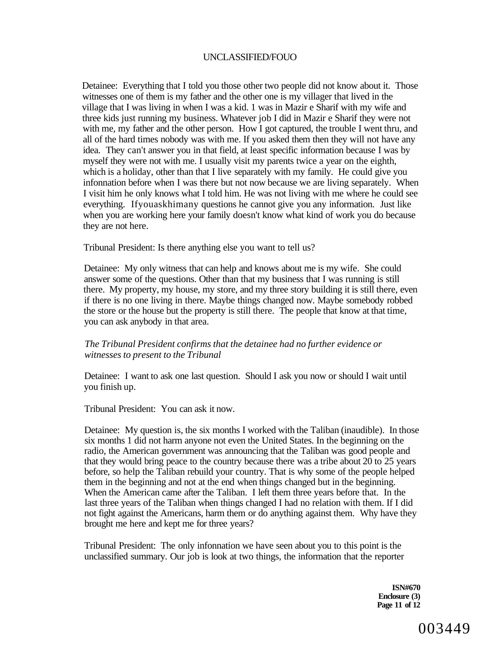Detainee: Everything that I told you those other two people did not know about it. Those witnesses one of them is my father and the other one is my villager that lived in the village that I was living in when I was a kid. 1 was in Mazir e Sharif with my wife and three kids just running my business. Whatever job I did in Mazir e Sharif they were not with me, my father and the other person. How I got captured, the trouble I went thru, and all of the hard times nobody was with me. If you asked them then they will not have any idea. They can't answer you in that field, at least specific information because I was by myself they were not with me. I usually visit my parents twice a year on the eighth, which is a holiday, other than that I live separately with my family. He could give you infonnation before when I was there but not now because we are living separately. When I visit him he only knows what I told him. He was not living with me where he could see everything. Ifyouaskhimany questions he cannot give you any information. Just like when you are working here your family doesn't know what kind of work you do because they are not here.

Tribunal President: Is there anything else you want to tell us?

Detainee: My only witness that can help and knows about me is my wife. She could answer some of the questions. Other than that my business that I was running is still there. My property, my house, my store, and my three story building it is still there, even if there is no one living in there. Maybe things changed now. Maybe somebody robbed the store or the house but the property is still there. The people that know at that time, you can ask anybody in that area.

## *The Tribunal President confirms that the detainee had no further evidence or witnesses to present to the Tribunal*

Detainee: I want to ask one last question. Should I ask you now or should I wait until you finish up.

Tribunal President: You can ask it now.

Detainee: My question is, the six months I worked with the Taliban (inaudible). In those six months 1 did not harm anyone not even the United States. In the beginning on the radio, the American government was announcing that the Taliban was good people and that they would bring peace to the country because there was a tribe about 20 to 25 years before, so help the Taliban rebuild your country. That is why some of the people helped them in the beginning and not at the end when things changed but in the beginning. When the American came after the Taliban. I left them three years before that. In the last three years of the Taliban when things changed I had no relation with them. If I did not fight against the Americans, harm them or do anything against them. Why have they brought me here and kept me for three years?

Tribunal President: The only infonnation we have seen about you to this point is the unclassified summary. Our job is look at two things, the information that the reporter

> **ISN#670 Enclosure (3) Page 11 of 12**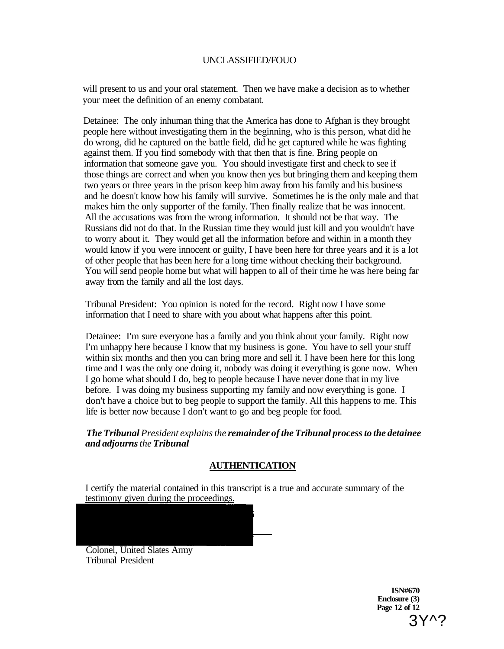will present to us and your oral statement. Then we have make a decision as to whether your meet the definition of an enemy combatant.

Detainee: The only inhuman thing that the America has done to Afghan is they brought people here without investigating them in the beginning, who is this person, what did he do wrong, did he captured on the battle field, did he get captured while he was fighting against them. If you find somebody with that then that is fine. Bring people on information that someone gave you. You should investigate first and check to see if those things are correct and when you know then yes but bringing them and keeping them two years or three years in the prison keep him away from his family and his business and he doesn't know how his family will survive. Sometimes he is the only male and that makes him the only supporter of the family. Then finally realize that he was innocent. All the accusations was from the wrong information. It should not be that way. The Russians did not do that. In the Russian time they would just kill and you wouldn't have to worry about it. They would get all the information before and within in a month they would know if you were innocent or guilty, I have been here for three years and it is a lot of other people that has been here for a long time without checking their background. You will send people home but what will happen to all of their time he was here being far away from the family and all the lost days.

Tribunal President: You opinion is noted for the record. Right now I have some information that I need to share with you about what happens after this point.

Detainee: I'm sure everyone has a family and you think about your family. Right now I'm unhappy here because I know that my business is gone. You have to sell your stuff within six months and then you can bring more and sell it. I have been here for this long time and I was the only one doing it, nobody was doing it everything is gone now. When I go home what should I do, beg to people because I have never done that in my live before. I was doing my business supporting my family and now everything is gone. I don't have a choice but to beg people to support the family. All this happens to me. This life is better now because I don't want to go and beg people for food.

*The Tribunal President explains the remainder of the Tribunal process to the detainee and adjourns the Tribunal* 

## **AUTHENTICATION**

I certify the material contained in this transcript is a true and accurate summary of the testimony given during the proceedings.

Colonel, United Slates Army Tribunal President

> **ISN#670 Enclosure (3) Page 12 of 12**  3Y^?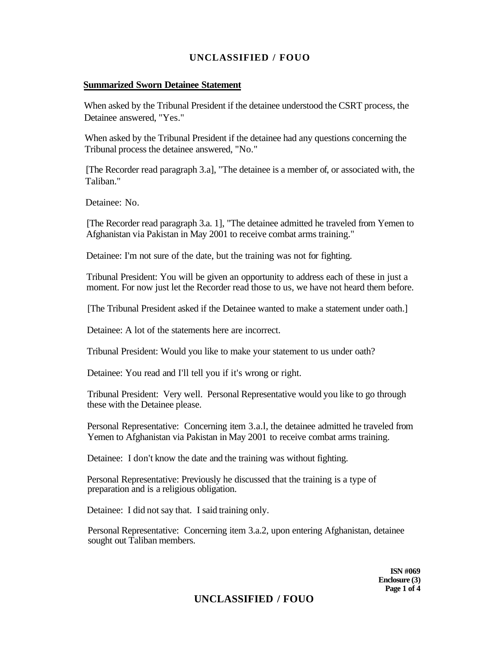#### **Summarized Sworn Detainee Statement**

When asked by the Tribunal President if the detainee understood the CSRT process, the Detainee answered, "Yes."

When asked by the Tribunal President if the detainee had any questions concerning the Tribunal process the detainee answered, "No."

[The Recorder read paragraph 3.a], "The detainee is a member of, or associated with, the Taliban."

Detainee: No.

[The Recorder read paragraph 3.a. 1], "The detainee admitted he traveled from Yemen to Afghanistan via Pakistan in May 2001 to receive combat arms training."

Detainee: I'm not sure of the date, but the training was not for fighting.

Tribunal President: You will be given an opportunity to address each of these in just a moment. For now just let the Recorder read those to us, we have not heard them before.

[The Tribunal President asked if the Detainee wanted to make a statement under oath.]

Detainee: A lot of the statements here are incorrect.

Tribunal President: Would you like to make your statement to us under oath?

Detainee: You read and I'll tell you if it's wrong or right.

Tribunal President: Very well. Personal Representative would you like to go through these with the Detainee please.

Personal Representative: Concerning item 3.a.l, the detainee admitted he traveled from Yemen to Afghanistan via Pakistan in May 2001 to receive combat arms training.

Detainee: I don't know the date and the training was without fighting.

Personal Representative: Previously he discussed that the training is a type of preparation and is a religious obligation.

Detainee: I did not say that. I said training only.

Personal Representative: Concerning item 3.a.2, upon entering Afghanistan, detainee sought out Taliban members.

> **ISN #069 Enclosure (3) Page 1 of 4**

## **UNCLASSIFIED / FOUO**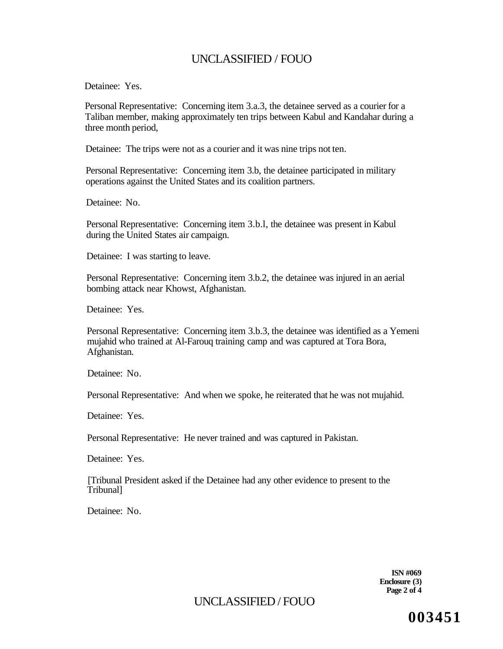Detainee: Yes.

Personal Representative: Concerning item 3.a.3, the detainee served as a courier for a Taliban member, making approximately ten trips between Kabul and Kandahar during a three month period,

Detainee: The trips were not as a courier and it was nine trips not ten.

Personal Representative: Concerning item 3.b, the detainee participated in military operations against the United States and its coalition partners.

Detainee: No.

Personal Representative: Concerning item 3.b.l, the detainee was present in Kabul during the United States air campaign.

Detainee: I was starting to leave.

Personal Representative: Concerning item 3.b.2, the detainee was injured in an aerial bombing attack near Khowst, Afghanistan.

Detainee: Yes.

Personal Representative: Concerning item 3.b.3, the detainee was identified as a Yemeni mujahid who trained at Al-Farouq training camp and was captured at Tora Bora, Afghanistan.

Detainee: No.

Personal Representative: And when we spoke, he reiterated that he was not mujahid.

Detainee: Yes.

Personal Representative: He never trained and was captured in Pakistan.

Detainee: Yes.

[Tribunal President asked if the Detainee had any other evidence to present to the Tribunal]

Detainee: No.

**ISN #069 Enclosure (3) Page 2 of 4** 

UNCLASSIFIED / FOUO

**003451**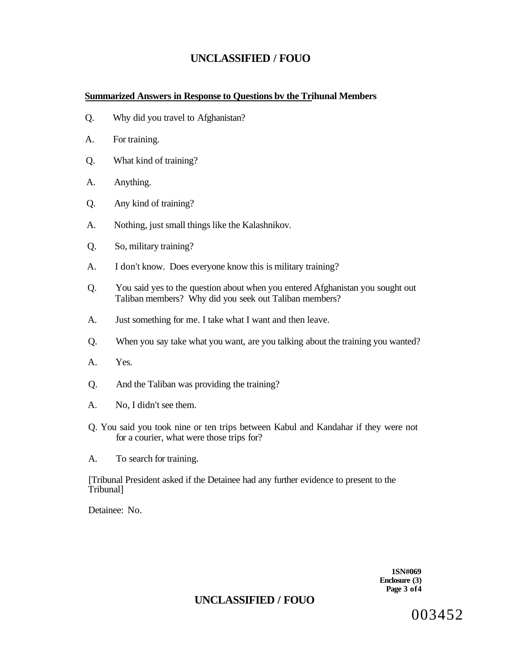## **Summarized Answers in Response to Questions bv the Trihunal Members**

- Q. Why did you travel to Afghanistan?
- A. For training.
- Q. What kind of training?
- A. Anything.
- Q. Any kind of training?
- A. Nothing, just small things like the Kalashnikov.
- Q. So, military training?
- A. I don't know. Does everyone know this is military training?
- Q. You said yes to the question about when you entered Afghanistan you sought out Taliban members? Why did you seek out Taliban members?
- A. Just something for me. I take what I want and then leave.
- Q. When you say take what you want, are you talking about the training you wanted?
- A. Yes.
- Q. And the Taliban was providing the training?
- A. No, I didn't see them.
- Q. You said you took nine or ten trips between Kabul and Kandahar if they were not for a courier, what were those trips for?
- A. To search for training.

[Tribunal President asked if the Detainee had any further evidence to present to the Tribunal]

Detainee: No.

**1SN#069 Enclosure (3) Page 3 of4**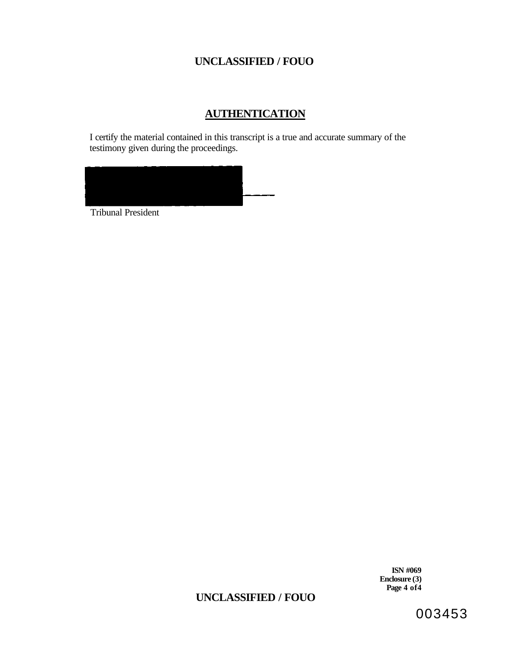# **AUTHENTICATION**

I certify the material contained in this transcript is a true and accurate summary of the testimony given during the proceedings.



Tribunal President

**ISN #069 Enclosure (3) Page 4 of4** 

# **UNCLASSIFIED / FOUO**

003453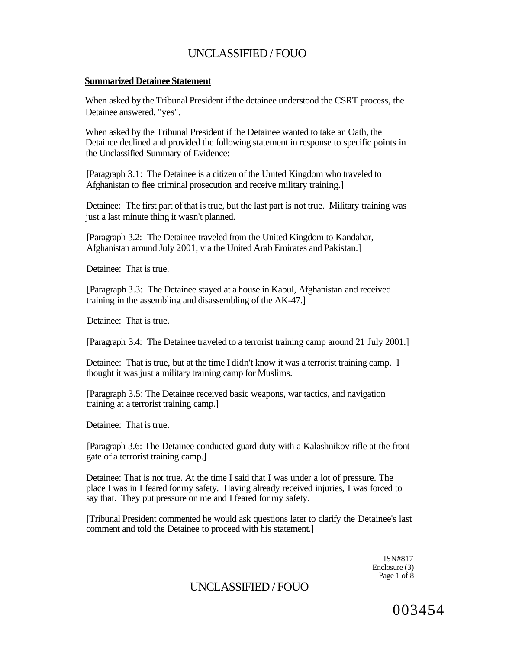### **Summarized Detainee Statement**

When asked by the Tribunal President if the detainee understood the CSRT process, the Detainee answered, "yes".

When asked by the Tribunal President if the Detainee wanted to take an Oath, the Detainee declined and provided the following statement in response to specific points in the Unclassified Summary of Evidence:

[Paragraph 3.1: The Detainee is a citizen of the United Kingdom who traveled to Afghanistan to flee criminal prosecution and receive military training.]

Detainee: The first part of that is true, but the last part is not true. Military training was just a last minute thing it wasn't planned.

[Paragraph 3.2: The Detainee traveled from the United Kingdom to Kandahar, Afghanistan around July 2001, via the United Arab Emirates and Pakistan.]

Detainee: That is true.

[Paragraph 3.3: The Detainee stayed at a house in Kabul, Afghanistan and received training in the assembling and disassembling of the AK-47.]

Detainee: That is true.

[Paragraph 3.4: The Detainee traveled to a terrorist training camp around 21 July 2001.]

Detainee: That is true, but at the time I didn't know it was a terrorist training camp. I thought it was just a military training camp for Muslims.

[Paragraph 3.5: The Detainee received basic weapons, war tactics, and navigation training at a terrorist training camp.]

Detainee: That is true.

[Paragraph 3.6: The Detainee conducted guard duty with a Kalashnikov rifle at the front gate of a terrorist training camp.]

Detainee: That is not true. At the time I said that I was under a lot of pressure. The place I was in I feared for my safety. Having already received injuries, I was forced to say that. They put pressure on me and I feared for my safety.

[Tribunal President commented he would ask questions later to clarify the Detainee's last comment and told the Detainee to proceed with his statement.]

> ISN#817 Enclosure (3) Page 1 of 8

# UNCLASSIFIED / FOUO

003454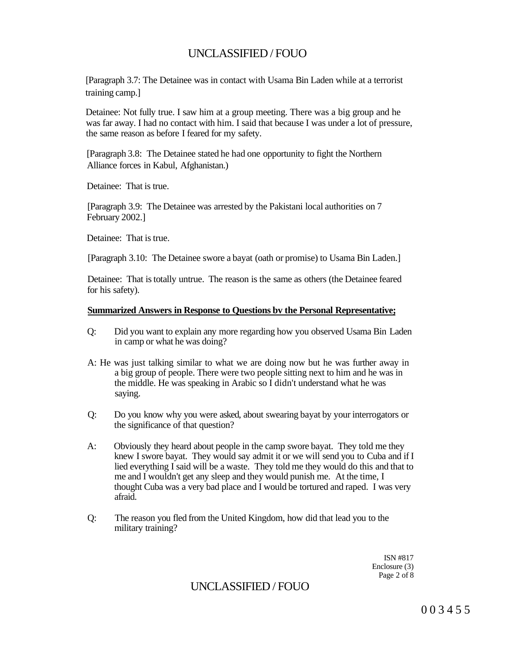[Paragraph 3.7: The Detainee was in contact with Usama Bin Laden while at a terrorist training camp.]

Detainee: Not fully true. I saw him at a group meeting. There was a big group and he was far away. I had no contact with him. I said that because I was under a lot of pressure, the same reason as before I feared for my safety.

[Paragraph 3.8: The Detainee stated he had one opportunity to fight the Northern Alliance forces in Kabul, Afghanistan.)

Detainee: That is true.

[Paragraph 3.9: The Detainee was arrested by the Pakistani local authorities on 7 February 2002.]

Detainee: That is true.

[Paragraph 3.10: The Detainee swore a bayat (oath or promise) to Usama Bin Laden.]

Detainee: That is totally untrue. The reason is the same as others (the Detainee feared for his safety).

### **Summarized Answers in Response to Questions bv the Personal Representative;**

- Q: Did you want to explain any more regarding how you observed Usama Bin Laden in camp or what he was doing?
- A: He was just talking similar to what we are doing now but he was further away in a big group of people. There were two people sitting next to him and he was in the middle. He was speaking in Arabic so I didn't understand what he was saying.
- Q: Do you know why you were asked, about swearing bayat by your interrogators or the significance of that question?
- A: Obviously they heard about people in the camp swore bayat. They told me they knew I swore bayat. They would say admit it or we will send you to Cuba and if I lied everything I said will be a waste. They told me they would do this and that to me and I wouldn't get any sleep and they would punish me. At the time, I thought Cuba was a very bad place and I would be tortured and raped. I was very afraid.
- Q: The reason you fled from the United Kingdom, how did that lead you to the military training?

ISN #817 Enclosure (3) Page 2 of 8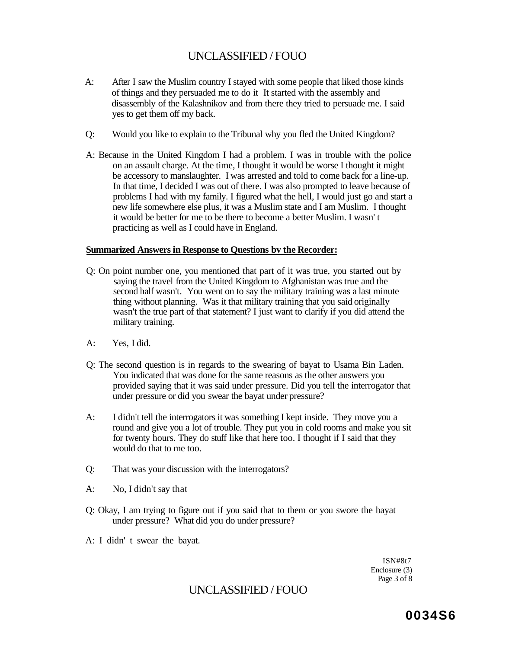- A: After I saw the Muslim country I stayed with some people that liked those kinds of things and they persuaded me to do it It started with the assembly and disassembly of the Kalashnikov and from there they tried to persuade me. I said yes to get them off my back.
- Q: Would you like to explain to the Tribunal why you fled the United Kingdom?
- A: Because in the United Kingdom I had a problem. I was in trouble with the police on an assault charge. At the time, I thought it would be worse I thought it might be accessory to manslaughter. I was arrested and told to come back for a line-up. In that time, I decided I was out of there. I was also prompted to leave because of problems I had with my family. I figured what the hell, I would just go and start a new life somewhere else plus, it was a Muslim state and I am Muslim. I thought it would be better for me to be there to become a better Muslim. I wasn' t practicing as well as I could have in England.

#### **Summarized Answers in Response to Questions bv the Recorder:**

- Q: On point number one, you mentioned that part of it was true, you started out by saying the travel from the United Kingdom to Afghanistan was true and the second half wasn't. You went on to say the military training was a last minute thing without planning. Was it that military training that you said originally wasn't the true part of that statement? I just want to clarify if you did attend the military training.
- A: Yes, I did.
- Q: The second question is in regards to the swearing of bayat to Usama Bin Laden. You indicated that was done for the same reasons as the other answers you provided saying that it was said under pressure. Did you tell the interrogator that under pressure or did you swear the bayat under pressure?
- A: I didn't tell the interrogators it was something I kept inside. They move you a round and give you a lot of trouble. They put you in cold rooms and make you sit for twenty hours. They do stuff like that here too. I thought if I said that they would do that to me too.
- Q: That was your discussion with the interrogators?
- A: No, I didn't say that
- Q: Okay, I am trying to figure out if you said that to them or you swore the bayat under pressure? What did you do under pressure?
- A: I didn' t swear the bayat.

ISN#8t7 Enclosure (3) Page 3 of 8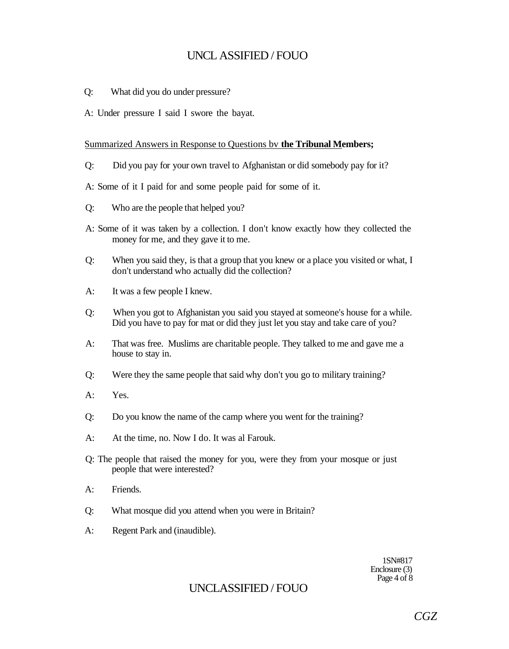- Q: What did you do under pressure?
- A: Under pressure I said I swore the bayat.

#### Summarized Answers in Response to Questions bv **the Tribunal Members;**

- Q: Did you pay for your own travel to Afghanistan or did somebody pay for it?
- A: Some of it I paid for and some people paid for some of it.
- Q: Who are the people that helped you?
- A: Some of it was taken by a collection. I don't know exactly how they collected the money for me, and they gave it to me.
- Q: When you said they, is that a group that you knew or a place you visited or what, I don't understand who actually did the collection?
- A: It was a few people I knew.
- Q: When you got to Afghanistan you said you stayed at someone's house for a while. Did you have to pay for mat or did they just let you stay and take care of you?
- A: That was free. Muslims are charitable people. They talked to me and gave me a house to stay in.
- Q: Were they the same people that said why don't you go to military training?
- A: Yes.
- Q: Do you know the name of the camp where you went for the training?
- A: At the time, no. Now I do. It was al Farouk.
- Q: The people that raised the money for you, were they from your mosque or just people that were interested?
- A: Friends.
- Q: What mosque did you attend when you were in Britain?
- A: Regent Park and (inaudible).

1SN#817 Enclosure (3) Page 4 of 8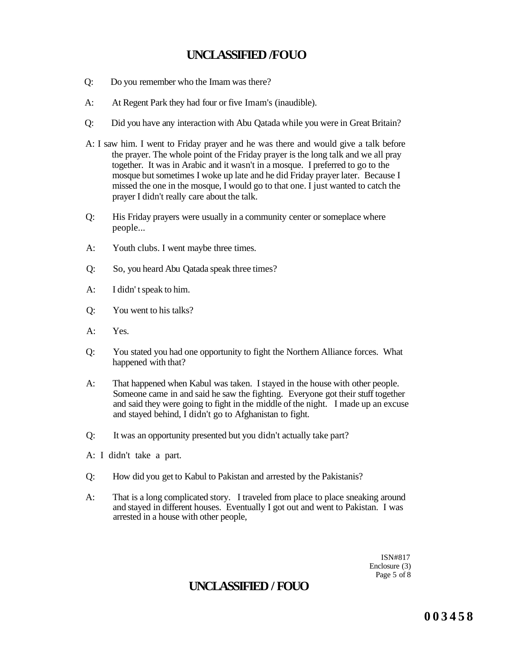- Q: Do you remember who the Imam was there?
- A: At Regent Park they had four or five Imam's (inaudible).
- Q: Did you have any interaction with Abu Qatada while you were in Great Britain?
- A: I saw him. I went to Friday prayer and he was there and would give a talk before the prayer. The whole point of the Friday prayer is the long talk and we all pray together. It was in Arabic and it wasn't in a mosque. I preferred to go to the mosque but sometimes I woke up late and he did Friday prayer later. Because I missed the one in the mosque, I would go to that one. I just wanted to catch the prayer I didn't really care about the talk.
- Q: His Friday prayers were usually in a community center or someplace where people...
- A: Youth clubs. I went maybe three times.
- Q: So, you heard Abu Qatada speak three times?
- A: I didn' t speak to him.
- Q: You went to his talks?
- A: Yes.
- Q: You stated you had one opportunity to fight the Northern Alliance forces. What happened with that?
- A: That happened when Kabul was taken. I stayed in the house with other people. Someone came in and said he saw the fighting. Everyone got their stuff together and said they were going to fight in the middle of the night. I made up an excuse and stayed behind, I didn't go to Afghanistan to fight.
- Q: It was an opportunity presented but you didn't actually take part?
- A: I didn't take a part.
- Q: How did you get to Kabul to Pakistan and arrested by the Pakistanis?
- A: That is a long complicated story. I traveled from place to place sneaking around and stayed in different houses. Eventually I got out and went to Pakistan. I was arrested in a house with other people,

ISN#817 Enclosure (3) Page 5 of 8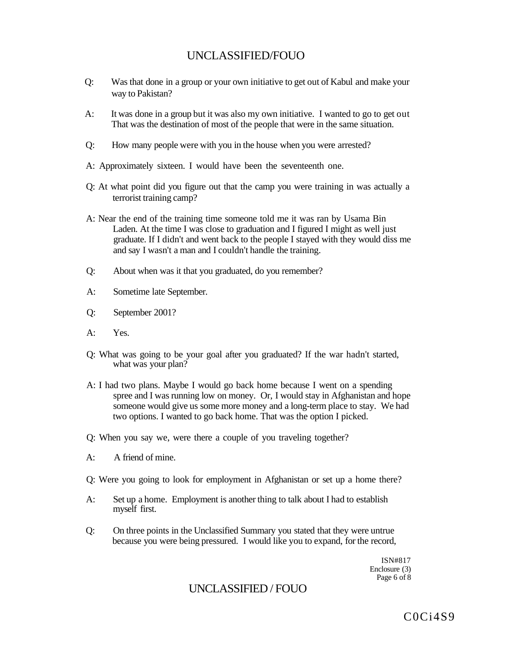- Q: Was that done in a group or your own initiative to get out of Kabul and make your way to Pakistan?
- A: It was done in a group but it was also my own initiative. I wanted to go to get out That was the destination of most of the people that were in the same situation.
- Q: How many people were with you in the house when you were arrested?
- A: Approximately sixteen. I would have been the seventeenth one.
- Q: At what point did you figure out that the camp you were training in was actually a terrorist training camp?
- A: Near the end of the training time someone told me it was ran by Usama Bin Laden. At the time I was close to graduation and I figured I might as well just graduate. If I didn't and went back to the people I stayed with they would diss me and say I wasn't a man and I couldn't handle the training.
- Q: About when was it that you graduated, do you remember?
- A: Sometime late September.
- Q: September 2001?
- A: Yes.
- Q: What was going to be your goal after you graduated? If the war hadn't started, what was your plan?
- A: I had two plans. Maybe I would go back home because I went on a spending spree and I was running low on money. Or, I would stay in Afghanistan and hope someone would give us some more money and a long-term place to stay. We had two options. I wanted to go back home. That was the option I picked.
- Q: When you say we, were there a couple of you traveling together?
- A: A friend of mine.
- Q: Were you going to look for employment in Afghanistan or set up a home there?
- A: Set up a home. Employment is another thing to talk about I had to establish myself first.
- Q: On three points in the Unclassified Summary you stated that they were untrue because you were being pressured. I would like you to expand, for the record,

ISN#817 Enclosure (3) Page 6 of 8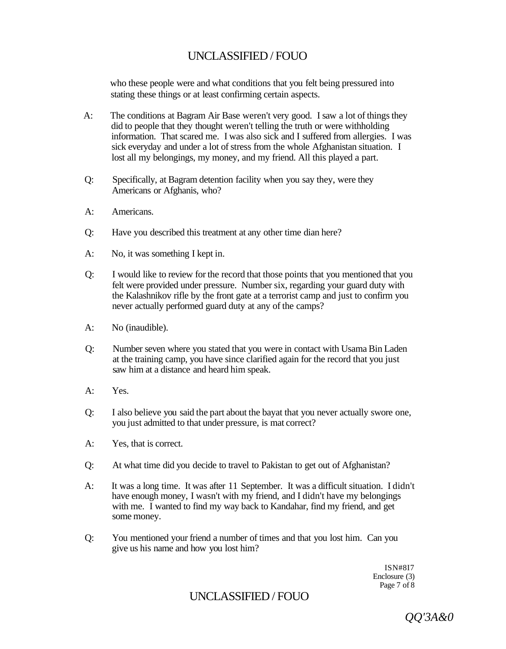who these people were and what conditions that you felt being pressured into stating these things or at least confirming certain aspects.

- A: The conditions at Bagram Air Base weren't very good. I saw a lot of things they did to people that they thought weren't telling the truth or were withholding information. That scared me. I was also sick and I suffered from allergies. I was sick everyday and under a lot of stress from the whole Afghanistan situation. I lost all my belongings, my money, and my friend. All this played a part.
- Q: Specifically, at Bagram detention facility when you say they, were they Americans or Afghanis, who?
- A: Americans.
- Q: Have you described this treatment at any other time dian here?
- A: No, it was something I kept in.
- Q: I would like to review for the record that those points that you mentioned that you felt were provided under pressure. Number six, regarding your guard duty with the Kalashnikov rifle by the front gate at a terrorist camp and just to confirm you never actually performed guard duty at any of the camps?
- A: No (inaudible).
- Q: Number seven where you stated that you were in contact with Usama Bin Laden at the training camp, you have since clarified again for the record that you just saw him at a distance and heard him speak.
- A: Yes.
- Q: I also believe you said the part about the bayat that you never actually swore one, you just admitted to that under pressure, is mat correct?
- A: Yes, that is correct.
- Q: At what time did you decide to travel to Pakistan to get out of Afghanistan?
- A: It was a long time. It was after 11 September. It was a difficult situation. I didn't have enough money, I wasn't with my friend, and I didn't have my belongings with me. I wanted to find my way back to Kandahar, find my friend, and get some money.
- Q: You mentioned your friend a number of times and that you lost him. Can you give us his name and how you lost him?

ISN#8I7 Enclosure (3) Page 7 of 8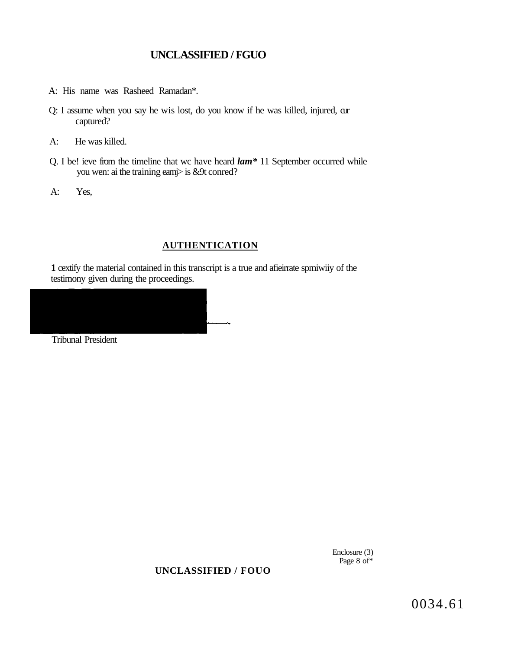- A: His name was Rasheed Ramadan\*.
- Q: I assume when you say he wis lost, do you know if he was killed, injured, cur captured?
- A: He was killed.
- Q. I be! ieve from the timeline that wc have heard *lam\** 11 September occurred while you wen: ai the training eamj> is &9t conred?
- A: Yes,

# **AUTHENTICATION**

**1** cextify the material contained in this transcript is a true and afieirrate spmiwiiy of the testimony given during the proceedings.

Tribunal President

Enclosure (3) Page 8 of\*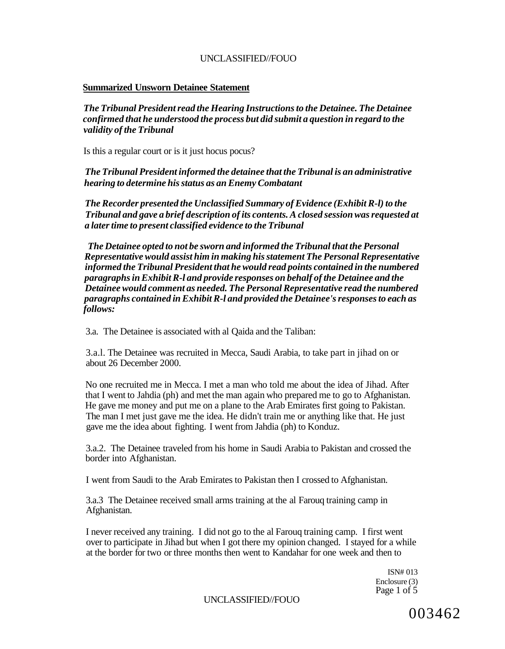### **Summarized Unsworn Detainee Statement**

*The Tribunal President read the Hearing Instructions to the Detainee. The Detainee confirmed that he understood the process but did submit a question in regard to the validity of the Tribunal* 

Is this a regular court or is it just hocus pocus?

*The Tribunal President informed the detainee that the Tribunal is an administrative hearing to determine his status as an Enemy Combatant* 

*The Recorder presented the Unclassified Summary of Evidence (Exhibit R-l) to the Tribunal and gave a brief description of its contents. A closed session was requested at a later time to present classified evidence to the Tribunal* 

*The Detainee opted to not be sworn and informed the Tribunal that the Personal Representative would assist him in making his statement The Personal Representative informed the Tribunal President that he would read points contained in the numbered paragraphs in Exhibit R-l and provide responses on behalf of the Detainee and the Detainee would comment as needed. The Personal Representative read the numbered paragraphs contained in Exhibit R-l and provided the Detainee's responses to each as follows:* 

3.a. The Detainee is associated with al Qaida and the Taliban:

3.a.l. The Detainee was recruited in Mecca, Saudi Arabia, to take part in jihad on or about 26 December 2000.

No one recruited me in Mecca. I met a man who told me about the idea of Jihad. After that I went to Jahdia (ph) and met the man again who prepared me to go to Afghanistan. He gave me money and put me on a plane to the Arab Emirates first going to Pakistan. The man I met just gave me the idea. He didn't train me or anything like that. He just gave me the idea about fighting. I went from Jahdia (ph) to Konduz.

3.a.2. The Detainee traveled from his home in Saudi Arabia to Pakistan and crossed the border into Afghanistan.

I went from Saudi to the Arab Emirates to Pakistan then I crossed to Afghanistan.

3.a.3 The Detainee received small arms training at the al Farouq training camp in Afghanistan.

I never received any training. I did not go to the al Farouq training camp. I first went over to participate in Jihad but when I got there my opinion changed. I stayed for a while at the border for two or three months then went to Kandahar for one week and then to

> ISN# 013 Enclosure (3) Page 1 of 5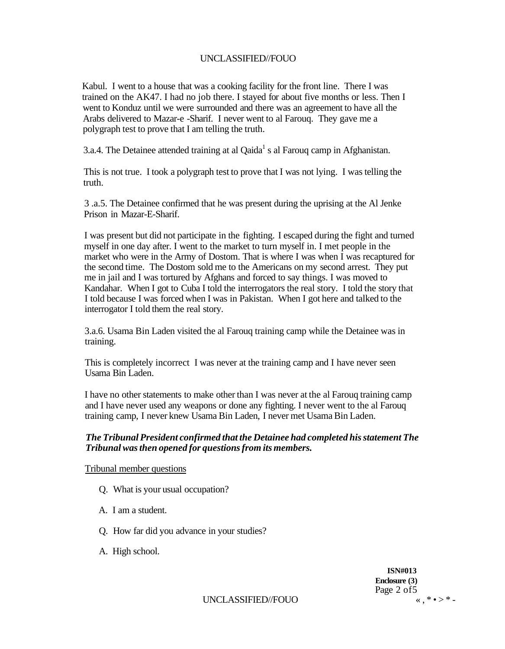Kabul. I went to a house that was a cooking facility for the front line. There I was trained on the AK47. I had no job there. I stayed for about five months or less. Then I went to Konduz until we were surrounded and there was an agreement to have all the Arabs delivered to Mazar-e -Sharif. I never went to al Farouq. They gave me a polygraph test to prove that I am telling the truth.

3.a.4. The Detainee attended training at al Qaida<sup>1</sup> s al Farouq camp in Afghanistan.

This is not true. I took a polygraph test to prove that I was not lying. I was telling the truth.

3 .a.5. The Detainee confirmed that he was present during the uprising at the Al Jenke Prison in Mazar-E-Sharif.

I was present but did not participate in the fighting. I escaped during the fight and turned myself in one day after. I went to the market to turn myself in. I met people in the market who were in the Army of Dostom. That is where I was when I was recaptured for the second time. The Dostom sold me to the Americans on my second arrest. They put me in jail and I was tortured by Afghans and forced to say things. I was moved to Kandahar. When I got to Cuba I told the interrogators the real story. I told the story that I told because I was forced when I was in Pakistan. When I got here and talked to the interrogator I told them the real story.

3.a.6. Usama Bin Laden visited the al Farouq training camp while the Detainee was in training.

This is completely incorrect I was never at the training camp and I have never seen Usama Bin Laden.

I have no other statements to make other than I was never at the al Farouq training camp and I have never used any weapons or done any fighting. I never went to the al Farouq training camp, I never knew Usama Bin Laden, I never met Usama Bin Laden.

### *The Tribunal President confirmed that the Detainee had completed his statement The Tribunal was then opened for questions from its members.*

Tribunal member questions

- Q. What is your usual occupation?
- A. I am a student.
- Q. How far did you advance in your studies?
- A. High school.

**ISN#013** 

**Enclosure (3)**  Page 2 of 5  $\frac{1}{2}$   $\frac{1}{2}$   $\frac{1}{2}$   $\frac{1}{2}$   $\frac{1}{2}$   $\frac{1}{2}$   $\frac{1}{2}$   $\frac{1}{2}$   $\frac{1}{2}$   $\frac{1}{2}$   $\frac{1}{2}$   $\frac{1}{2}$   $\frac{1}{2}$   $\frac{1}{2}$   $\frac{1}{2}$   $\frac{1}{2}$   $\frac{1}{2}$   $\frac{1}{2}$   $\frac{1}{2}$   $\frac{1}{2}$   $\frac{1}{2}$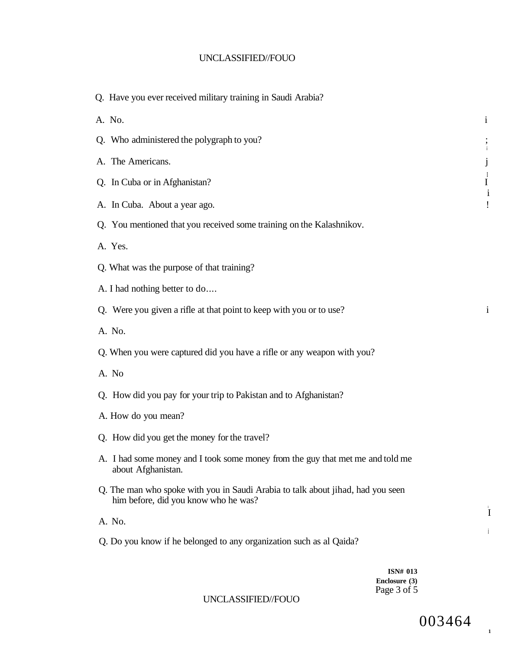| Q. Have you ever received military training in Saudi Arabia?                                                            |                   |
|-------------------------------------------------------------------------------------------------------------------------|-------------------|
| A. No.                                                                                                                  | $\mathbf{i}$      |
| Q. Who administered the polygraph to you?                                                                               | $\mathbf{i}$      |
| A. The Americans.                                                                                                       | j                 |
| Q. In Cuba or in Afghanistan?                                                                                           | $\bf I$           |
| A. In Cuba. About a year ago.                                                                                           | $\mathbf{1}$<br>l |
| Q. You mentioned that you received some training on the Kalashnikov.                                                    |                   |
| A. Yes.                                                                                                                 |                   |
| Q. What was the purpose of that training?                                                                               |                   |
| A. I had nothing better to do                                                                                           |                   |
| Q. Were you given a rifle at that point to keep with you or to use?                                                     | $\mathbf{i}$      |
| A. No.                                                                                                                  |                   |
| Q. When you were captured did you have a rifle or any weapon with you?                                                  |                   |
| A. No                                                                                                                   |                   |
| Q. How did you pay for your trip to Pakistan and to Afghanistan?                                                        |                   |
| A. How do you mean?                                                                                                     |                   |
| Q. How did you get the money for the travel?                                                                            |                   |
| A. I had some money and I took some money from the guy that met me and told me<br>about Afghanistan.                    |                   |
| Q. The man who spoke with you in Saudi Arabia to talk about jihad, had you seen<br>him before, did you know who he was? |                   |
| A. No.                                                                                                                  | I<br>Ĵ.           |
| Q. Do you know if he belonged to any organization such as al Qaida?                                                     |                   |
| ISN# 013<br>Enclosure (3)                                                                                               |                   |

UNCLASSIFIED//FOUO

Page 3 of 5

 $\mathbf{I}$ 

**1**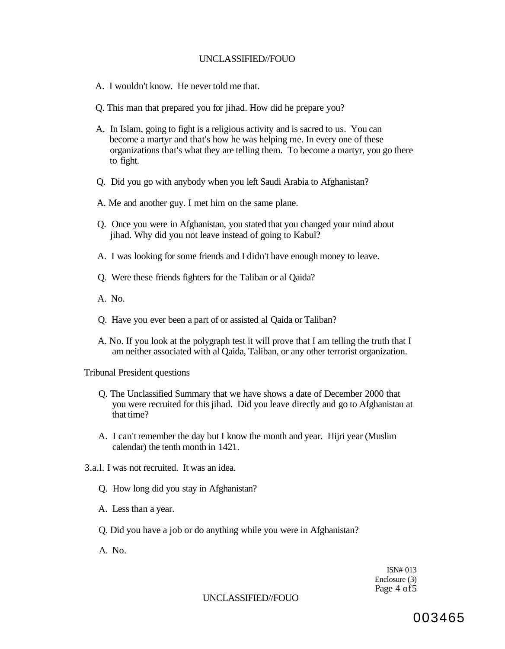- A. I wouldn't know. He never told me that.
- Q. This man that prepared you for jihad. How did he prepare you?
- A. In Islam, going to fight is a religious activity and is sacred to us. You can become a martyr and that's how he was helping me. In every one of these organizations that's what they are telling them. To become a martyr, you go there to fight.
- Q. Did you go with anybody when you left Saudi Arabia to Afghanistan?
- A. Me and another guy. I met him on the same plane.
- Q. Once you were in Afghanistan, you stated that you changed your mind about jihad. Why did you not leave instead of going to Kabul?
- A. I was looking for some friends and I didn't have enough money to leave.
- Q. Were these friends fighters for the Taliban or al Qaida?
- A. No.
- Q. Have you ever been a part of or assisted al Qaida or Taliban?
- A. No. If you look at the polygraph test it will prove that I am telling the truth that I am neither associated with al Qaida, Taliban, or any other terrorist organization.

#### Tribunal President questions

- Q. The Unclassified Summary that we have shows a date of December 2000 that you were recruited for this jihad. Did you leave directly and go to Afghanistan at that time?
- A. I can't remember the day but I know the month and year. Hijri year (Muslim calendar) the tenth month in 1421.
- 3.a.l. I was not recruited. It was an idea.
	- Q. How long did you stay in Afghanistan?
	- A. Less than a year.
	- Q. Did you have a job or do anything while you were in Afghanistan?
	- A. No.

ISN# 013 Enclosure (3) Page 4 of 5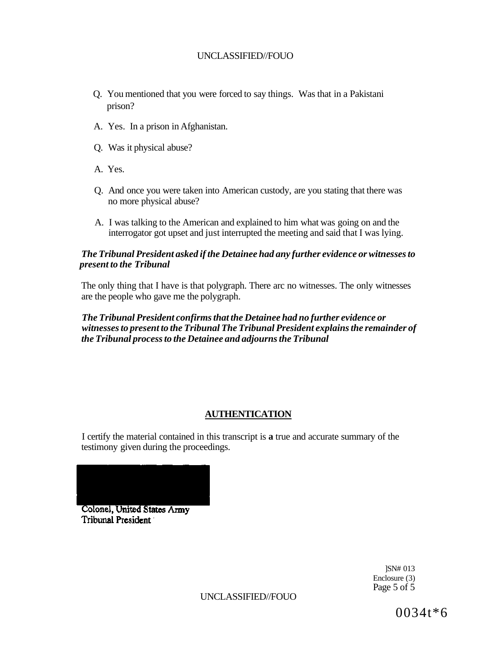- Q. You mentioned that you were forced to say things. Was that in a Pakistani prison?
- A. Yes. In a prison in Afghanistan.
- Q. Was it physical abuse?
- A. Yes.
- Q. And once you were taken into American custody, are you stating that there was no more physical abuse?
- A. I was talking to the American and explained to him what was going on and the interrogator got upset and just interrupted the meeting and said that I was lying.

### *The Tribunal President asked if the Detainee had any further evidence or witnesses to present to the Tribunal*

The only thing that I have is that polygraph. There arc no witnesses. The only witnesses are the people who gave me the polygraph.

## *The Tribunal President confirms that the Detainee had no further evidence or witnesses to present to the Tribunal The Tribunal President explains the remainder of the Tribunal process to the Detainee and adjourns the Tribunal*

# **AUTHENTICATION**

I certify the material contained in this transcript is **a** true and accurate summary of the testimony given during the proceedings.

Colonel, United States Army Tribunal President

]SN# 013 Enclosure (3) Page 5 of 5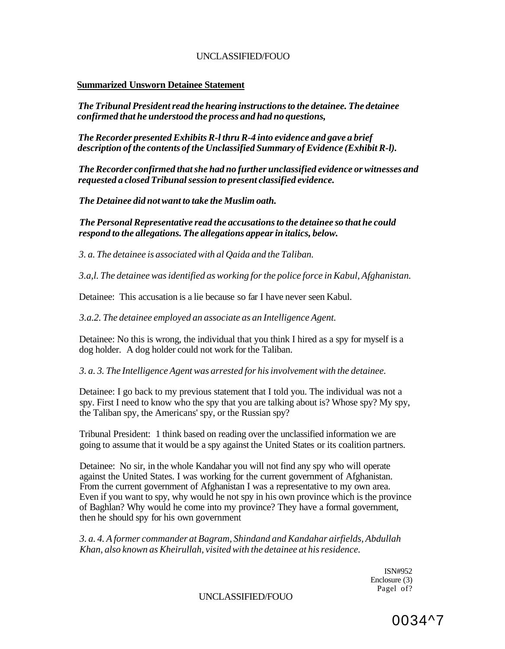### **Summarized Unsworn Detainee Statement**

*The Tribunal President read the hearing instructions to the detainee. The detainee confirmed that he understood the process and had no questions,* 

*The Recorder presented Exhibits R-l thru R-4 into evidence and gave a brief description of the contents of the Unclassified Summary of Evidence (Exhibit R-l).* 

*The Recorder confirmed that she had no further unclassified evidence or witnesses and requested a closed Tribunal session to present classified evidence.* 

*The Detainee did not want to take the Muslim oath.* 

*The Personal Representative read the accusations to the detainee so that he could respond to the allegations. The allegations appear in italics, below.* 

*3. a. The detainee is associated with al Qaida and the Taliban.* 

*3.a,l. The detainee was identified as working for the police force in Kabul, Afghanistan.* 

Detainee: This accusation is a lie because so far I have never seen Kabul.

*3.a.2. The detainee employed an associate as an Intelligence Agent.* 

Detainee: No this is wrong, the individual that you think I hired as a spy for myself is a dog holder. A dog holder could not work for the Taliban.

*3. a. 3. The Intelligence Agent was arrested for his involvement with the detainee.* 

Detainee: I go back to my previous statement that I told you. The individual was not a spy. First I need to know who the spy that you are talking about is? Whose spy? My spy, the Taliban spy, the Americans' spy, or the Russian spy?

Tribunal President: 1 think based on reading over the unclassified information we are going to assume that it would be a spy against the United States or its coalition partners.

Detainee: No sir, in the whole Kandahar you will not find any spy who will operate against the United States. I was working for the current government of Afghanistan. From the current government of Afghanistan I was a representative to my own area. Even if you want to spy, why would he not spy in his own province which is the province of Baghlan? Why would he come into my province? They have a formal government, then he should spy for his own government

*3. a. 4. A former commander at Bagram, Shindand and Kandahar airfields, Abdullah Khan, also known as Kheirullah, visited with the detainee at his residence.* 

> ISN#952 Enclosure (3) Pagel of?

UNCLASSIFIED/FOUO

0034^7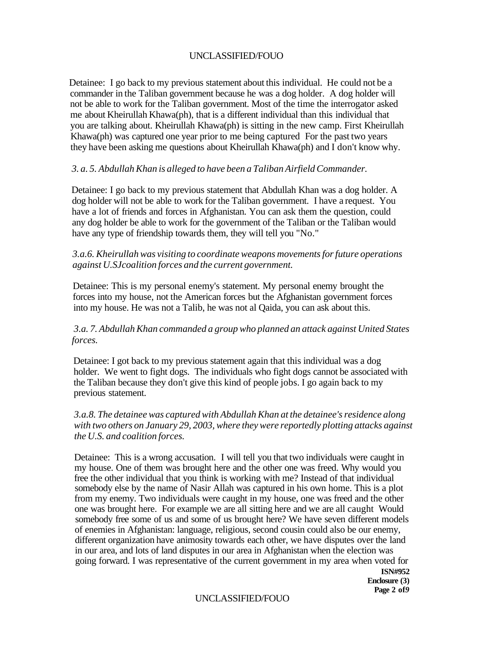Detainee: I go back to my previous statement about this individual. He could not be a commander in the Taliban government because he was a dog holder. A dog holder will not be able to work for the Taliban government. Most of the time the interrogator asked me about Kheirullah Khawa(ph), that is a different individual than this individual that you are talking about. Kheirullah Khawa(ph) is sitting in the new camp. First Kheirullah Khawa(ph) was captured one year prior to me being captured For the past two years they have been asking me questions about Kheirullah Khawa(ph) and I don't know why.

#### *3. a. 5. Abdullah Khan is alleged to have been a Taliban Airfield Commander.*

Detainee: I go back to my previous statement that Abdullah Khan was a dog holder. A dog holder will not be able to work for the Taliban government. I have a request. You have a lot of friends and forces in Afghanistan. You can ask them the question, could any dog holder be able to work for the government of the Taliban or the Taliban would have any type of friendship towards them, they will tell you "No."

### *3.a.6. Kheirullah was visiting to coordinate weapons movements for future operations against U.SJcoalition forces and the current government.*

Detainee: This is my personal enemy's statement. My personal enemy brought the forces into my house, not the American forces but the Afghanistan government forces into my house. He was not a Talib, he was not al Qaida, you can ask about this.

## *3.a. 7. Abdullah Khan commanded a group who planned an attack against United States forces.*

Detainee: I got back to my previous statement again that this individual was a dog holder. We went to fight dogs. The individuals who fight dogs cannot be associated with the Taliban because they don't give this kind of people jobs. I go again back to my previous statement.

## *3.a.8. The detainee was captured with Abdullah Khan at the detainee's residence along with two others on January 29, 2003, where they were reportedly plotting attacks against the U.S. and coalition forces.*

Detainee: This is a wrong accusation. I will tell you that two individuals were caught in my house. One of them was brought here and the other one was freed. Why would you free the other individual that you think is working with me? Instead of that individual somebody else by the name of Nasir Allah was captured in his own home. This is a plot from my enemy. Two individuals were caught in my house, one was freed and the other one was brought here. For example we are all sitting here and we are all caught Would somebody free some of us and some of us brought here? We have seven different models of enemies in Afghanistan: language, religious, second cousin could also be our enemy, different organization have animosity towards each other, we have disputes over the land in our area, and lots of land disputes in our area in Afghanistan when the election was going forward. I was representative of the current government in my area when voted for

**ISN#952 Enclosure (3) Page 2 of***9*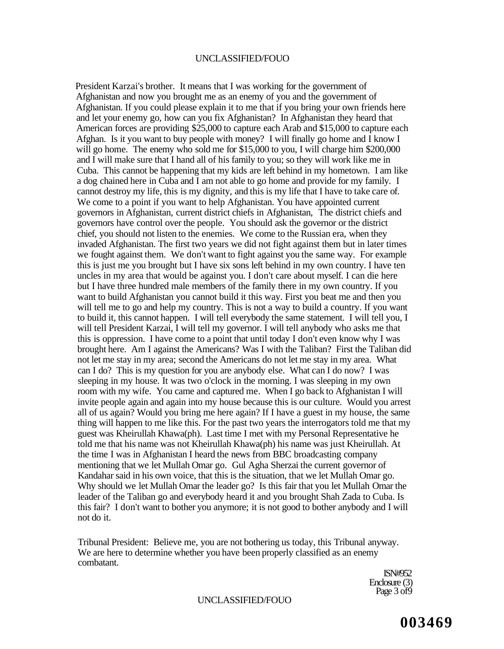President Karzai's brother. It means that I was working for the government of Afghanistan and now you brought me as an enemy of you and the government of Afghanistan. If you could please explain it to me that if you bring your own friends here and let your enemy go, how can you fix Afghanistan? In Afghanistan they heard that American forces are providing \$25,000 to capture each Arab and \$15,000 to capture each Afghan. Is it you want to buy people with money? I will finally go home and I know I will go home. The enemy who sold me for \$15,000 to you, I will charge him \$200,000 and I will make sure that I hand all of his family to you; so they will work like me in Cuba. This cannot be happening that my kids are left behind in my hometown. I am like a dog chained here in Cuba and I am not able to go home and provide for my family. I cannot destroy my life, this is my dignity, and this is my life that I have to take care of. We come to a point if you want to help Afghanistan. You have appointed current governors in Afghanistan, current district chiefs in Afghanistan, The district chiefs and governors have control over the people. You should ask the governor or the district chief, you should not listen to the enemies. We come to the Russian era, when they invaded Afghanistan. The first two years we did not fight against them but in later times we fought against them. We don't want to fight against you the same way. For example this is just me you brought but I have six sons left behind in my own country. I have ten uncles in my area that would be against you. I don't care about myself. I can die here but I have three hundred male members of the family there in my own country. If you want to build Afghanistan you cannot build it this way. First you beat me and then you will tell me to go and help my country. This is not a way to build a country. If you want to build it, this cannot happen. I will tell everybody the same statement. I will tell you, I will tell President Karzai, I will tell my governor. I will tell anybody who asks me that this is oppression. I have come to a point that until today I don't even know why I was brought here. Am I against the Americans? Was I with the Taliban? First the Taliban did not let me stay in my area; second the Americans do not let me stay in my area. What can I do? This is my question for you are anybody else. What can I do now? I was sleeping in my house. It was two o'clock in the morning. I was sleeping in my own room with my wife. You came and captured me. When I go back to Afghanistan I will invite people again and again into my house because this is our culture. Would you arrest all of us again? Would you bring me here again? If I have a guest in my house, the same thing will happen to me like this. For the past two years the interrogators told me that my guest was Kheirullah Khawa(ph). Last time I met with my Personal Representative he told me that his name was not Kheirullah Khawa(ph) his name was just Kheirullah. At the time I was in Afghanistan I heard the news from BBC broadcasting company mentioning that we let Mullah Omar go. Gul Agha Sherzai the current governor of Kandahar said in his own voice, that this is the situation, that we let Mullah Omar go. Why should we let Mullah Omar the leader go? Is this fair that you let Mullah Omar the leader of the Taliban go and everybody heard it and you brought Shah Zada to Cuba. Is this fair? I don't want to bother you anymore; it is not good to bother anybody and I will not do it.

Tribunal President: Believe me, you are not bothering us today, this Tribunal anyway. We are here to determine whether you have been properly classified as an enemy combatant.

ISN#952 Enclosure (3) Page 3 of 9

#### UNCLASSIFIED/FOUO

**003469**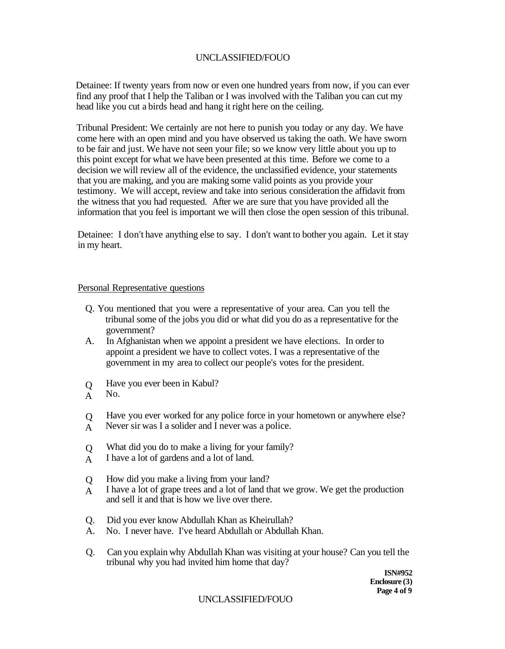Detainee: If twenty years from now or even one hundred years from now, if you can ever find any proof that I help the Taliban or I was involved with the Taliban you can cut my head like you cut a birds head and hang it right here on the ceiling.

Tribunal President: We certainly are not here to punish you today or any day. We have come here with an open mind and you have observed us taking the oath. We have sworn to be fair and just. We have not seen your file; so we know very little about you up to this point except for what we have been presented at this time. Before we come to a decision we will review all of the evidence, the unclassified evidence, your statements that you are making, and you are making some valid points as you provide your testimony. We will accept, review and take into serious consideration the affidavit from the witness that you had requested. After we are sure that you have provided all the information that you feel is important we will then close the open session of this tribunal.

Detainee: I don't have anything else to say. I don't want to bother you again. Let it stay in my heart.

#### Personal Representative questions

- Q. You mentioned that you were a representative of your area. Can you tell the tribunal some of the jobs you did or what did you do as a representative for the government?
- A. In Afghanistan when we appoint a president we have elections. In order to appoint a president we have to collect votes. I was a representative of the government in my area to collect our people's votes for the president.
- $\overline{O}$ Have you ever been in Kabul?
- A No.
- $\Omega$ A Have you ever worked for any police force in your hometown or anywhere else? Never sir was I a solider and I never was a police.
- Q What did you do to make a living for your family?
- A I have a lot of gardens and a lot of land.
- $\Omega$ How did you make a living from your land?
- A I have a lot of grape trees and a lot of land that we grow. We get the production and sell it and that is how we live over there.
- Q. Did you ever know Abdullah Khan as Kheirullah?
- A. No. I never have. I've heard Abdullah or Abdullah Khan.
- Q. Can you explain why Abdullah Khan was visiting at your house? Can you tell the tribunal why you had invited him home that day?

**ISN#952 Enclosure (3) Page 4 of 9**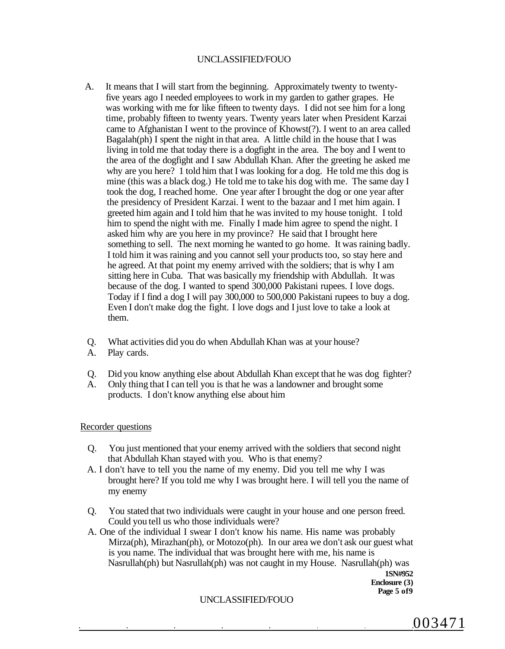- A. It means that I will start from the beginning. Approximately twenty to twentyfive years ago I needed employees to work in my garden to gather grapes. He was working with me for like fifteen to twenty days. I did not see him for a long time, probably fifteen to twenty years. Twenty years later when President Karzai came to Afghanistan I went to the province of Khowst(?). I went to an area called Bagalah(ph) I spent the night in that area. A little child in the house that I was living in told me that today there is a dogfight in the area. The boy and I went to the area of the dogfight and I saw Abdullah Khan. After the greeting he asked me why are you here? 1 told him that I was looking for a dog. He told me this dog is mine (this was a black dog.) He told me to take his dog with me. The same day I took the dog, I reached home. One year after I brought the dog or one year after the presidency of President Karzai. I went to the bazaar and I met him again. I greeted him again and I told him that he was invited to my house tonight. I told him to spend the night with me. Finally I made him agree to spend the night. I asked him why are you here in my province? He said that I brought here something to sell. The next morning he wanted to go home. It was raining badly. I told him it was raining and you cannot sell your products too, so stay here and he agreed. At that point my enemy arrived with the soldiers; that is why I am sitting here in Cuba. That was basically my friendship with Abdullah. It was because of the dog. I wanted to spend 300,000 Pakistani rupees. I love dogs. Today if I find a dog I will pay 300,000 to 500,000 Pakistani rupees to buy a dog. Even I don't make dog the fight. I love dogs and I just love to take a look at them.
- Q. What activities did you do when Abdullah Khan was at your house?
- A. Play cards.
- Q. Did you know anything else about Abdullah Khan except that he was dog fighter?
- A. Only thing that I can tell you is that he was a landowner and brought some products. I don't know anything else about him

#### Recorder questions

- Q. You just mentioned that your enemy arrived with the soldiers that second night that Abdullah Khan stayed with you. Who is that enemy?
- A. I don't have to tell you the name of my enemy. Did you tell me why I was brought here? If you told me why I was brought here. I will tell you the name of my enemy
- Q. You stated that two individuals were caught in your house and one person freed. Could you tell us who those individuals were?
- A. One of the individual I swear I don't know his name. His name was probably Mirza(ph), Mirazhan(ph), or Motozo(ph). In our area we don't ask our guest what is you name. The individual that was brought here with me, his name is Nasrullah(ph) but Nasrullah(ph) was not caught in my House. Nasrullah(ph) was

**1SN#952 Enclosure (3) Page 5 of9**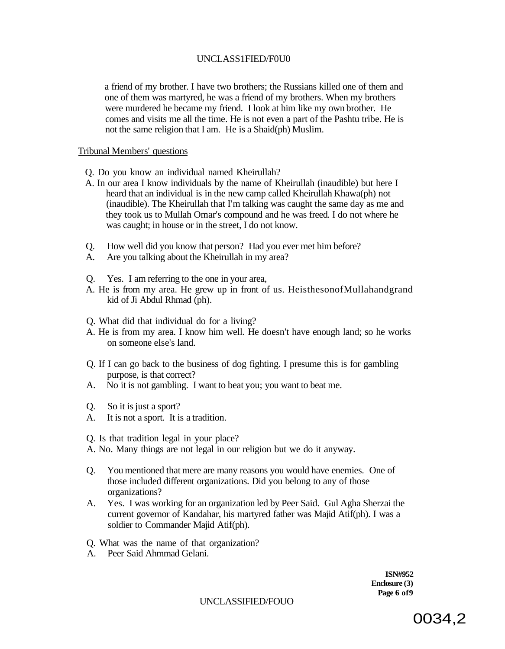## UNCLASS1FIED/F0U0

a friend of my brother. I have two brothers; the Russians killed one of them and one of them was martyred, he was a friend of my brothers. When my brothers were murdered he became my friend. I look at him like my own brother. He comes and visits me all the time. He is not even a part of the Pashtu tribe. He is not the same religion that I am. He is a Shaid(ph) Muslim.

#### Tribunal Members' questions

Q. Do you know an individual named Kheirullah?

- A. In our area I know individuals by the name of Kheirullah (inaudible) but here I heard that an individual is in the new camp called Kheirullah Khawa(ph) not (inaudible). The Kheirullah that I'm talking was caught the same day as me and they took us to Mullah Omar's compound and he was freed. I do not where he was caught; in house or in the street, I do not know.
- Q. How well did you know that person? Had you ever met him before?
- A. Are you talking about the Kheirullah in my area?
- Q. Yes. I am referring to the one in your area,
- A. He is from my area. He grew up in front of us. HeisthesonofMullahandgrand kid of Ji Abdul Rhmad (ph).
- Q. What did that individual do for a living?
- A. He is from my area. I know him well. He doesn't have enough land; so he works on someone else's land.
- Q. If I can go back to the business of dog fighting. I presume this is for gambling purpose, is that correct?
- A. No it is not gambling. I want to beat you; you want to beat me.
- Q. So it is just a sport?
- A. It is not a sport. It is a tradition.

Q. Is that tradition legal in your place?

A. No. Many things are not legal in our religion but we do it anyway.

- Q. You mentioned that mere are many reasons you would have enemies. One of those included different organizations. Did you belong to any of those organizations?
- A. Yes. I was working for an organization led by Peer Said. Gul Agha Sherzai the current governor of Kandahar, his martyred father was Majid Atif(ph). I was a soldier to Commander Majid Atif(ph).
- Q. What was the name of that organization?
- A. Peer Said Ahmmad Gelani.

**ISN#952 Enclosure (3) Page 6 of9**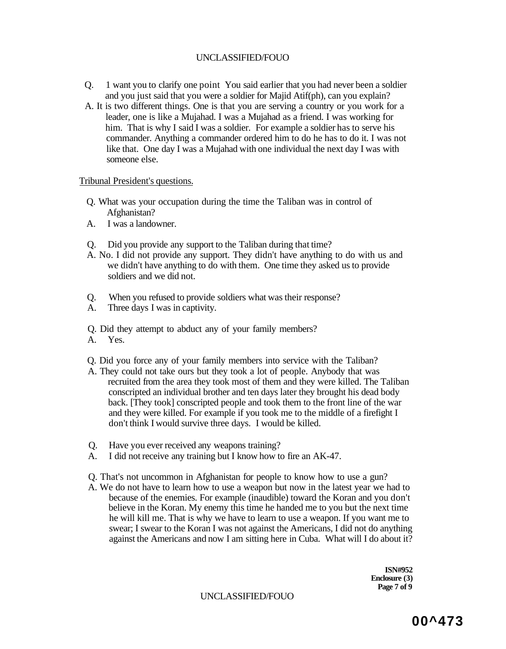- Q. 1 want you to clarify one point You said earlier that you had never been a soldier and you just said that you were a soldier for Majid Atif(ph), can you explain?
- A. It is two different things. One is that you are serving a country or you work for a leader, one is like a Mujahad. I was a Mujahad as a friend. I was working for him. That is why I said I was a soldier. For example a soldier has to serve his commander. Anything a commander ordered him to do he has to do it. I was not like that. One day I was a Mujahad with one individual the next day I was with someone else.

#### Tribunal President's questions.

- Q. What was your occupation during the time the Taliban was in control of Afghanistan?
- A. I was a landowner.
- Q. Did you provide any support to the Taliban during that time?
- A. No. I did not provide any support. They didn't have anything to do with us and we didn't have anything to do with them. One time they asked us to provide soldiers and we did not.
- Q. When you refused to provide soldiers what was their response?
- A. Three days I was in captivity.
- Q. Did they attempt to abduct any of your family members?
- A. Yes.
- Q. Did you force any of your family members into service with the Taliban?
- A. They could not take ours but they took a lot of people. Anybody that was recruited from the area they took most of them and they were killed. The Taliban conscripted an individual brother and ten days later they brought his dead body back. [They took] conscripted people and took them to the front line of the war and they were killed. For example if you took me to the middle of a firefight I don't think I would survive three days. I would be killed.
- Q. Have you ever received any weapons training?
- A. I did not receive any training but I know how to fire an AK-47.
- Q. That's not uncommon in Afghanistan for people to know how to use a gun?
- A. We do not have to learn how to use a weapon but now in the latest year we had to because of the enemies. For example (inaudible) toward the Koran and you don't believe in the Koran. My enemy this time he handed me to you but the next time he will kill me. That is why we have to learn to use a weapon. If you want me to swear; I swear to the Koran I was not against the Americans, I did not do anything against the Americans and now I am sitting here in Cuba. What will I do about it?

**ISN#952 Enclosure (3) Page 7 of 9**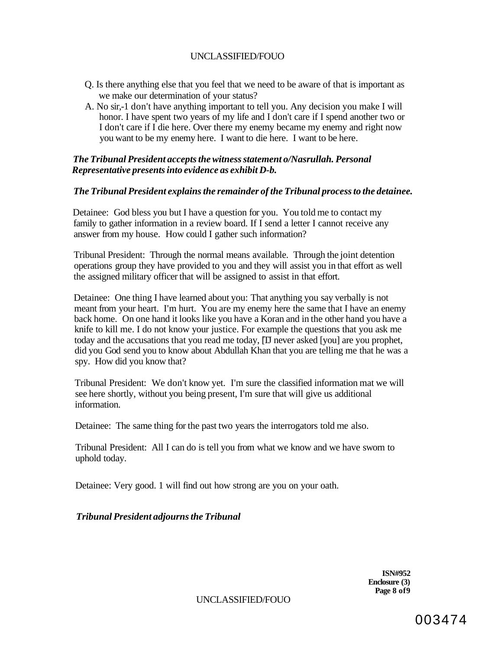- Q. Is there anything else that you feel that we need to be aware of that is important as we make our determination of your status?
- A. No sir,-1 don't have anything important to tell you. Any decision you make I will honor. I have spent two years of my life and I don't care if I spend another two or I don't care if I die here. Over there my enemy became my enemy and right now you want to be my enemy here. I want to die here. I want to be here.

### *The Tribunal President accepts the witness statement o/Nasrullah. Personal Representative presents into evidence as exhibit D-b.*

#### *The Tribunal President explains the remainder of the Tribunal process to the detainee.*

Detainee: God bless you but I have a question for you. You told me to contact my family to gather information in a review board. If I send a letter I cannot receive any answer from my house. How could I gather such information?

Tribunal President: Through the normal means available. Through the joint detention operations group they have provided to you and they will assist you in that effort as well the assigned military officer that will be assigned to assist in that effort.

Detainee: One thing I have learned about you: That anything you say verbally is not meant from your heart. I'm hurt. You are my enemy here the same that I have an enemy back home. On one hand it looks like you have a Koran and in the other hand you have a knife to kill me. I do not know your justice. For example the questions that you ask me today and the accusations that you read me today, [TJ never asked [you] are you prophet, did you God send you to know about Abdullah Khan that you are telling me that he was a spy. How did you know that?

Tribunal President: We don't know yet. I'm sure the classified information mat we will see here shortly, without you being present, I'm sure that will give us additional information.

Detainee: The same thing for the past two years the interrogators told me also.

Tribunal President: All I can do is tell you from what we know and we have sworn to uphold today.

Detainee: Very good. 1 will find out how strong are you on your oath.

#### *Tribunal President adjourns the Tribunal*

**ISN#952 Enclosure (3) Page 8 of9**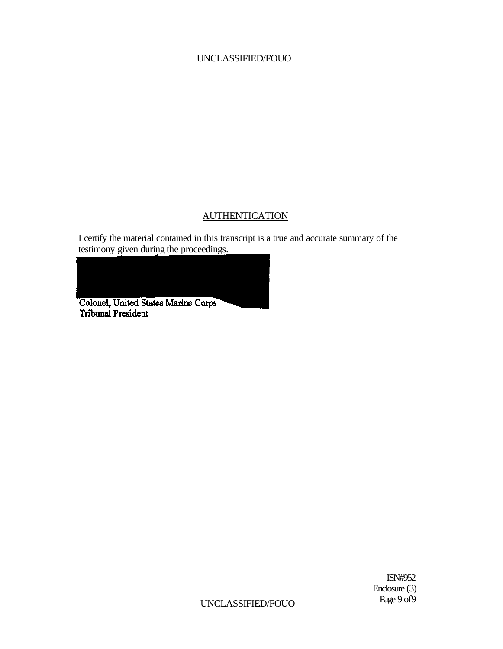# **AUTHENTICATION**

I certify the material contained in this transcript is a true and accurate summary of the testimony given during the proceedings.



Tribunal President

ISN#952 Enclosure (3) Page 9 of 9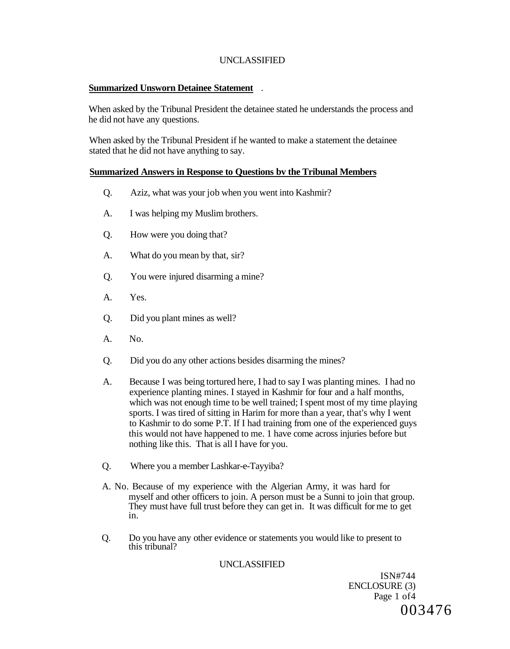## UNCLASSIFIED

## **Summarized Unsworn Detainee Statement** .

When asked by the Tribunal President the detainee stated he understands the process and he did not have any questions.

When asked by the Tribunal President if he wanted to make a statement the detainee stated that he did not have anything to say.

### **Summarized Answers in Response to Questions bv the Tribunal Members**

- Q. Aziz, what was your job when you went into Kashmir?
- A. I was helping my Muslim brothers.
- Q. How were you doing that?
- A. What do you mean by that, sir?
- Q. You were injured disarming a mine?
- A. Yes.
- Q. Did you plant mines as well?
- A. No.
- Q. Did you do any other actions besides disarming the mines?
- A. Because I was being tortured here, I had to say I was planting mines. I had no experience planting mines. I stayed in Kashmir for four and a half months, which was not enough time to be well trained; I spent most of my time playing sports. I was tired of sitting in Harim for more than a year, that's why I went to Kashmir to do some P.T. If I had training from one of the experienced guys this would not have happened to me. 1 have come across injuries before but nothing like this. That is all I have for you.
- Q. Where you a member Lashkar-e-Tayyiba?
- A. No. Because of my experience with the Algerian Army, it was hard for myself and other officers to join. A person must be a Sunni to join that group. They must have full trust before they can get in. It was difficult for me to get in.
- Q. Do you have any other evidence or statements you would like to present to this tribunal?

### UNCLASSIFIED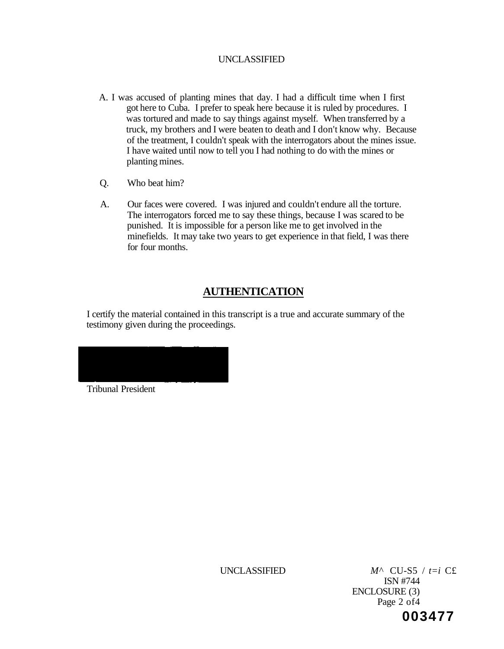## UNCLASSIFIED

- A. I was accused of planting mines that day. I had a difficult time when I first got here to Cuba. I prefer to speak here because it is ruled by procedures. I was tortured and made to say things against myself. When transferred by a truck, my brothers and I were beaten to death and I don't know why. Because of the treatment, I couldn't speak with the interrogators about the mines issue. I have waited until now to tell you I had nothing to do with the mines or planting mines.
- Q. Who beat him?
- A. Our faces were covered. I was injured and couldn't endure all the torture. The interrogators forced me to say these things, because I was scared to be punished. It is impossible for a person like me to get involved in the minefields. It may take two years to get experience in that field, I was there for four months.

# **AUTHENTICATION**

I certify the material contained in this transcript is a true and accurate summary of the testimony given during the proceedings.

Tribunal President

UNCLASSIFIED *M^* CU-S5 / *t=i* C£ ISN #744 ENCLOSURE (3) Page 2 of4 **003477**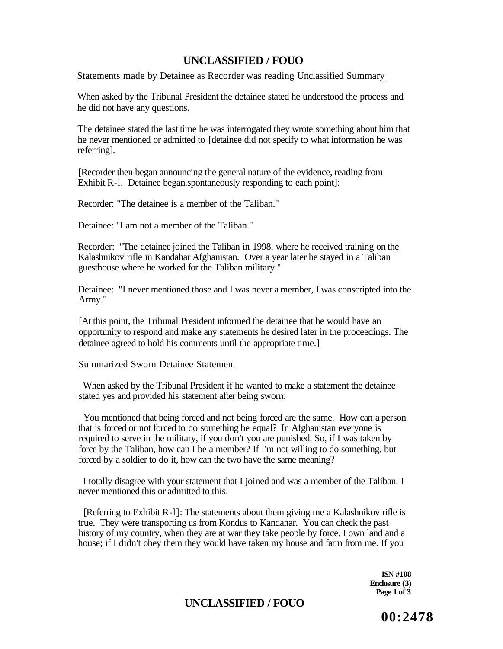Statements made by Detainee as Recorder was reading Unclassified Summary

When asked by the Tribunal President the detainee stated he understood the process and he did not have any questions.

The detainee stated the last time he was interrogated they wrote something about him that he never mentioned or admitted to [detainee did not specify to what information he was referring].

[Recorder then began announcing the general nature of the evidence, reading from Exhibit R-l. Detainee began.spontaneously responding to each point]:

Recorder: "The detainee is a member of the Taliban."

Detainee: "I am not a member of the Taliban."

Recorder: "The detainee joined the Taliban in 1998, where he received training on the Kalashnikov rifle in Kandahar Afghanistan. Over a year later he stayed in a Taliban guesthouse where he worked for the Taliban military."

Detainee: "I never mentioned those and I was never a member, I was conscripted into the Army."

[At this point, the Tribunal President informed the detainee that he would have an opportunity to respond and make any statements he desired later in the proceedings. The detainee agreed to hold his comments until the appropriate time.]

#### Summarized Sworn Detainee Statement

When asked by the Tribunal President if he wanted to make a statement the detainee stated yes and provided his statement after being sworn:

You mentioned that being forced and not being forced are the same. How can a person that is forced or not forced to do something be equal? In Afghanistan everyone is required to serve in the military, if you don't you are punished. So, if I was taken by force by the Taliban, how can I be a member? If I'm not willing to do something, but forced by a soldier to do it, how can the two have the same meaning?

I totally disagree with your statement that I joined and was a member of the Taliban. I never mentioned this or admitted to this.

[Referring to Exhibit R-l]: The statements about them giving me a Kalashnikov rifle is true. They were transporting us from Kondus to Kandahar. You can check the past history of my country, when they are at war they take people by force. I own land and a house; if I didn't obey them they would have taken my house and farm from me. If you

> **ISN #108 Enclosure (3) Page 1 of 3**

# **UNCLASSIFIED / FOUO**

**00:2478**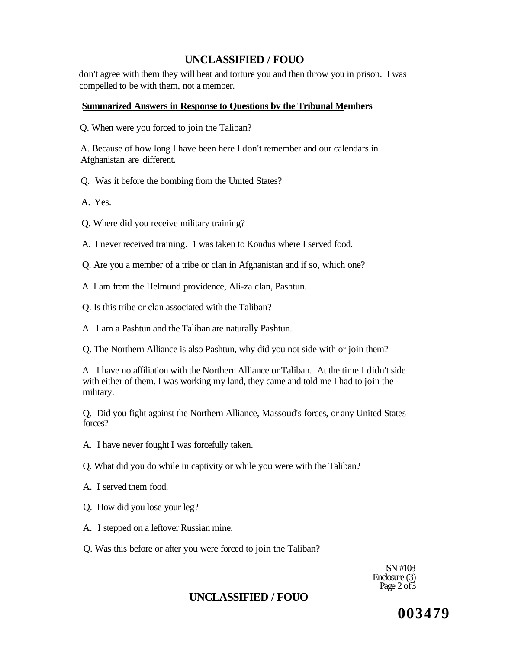don't agree with them they will beat and torture you and then throw you in prison. I was compelled to be with them, not a member.

### **Summarized Answers in Response to Questions bv the Tribunal Members**

Q. When were you forced to join the Taliban?

A. Because of how long I have been here I don't remember and our calendars in Afghanistan are different.

Q. Was it before the bombing from the United States?

- A. Yes.
- Q. Where did you receive military training?
- A. I never received training. 1 was taken to Kondus where I served food.
- Q. Are you a member of a tribe or clan in Afghanistan and if so, which one?
- A. I am from the Helmund providence, Ali-za clan, Pashtun.
- Q. Is this tribe or clan associated with the Taliban?
- A. I am a Pashtun and the Taliban are naturally Pashtun.

Q. The Northern Alliance is also Pashtun, why did you not side with or join them?

A. I have no affiliation with the Northern Alliance or Taliban. At the time I didn't side with either of them. I was working my land, they came and told me I had to join the military.

Q. Did you fight against the Northern Alliance, Massoud's forces, or any United States forces?

A. I have never fought I was forcefully taken.

Q. What did you do while in captivity or while you were with the Taliban?

- A. I served them food.
- Q. How did you lose your leg?
- A. I stepped on a leftover Russian mine.
- Q. Was this before or after you were forced to join the Taliban?

ISN #108 Enclosure (3) Page 2 of 3

# **UNCLASSIFIED / FOUO**

**003479**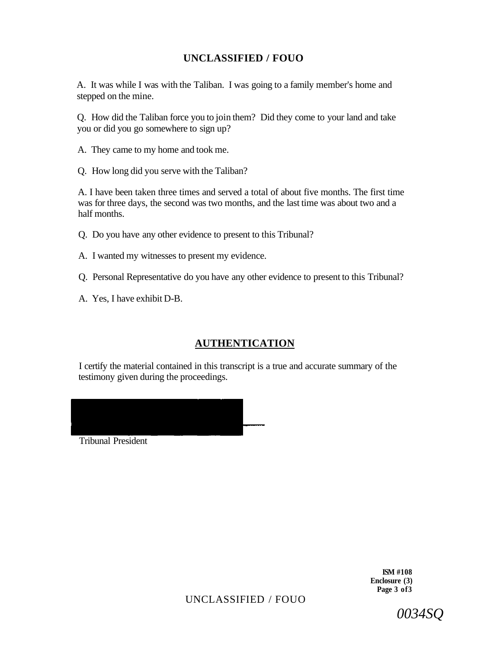A. It was while I was with the Taliban. I was going to a family member's home and stepped on the mine.

Q. How did the Taliban force you to join them? Did they come to your land and take you or did you go somewhere to sign up?

- A. They came to my home and took me.
- Q. How long did you serve with the Taliban?

A. I have been taken three times and served a total of about five months. The first time was for three days, the second was two months, and the last time was about two and a half months.

- Q. Do you have any other evidence to present to this Tribunal?
- A. I wanted my witnesses to present my evidence.
- Q. Personal Representative do you have any other evidence to present to this Tribunal?
- A. Yes, I have exhibit D-B.

# **AUTHENTICATION**

I certify the material contained in this transcript is a true and accurate summary of the testimony given during the proceedings.

Tribunal President

**ISM #108 Enclosure (3) Page 3 of3** 

UNCLASSIFIED / FOUO

*0034SQ*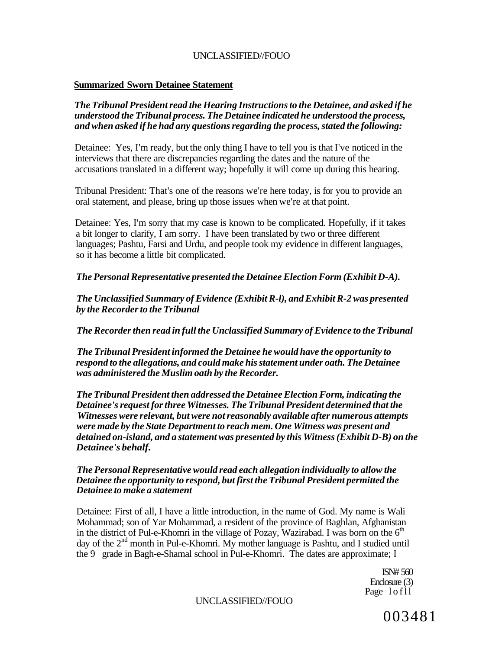### **Summarized Sworn Detainee Statement**

*The Tribunal President read the Hearing Instructions to the Detainee, and asked if he understood the Tribunal process. The Detainee indicated he understood the process, and when asked if he had any questions regarding the process, stated the following:* 

Detainee: Yes, I'm ready, but the only thing I have to tell you is that I've noticed in the interviews that there are discrepancies regarding the dates and the nature of the accusations translated in a different way; hopefully it will come up during this hearing.

Tribunal President: That's one of the reasons we're here today, is for you to provide an oral statement, and please, bring up those issues when we're at that point.

Detainee: Yes, I'm sorry that my case is known to be complicated. Hopefully, if it takes a bit longer to clarify, I am sorry. I have been translated by two or three different languages; Pashtu, Farsi and Urdu, and people took my evidence in different languages, so it has become a little bit complicated.

*The Personal Representative presented the Detainee Election Form (Exhibit D-A).* 

*The Unclassified Summary of Evidence (Exhibit R-l), and Exhibit R-2 was presented by the Recorder to the Tribunal* 

*The Recorder then read in full the Unclassified Summary of Evidence to the Tribunal* 

*The Tribunal President informed the Detainee he would have the opportunity to respond to the allegations, and could make his statement under oath. The Detainee was administered the Muslim oath by the Recorder.* 

*The Tribunal President then addressed the Detainee Election Form, indicating the Detainee's request for three Witnesses. The Tribunal President determined that the Witnesses were relevant, but were not reasonably available after numerous attempts were made by the State Department to reach mem. One Witness was present and detained on-island, and a statement was presented by this Witness (Exhibit D-B) on the Detainee's behalf.* 

#### *The Personal Representative would read each allegation individually to allow the Detainee the opportunity to respond, but first the Tribunal President permitted the Detainee to make a statement*

Detainee: First of all, I have a little introduction, in the name of God. My name is Wali Mohammad; son of Yar Mohammad, a resident of the province of Baghlan, Afghanistan in the district of Pul-e-Khomri in the village of Pozay, Wazirabad. I was born on the  $6<sup>th</sup>$ day of the 2<sup>nd</sup> month in Pul-e-Khomri. My mother language is Pashtu, and I studied until the 9 grade in Bagh-e-Shamal school in Pul-e-Khomri. The dates are approximate; I

> ISN# 560 Enclosure (3) Page lofll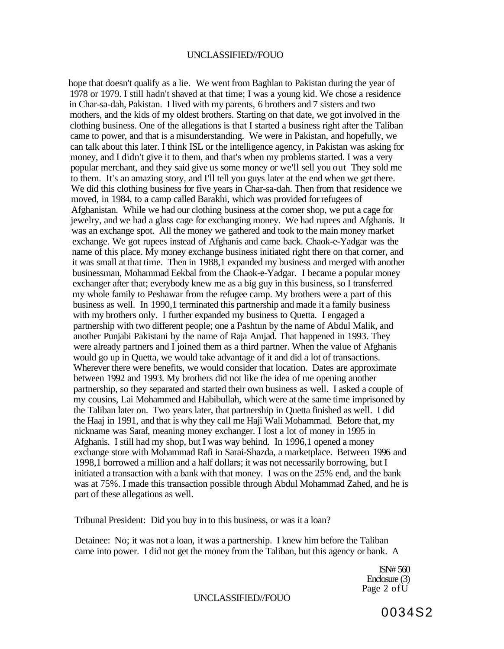hope that doesn't qualify as a lie. We went from Baghlan to Pakistan during the year of 1978 or 1979. I still hadn't shaved at that time; I was a young kid. We chose a residence in Char-sa-dah, Pakistan. I lived with my parents, 6 brothers and 7 sisters and two mothers, and the kids of my oldest brothers. Starting on that date, we got involved in the clothing business. One of the allegations is that I started a business right after the Taliban came to power, and that is a misunderstanding. We were in Pakistan, and hopefully, we can talk about this later. I think ISL or the intelligence agency, in Pakistan was asking for money, and I didn't give it to them, and that's when my problems started. I was a very popular merchant, and they said give us some money or we'll sell you out They sold me to them. It's an amazing story, and I'll tell you guys later at the end when we get there. We did this clothing business for five years in Char-sa-dah. Then from that residence we moved, in 1984, to a camp called Barakhi, which was provided for refugees of Afghanistan. While we had our clothing business at the corner shop, we put a cage for jewelry, and we had a glass cage for exchanging money. We had rupees and Afghanis. It was an exchange spot. All the money we gathered and took to the main money market exchange. We got rupees instead of Afghanis and came back. Chaok-e-Yadgar was the name of this place. My money exchange business initiated right there on that corner, and it was small at that time. Then in 1988,1 expanded my business and merged with another businessman, Mohammad Eekbal from the Chaok-e-Yadgar. I became a popular money exchanger after that; everybody knew me as a big guy in this business, so I transferred my whole family to Peshawar from the refugee camp. My brothers were a part of this business as well. In 1990,1 terminated this partnership and made it a family business with my brothers only. I further expanded my business to Quetta. I engaged a partnership with two different people; one a Pashtun by the name of Abdul Malik, and another Punjabi Pakistani by the name of Raja Amjad. That happened in 1993. They were already partners and I joined them as a third partner. When the value of Afghanis would go up in Quetta, we would take advantage of it and did a lot of transactions. Wherever there were benefits, we would consider that location. Dates are approximate between 1992 and 1993. My brothers did not like the idea of me opening another partnership, so they separated and started their own business as well. I asked a couple of my cousins, Lai Mohammed and Habibullah, which were at the same time imprisoned by the Taliban later on. Two years later, that partnership in Quetta finished as well. I did the Haaj in 1991, and that is why they call me Haji Wali Mohammad. Before that, my nickname was Saraf, meaning money exchanger. I lost a lot of money in 1995 in Afghanis. I still had my shop, but I was way behind. In 1996,1 opened a money exchange store with Mohammad Rafi in Sarai-Shazda, a marketplace. Between 1996 and 1998,1 borrowed a million and a half dollars; it was not necessarily borrowing, but I initiated a transaction with a bank with that money. I was on the 25% end, and the bank was at 75%. I made this transaction possible through Abdul Mohammad Zahed, and he is part of these allegations as well.

Tribunal President: Did you buy in to this business, or was it a loan?

Detainee: No; it was not a loan, it was a partnership. I knew him before the Taliban came into power. I did not get the money from the Taliban, but this agency or bank. A

> ISN# 560 Enclosure (3) Page 2 ofU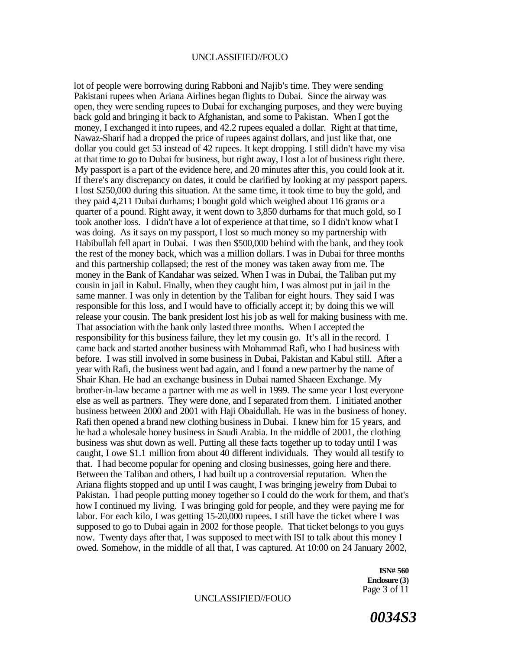lot of people were borrowing during Rabboni and Najib's time. They were sending Pakistani rupees when Ariana Airlines began flights to Dubai. Since the airway was open, they were sending rupees to Dubai for exchanging purposes, and they were buying back gold and bringing it back to Afghanistan, and some to Pakistan. When I got the money, I exchanged it into rupees, and 42.2 rupees equaled a dollar. Right at that time, Nawaz-Sharif had a dropped the price of rupees against dollars, and just like that, one dollar you could get 53 instead of 42 rupees. It kept dropping. I still didn't have my visa at that time to go to Dubai for business, but right away, I lost a lot of business right there. My passport is a part of the evidence here, and 20 minutes after this, you could look at it. If there's any discrepancy on dates, it could be clarified by looking at my passport papers. I lost \$250,000 during this situation. At the same time, it took time to buy the gold, and they paid 4,211 Dubai durhams; I bought gold which weighed about 116 grams or a quarter of a pound. Right away, it went down to 3,850 durhams for that much gold, so I took another loss. I didn't have a lot of experience at that time, so I didn't know what I was doing. As it says on my passport, I lost so much money so my partnership with Habibullah fell apart in Dubai. I was then \$500,000 behind with the bank, and they took the rest of the money back, which was a million dollars. I was in Dubai for three months and this partnership collapsed; the rest of the money was taken away from me. The money in the Bank of Kandahar was seized. When I was in Dubai, the Taliban put my cousin in jail in Kabul. Finally, when they caught him, I was almost put in jail in the same manner. I was only in detention by the Taliban for eight hours. They said I was responsible for this loss, and I would have to officially accept it; by doing this we will release your cousin. The bank president lost his job as well for making business with me. That association with the bank only lasted three months. When I accepted the responsibility for this business failure, they let my cousin go. It's all in the record. I came back and started another business with Mohammad Rafi, who I had business with before. I was still involved in some business in Dubai, Pakistan and Kabul still. After a year with Rafi, the business went bad again, and I found a new partner by the name of Shair Khan. He had an exchange business in Dubai named Shaeen Exchange. My brother-in-law became a partner with me as well in 1999. The same year I lost everyone else as well as partners. They were done, and I separated from them. I initiated another business between 2000 and 2001 with Haji Obaidullah. He was in the business of honey. Rafi then opened a brand new clothing business in Dubai. I knew him for 15 years, and he had a wholesale honey business in Saudi Arabia. In the middle of 2001, the clothing business was shut down as well. Putting all these facts together up to today until I was caught, I owe \$1.1 million from about 40 different individuals. They would all testify to that. I had become popular for opening and closing businesses, going here and there. Between the Taliban and others, I had built up a controversial reputation. When the Ariana flights stopped and up until I was caught, I was bringing jewelry from Dubai to Pakistan. I had people putting money together so I could do the work for them, and that's how I continued my living. I was bringing gold for people, and they were paying me for labor. For each kilo, I was getting 15-20,000 rupees. I still have the ticket where I was supposed to go to Dubai again in 2002 for those people. That ticket belongs to you guys now. Twenty days after that, I was supposed to meet with ISI to talk about this money I owed. Somehow, in the middle of all that, I was captured. At 10:00 on 24 January 2002,

> **ISN# 560 Enclosure (3)**  Page 3 of 11

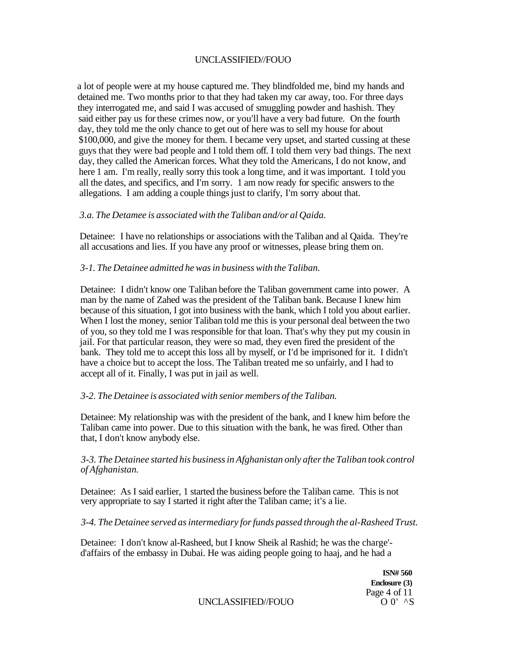a lot of people were at my house captured me. They blindfolded me, bind my hands and detained me. Two months prior to that they had taken my car away, too. For three days they interrogated me, and said I was accused of smuggling powder and hashish. They said either pay us for these crimes now, or you'll have a very bad future. On the fourth day, they told me the only chance to get out of here was to sell my house for about \$100,000, and give the money for them. I became very upset, and started cussing at these guys that they were bad people and I told them off. I told them very bad things. The next day, they called the American forces. What they told the Americans, I do not know, and here 1 am. I'm really, really sorry this took a long time, and it was important. I told you all the dates, and specifics, and I'm sorry. 1 am now ready for specific answers to the allegations. I am adding a couple things just to clarify, I'm sorry about that.

### *3.a. The Detamee is associated with the Taliban and/or al Qaida.*

Detainee: I have no relationships or associations with the Taliban and al Qaida. They're all accusations and lies. If you have any proof or witnesses, please bring them on.

#### *3-1. The Detainee admitted he was in business with the Taliban.*

Detainee: I didn't know one Taliban before the Taliban government came into power. A man by the name of Zahed was the president of the Taliban bank. Because I knew him because of this situation, I got into business with the bank, which I told you about earlier. When I lost the money, senior Taliban told me this is your personal deal between the two of you, so they told me I was responsible for that loan. That's why they put my cousin in jail. For that particular reason, they were so mad, they even fired the president of the bank. They told me to accept this loss all by myself, or I'd be imprisoned for it. I didn't have a choice but to accept the loss. The Taliban treated me so unfairly, and I had to accept all of it. Finally, I was put in jail as well.

#### *3-2. The Detainee is associated with senior members of the Taliban.*

Detainee: My relationship was with the president of the bank, and I knew him before the Taliban came into power. Due to this situation with the bank, he was fired. Other than that, I don't know anybody else.

### *3-3. The Detainee started his business in Afghanistan only after the Taliban took control of Afghanistan.*

Detainee: As I said earlier, 1 started the business before the Taliban came. This is not very appropriate to say I started it right after the Taliban came; it's a lie.

*3-4. The Detainee served as intermediary for funds passed through the al-Rasheed Trust.* 

Detainee: I don't know al-Rasheed, but I know Sheik al Rashid; he was the charge' d'affairs of the embassy in Dubai. He was aiding people going to haaj, and he had a

> **ISN# 560 Enclosure (3)**  Page 4 of 11<br>O  $0'$  ^S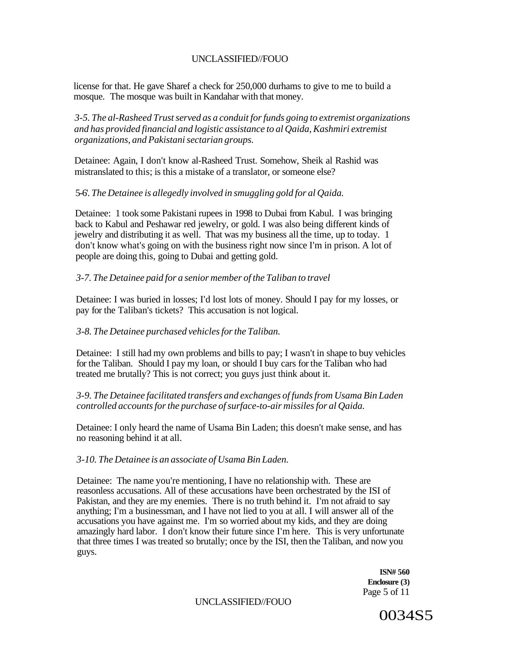license for that. He gave Sharef a check for 250,000 durhams to give to me to build a mosque. The mosque was built in Kandahar with that money.

*3-5. The al-Rasheed Trust served as a conduit for funds going to extremist organizations and has provided financial and logistic assistance to al Qaida, Kashmiri extremist organizations, and Pakistani sectarian groups.* 

Detainee: Again, I don't know al-Rasheed Trust. Somehow, Sheik al Rashid was mistranslated to this; is this a mistake of a translator, or someone else?

#### 5-6'. *The Detainee is allegedly involved in smuggling gold for al Qaida.*

Detainee: 1 took some Pakistani rupees in 1998 to Dubai from Kabul. I was bringing back to Kabul and Peshawar red jewelry, or gold. I was also being different kinds of jewelry and distributing it as well. That was my business all the time, up to today. 1 don't know what's going on with the business right now since I'm in prison. A lot of people are doing this, going to Dubai and getting gold.

### *3-7. The Detainee paid for a senior member of the Taliban to travel*

Detainee: I was buried in losses; I'd lost lots of money. Should I pay for my losses, or pay for the Taliban's tickets? This accusation is not logical.

## *3-8. The Detainee purchased vehicles for the Taliban.*

Detainee: I still had my own problems and bills to pay; I wasn't in shape to buy vehicles for the Taliban. Should I pay my loan, or should I buy cars for the Taliban who had treated me brutally? This is not correct; you guys just think about it.

### *3-9. The Detainee facilitated transfers and exchanges of funds from Usama Bin Laden controlled accounts for the purchase of surface-to-air missiles for al Qaida.*

Detainee: I only heard the name of Usama Bin Laden; this doesn't make sense, and has no reasoning behind it at all.

#### *3-10. The Detainee is an associate of Usama Bin Laden.*

Detainee: The name you're mentioning, I have no relationship with. These are reasonless accusations. All of these accusations have been orchestrated by the ISI of Pakistan, and they are my enemies. There is no truth behind it. I'm not afraid to say anything; I'm a businessman, and I have not lied to you at all. I will answer all of the accusations you have against me. I'm so worried about my kids, and they are doing amazingly hard labor. I don't know their future since I'm here. This is very unfortunate that three times I was treated so brutally; once by the ISI, then the Taliban, and now you guys.

> **ISN# 560 Enclosure (3)**  Page 5 of 11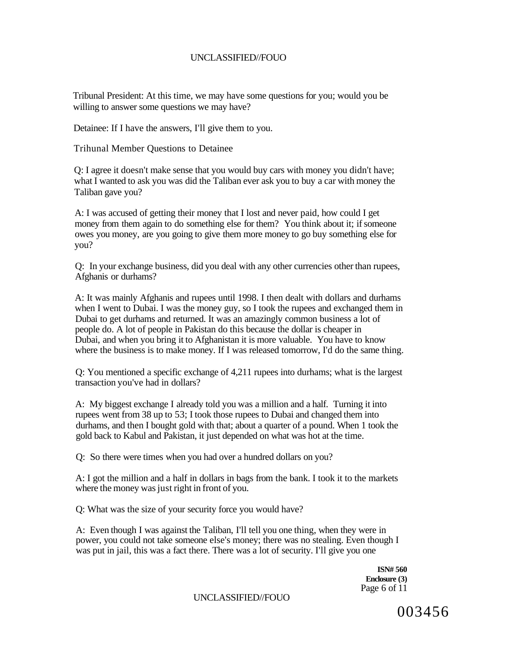Tribunal President: At this time, we may have some questions for you; would you be willing to answer some questions we may have?

Detainee: If I have the answers, I'll give them to you.

Trihunal Member Questions to Detainee

Q: I agree it doesn't make sense that you would buy cars with money you didn't have; what I wanted to ask you was did the Taliban ever ask you to buy a car with money the Taliban gave you?

A: I was accused of getting their money that I lost and never paid, how could I get money from them again to do something else for them? You think about it; if someone owes you money, are you going to give them more money to go buy something else for you?

Q: In your exchange business, did you deal with any other currencies other than rupees, Afghanis or durhams?

A: It was mainly Afghanis and rupees until 1998. I then dealt with dollars and durhams when I went to Dubai. I was the money guy, so I took the rupees and exchanged them in Dubai to get durhams and returned. It was an amazingly common business a lot of people do. A lot of people in Pakistan do this because the dollar is cheaper in Dubai, and when you bring it to Afghanistan it is more valuable. You have to know where the business is to make money. If I was released tomorrow, I'd do the same thing.

Q: You mentioned a specific exchange of 4,211 rupees into durhams; what is the largest transaction you've had in dollars?

A: My biggest exchange I already told you was a million and a half. Turning it into rupees went from 38 up to 53; I took those rupees to Dubai and changed them into durhams, and then I bought gold with that; about a quarter of a pound. When 1 took the gold back to Kabul and Pakistan, it just depended on what was hot at the time.

Q: So there were times when you had over a hundred dollars on you?

A: I got the million and a half in dollars in bags from the bank. I took it to the markets where the money was just right in front of you.

Q: What was the size of your security force you would have?

A: Even though I was against the Taliban, I'll tell you one thing, when they were in power, you could not take someone else's money; there was no stealing. Even though I was put in jail, this was a fact there. There was a lot of security. I'll give you one

> **ISN# 560 Enclosure (3)**  Page 6 of 11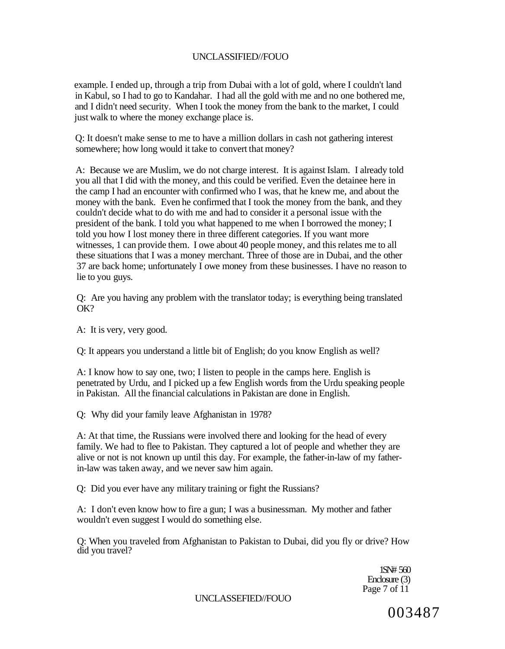example. I ended up, through a trip from Dubai with a lot of gold, where I couldn't land in Kabul, so I had to go to Kandahar. I had all the gold with me and no one bothered me, and I didn't need security. When I took the money from the bank to the market, I could just walk to where the money exchange place is.

Q: It doesn't make sense to me to have a million dollars in cash not gathering interest somewhere; how long would it take to convert that money?

A: Because we are Muslim, we do not charge interest. It is against Islam. I already told you all that I did with the money, and this could be verified. Even the detainee here in the camp I had an encounter with confirmed who I was, that he knew me, and about the money with the bank. Even he confirmed that I took the money from the bank, and they couldn't decide what to do with me and had to consider it a personal issue with the president of the bank. I told you what happened to me when I borrowed the money; I told you how I lost money there in three different categories. If you want more witnesses, 1 can provide them. I owe about 40 people money, and this relates me to all these situations that I was a money merchant. Three of those are in Dubai, and the other 37 are back home; unfortunately I owe money from these businesses. I have no reason to lie to you guys.

Q: Are you having any problem with the translator today; is everything being translated OK?

A: It is very, very good.

Q: It appears you understand a little bit of English; do you know English as well?

A: I know how to say one, two; I listen to people in the camps here. English is penetrated by Urdu, and I picked up a few English words from the Urdu speaking people in Pakistan. All the financial calculations in Pakistan are done in English.

Q: Why did your family leave Afghanistan in 1978?

A: At that time, the Russians were involved there and looking for the head of every family. We had to flee to Pakistan. They captured a lot of people and whether they are alive or not is not known up until this day. For example, the father-in-law of my fatherin-law was taken away, and we never saw him again.

Q: Did you ever have any military training or fight the Russians?

A: I don't even know how to fire a gun; I was a businessman. My mother and father wouldn't even suggest I would do something else.

Q: When you traveled from Afghanistan to Pakistan to Dubai, did you fly or drive? How did you travel?

> 1SN# 560 Enclosure (3) Page 7 of 11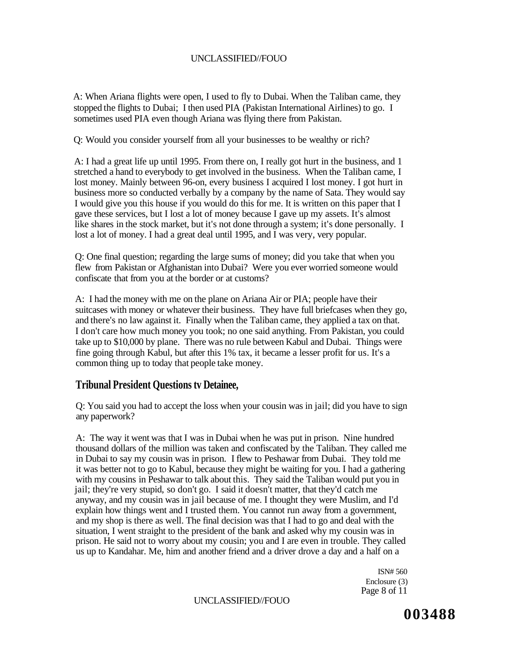## UNCLASSIFIED//FOUO

A: When Ariana flights were open, I used to fly to Dubai. When the Taliban came, they stopped the flights to Dubai; I then used PIA (Pakistan International Airlines) to go. I sometimes used PIA even though Ariana was flying there from Pakistan.

Q: Would you consider yourself from all your businesses to be wealthy or rich?

A: I had a great life up until 1995. From there on, I really got hurt in the business, and 1 stretched a hand to everybody to get involved in the business. When the Taliban came, I lost money. Mainly between 96-on, every business I acquired I lost money. I got hurt in business more so conducted verbally by a company by the name of Sata. They would say I would give you this house if you would do this for me. It is written on this paper that I gave these services, but I lost a lot of money because I gave up my assets. It's almost like shares in the stock market, but it's not done through a system; it's done personally. I lost a lot of money. I had a great deal until 1995, and I was very, very popular.

Q: One final question; regarding the large sums of money; did you take that when you flew from Pakistan or Afghanistan into Dubai? Were you ever worried someone would confiscate that from you at the border or at customs?

A: I had the money with me on the plane on Ariana Air or PIA; people have their suitcases with money or whatever their business. They have full briefcases when they go, and there's no law against it. Finally when the Taliban came, they applied a tax on that. I don't care how much money you took; no one said anything. From Pakistan, you could take up to \$10,000 by plane. There was no rule between Kabul and Dubai. Things were fine going through Kabul, but after this 1% tax, it became a lesser profit for us. It's a common thing up to today that people take money.

## **Tribunal President Questions tv Detainee,**

Q: You said you had to accept the loss when your cousin was in jail; did you have to sign any paperwork?

A: The way it went was that I was in Dubai when he was put in prison. Nine hundred thousand dollars of the million was taken and confiscated by the Taliban. They called me in Dubai to say my cousin was in prison. I flew to Peshawar from Dubai. They told me it was better not to go to Kabul, because they might be waiting for you. I had a gathering with my cousins in Peshawar to talk about this. They said the Taliban would put you in jail; they're very stupid, so don't go. I said it doesn't matter, that they'd catch me anyway, and my cousin was in jail because of me. I thought they were Muslim, and I'd explain how things went and I trusted them. You cannot run away from a government, and my shop is there as well. The final decision was that I had to go and deal with the situation, I went straight to the president of the bank and asked why my cousin was in prison. He said not to worry about my cousin; you and I are even in trouble. They called us up to Kandahar. Me, him and another friend and a driver drove a day and a half on a

> ISN# 560 Enclosure (3) Page 8 of 11

UNCLASSIFIED//FOUO